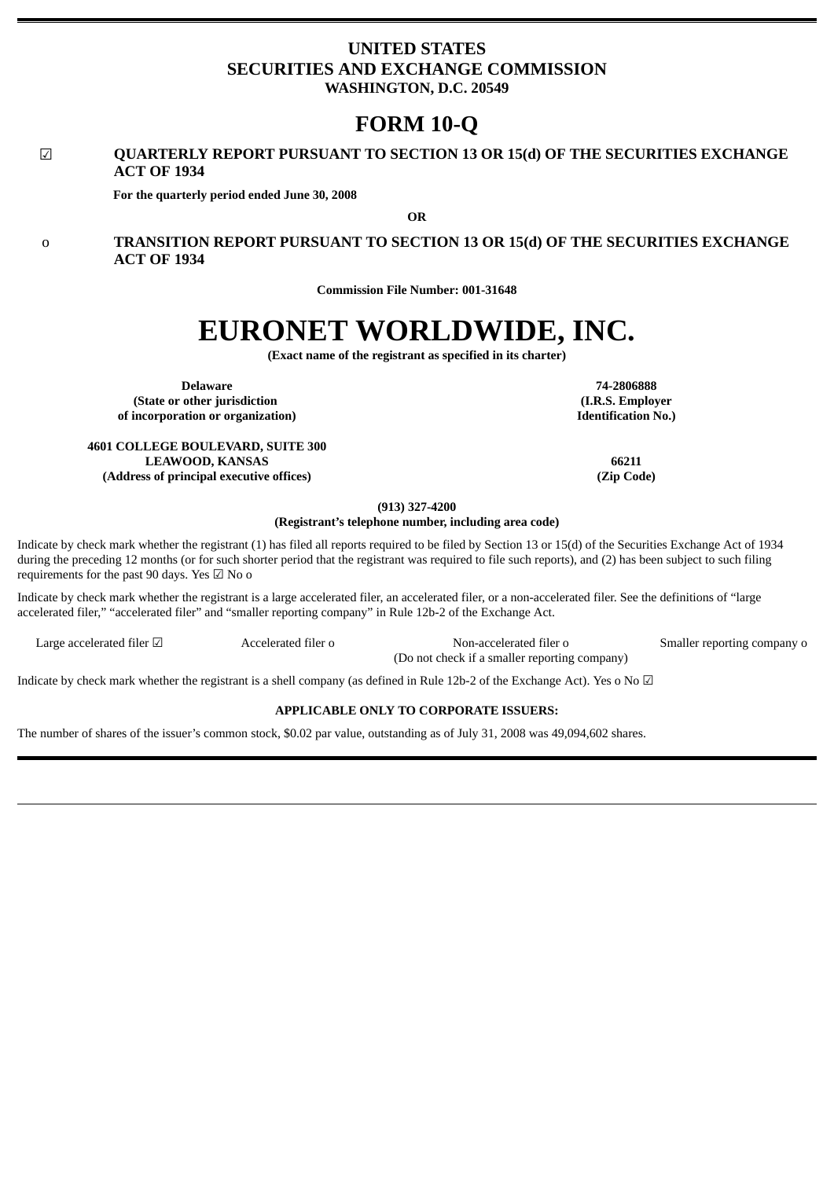## **UNITED STATES SECURITIES AND EXCHANGE COMMISSION WASHINGTON, D.C. 20549**

## **FORM 10-Q**

## ☑ **QUARTERLY REPORT PURSUANT TO SECTION 13 OR 15(d) OF THE SECURITIES EXCHANGE ACT OF 1934**

**For the quarterly period ended June 30, 2008**

**OR**

## o **TRANSITION REPORT PURSUANT TO SECTION 13 OR 15(d) OF THE SECURITIES EXCHANGE ACT OF 1934**

**Commission File Number: 001-31648**

# **EURONET WORLDWIDE, INC.**

**(Exact name of the registrant as specified in its charter)**

**Delaware 74-2806888 (State or other jurisdiction of incorporation or organization)**

**4601 COLLEGE BOULEVARD, SUITE 300 LEAWOOD, KANSAS 66211 (Address of principal executive offices) (Zip Code)**

**(I.R.S. Employer Identification No.)**

**(913) 327-4200**

**(Registrant's telephone number, including area code)**

Indicate by check mark whether the registrant (1) has filed all reports required to be filed by Section 13 or 15(d) of the Securities Exchange Act of 1934 during the preceding 12 months (or for such shorter period that the registrant was required to file such reports), and (2) has been subject to such filing requirements for the past 90 days. Yes ☑ No o

Indicate by check mark whether the registrant is a large accelerated filer, an accelerated filer, or a non-accelerated filer. See the definitions of "large accelerated filer," "accelerated filer" and "smaller reporting company" in Rule 12b-2 of the Exchange Act.

Large accelerated filer ☑ Accelerated filer o Non-accelerated filer o Smaller reporting company o

(Do not check if a smaller reporting company)

Indicate by check mark whether the registrant is a shell company (as defined in Rule 12b-2 of the Exchange Act). Yes o No  $\Box$ 

## **APPLICABLE ONLY TO CORPORATE ISSUERS:**

The number of shares of the issuer's common stock, \$0.02 par value, outstanding as of July 31, 2008 was 49,094,602 shares.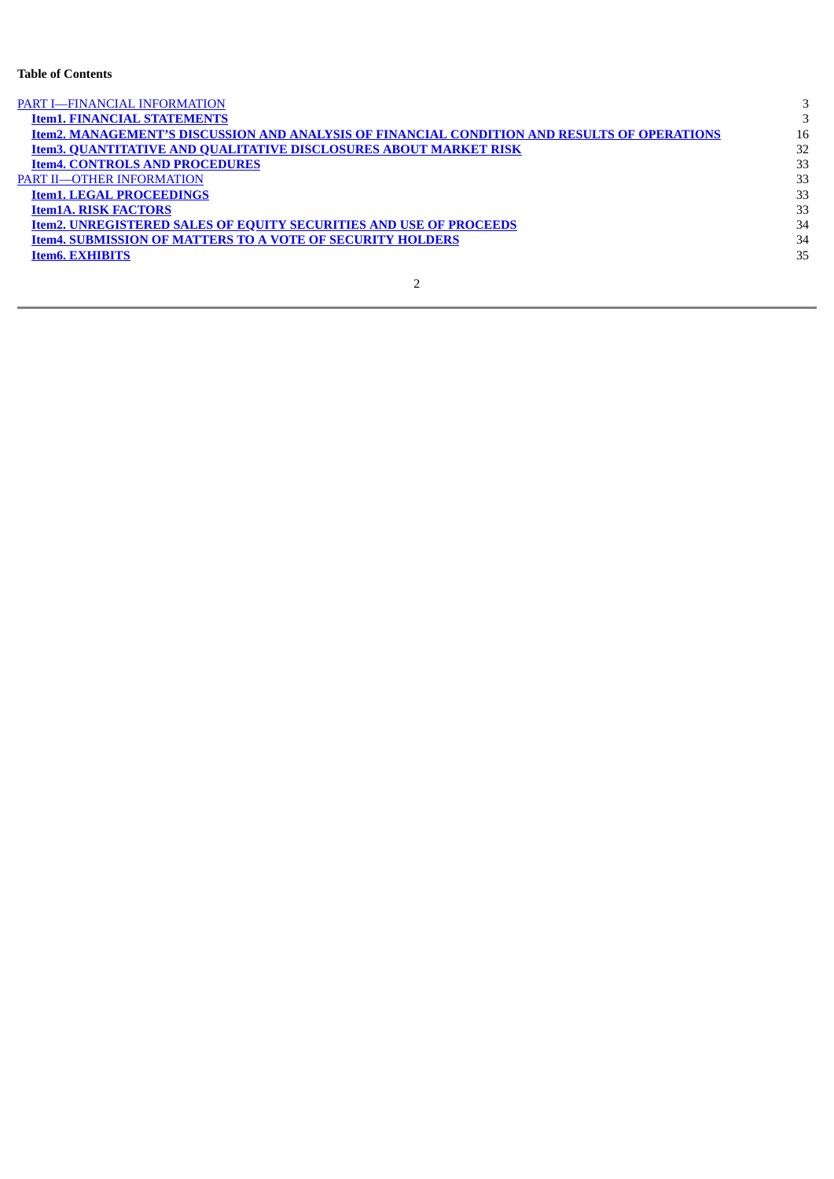## **Table of Contents**

| <b>PART I-FINANCIAL INFORMATION</b>                                                          |    |
|----------------------------------------------------------------------------------------------|----|
| <b>Item1. FINANCIAL STATEMENTS</b>                                                           |    |
| Item2. MANAGEMENT'S DISCUSSION AND ANALYSIS OF FINANCIAL CONDITION AND RESULTS OF OPERATIONS | 16 |
| <b>Item3. QUANTITATIVE AND QUALITATIVE DISCLOSURES ABOUT MARKET RISK</b>                     | 32 |
| <b>Item4. CONTROLS AND PROCEDURES</b>                                                        | 33 |
| <b>PART II-OTHER INFORMATION</b>                                                             | 33 |
| <b>Item1, LEGAL PROCEEDINGS</b>                                                              | 33 |
| <b>Item1A. RISK FACTORS</b>                                                                  | 33 |
| <b>Item2. UNREGISTERED SALES OF EQUITY SECURITIES AND USE OF PROCEEDS</b>                    | 34 |
| <b>Item4. SUBMISSION OF MATTERS TO A VOTE OF SECURITY HOLDERS</b>                            | 34 |
| <b>Item6. EXHIBITS</b>                                                                       | 35 |
|                                                                                              |    |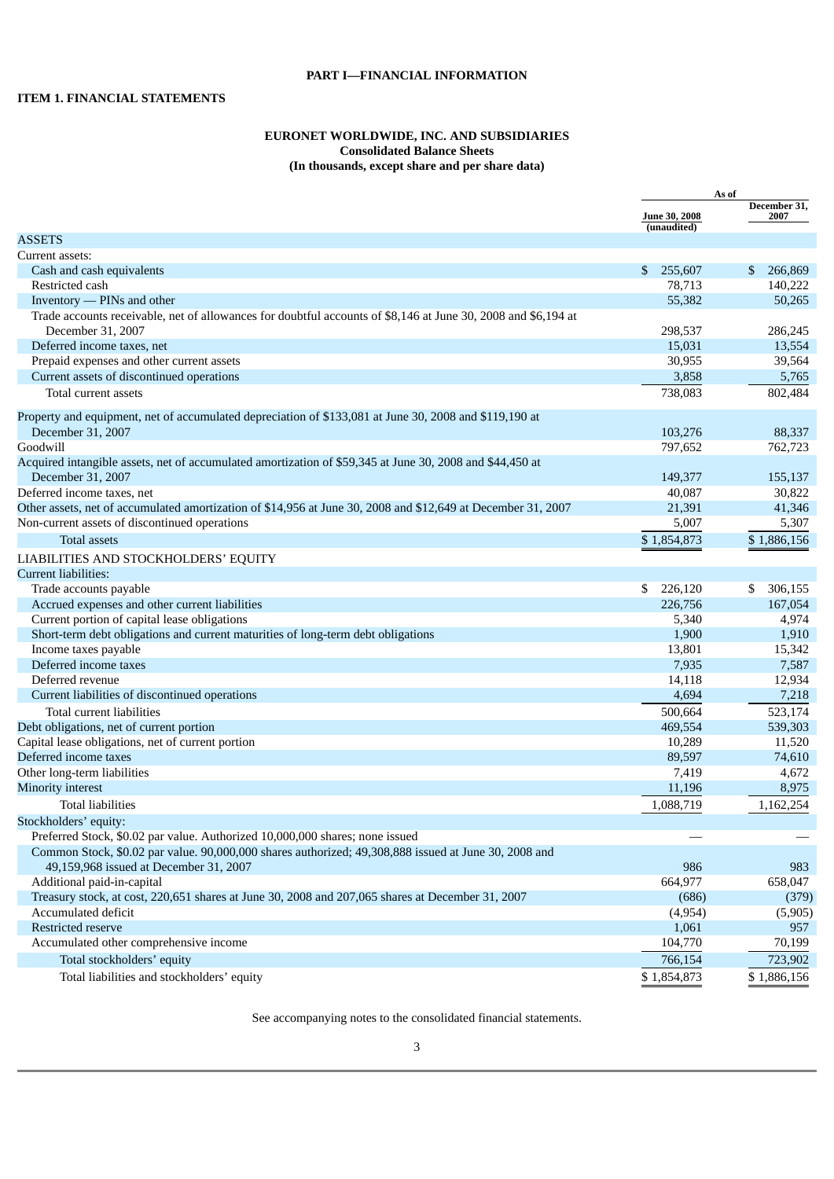## **PART I—FINANCIAL INFORMATION**

## <span id="page-2-1"></span><span id="page-2-0"></span>**ITEM 1. FINANCIAL STATEMENTS**

## **EURONET WORLDWIDE, INC. AND SUBSIDIARIES Consolidated Balance Sheets (In thousands, except share and per share data)**

|                                                                                                               | As of         |                      |  |
|---------------------------------------------------------------------------------------------------------------|---------------|----------------------|--|
|                                                                                                               | June 30, 2008 | December 31,<br>2007 |  |
|                                                                                                               | (unaudited)   |                      |  |
| <b>ASSETS</b>                                                                                                 |               |                      |  |
| Current assets:                                                                                               |               |                      |  |
| Cash and cash equivalents                                                                                     | 255,607<br>\$ | 266,869<br>\$        |  |
| Restricted cash                                                                                               | 78,713        | 140,222              |  |
| Inventory — PINs and other                                                                                    | 55,382        | 50,265               |  |
| Trade accounts receivable, net of allowances for doubtful accounts of \$8,146 at June 30, 2008 and \$6,194 at |               |                      |  |
| December 31, 2007                                                                                             | 298,537       | 286,245              |  |
| Deferred income taxes, net                                                                                    | 15,031        | 13,554               |  |
| Prepaid expenses and other current assets                                                                     | 30,955        | 39,564               |  |
| Current assets of discontinued operations                                                                     | 3,858         | 5,765                |  |
| Total current assets                                                                                          | 738,083       | 802,484              |  |
| Property and equipment, net of accumulated depreciation of \$133,081 at June 30, 2008 and \$119,190 at        |               |                      |  |
| December 31, 2007                                                                                             | 103,276       | 88,337               |  |
| Goodwill                                                                                                      | 797,652       | 762,723              |  |
| Acquired intangible assets, net of accumulated amortization of \$59,345 at June 30, 2008 and \$44,450 at      |               |                      |  |
| December 31, 2007                                                                                             | 149,377       | 155,137              |  |
| Deferred income taxes, net                                                                                    | 40,087        | 30,822               |  |
| Other assets, net of accumulated amortization of \$14,956 at June 30, 2008 and \$12,649 at December 31, 2007  | 21,391        | 41,346               |  |
| Non-current assets of discontinued operations                                                                 | 5,007         | 5,307                |  |
| <b>Total assets</b>                                                                                           | \$1,854,873   | \$1,886,156          |  |
| LIABILITIES AND STOCKHOLDERS' EQUITY                                                                          |               |                      |  |
| Current liabilities:                                                                                          |               |                      |  |
| Trade accounts payable                                                                                        | 226,120<br>S. | 306,155<br>\$        |  |
| Accrued expenses and other current liabilities                                                                | 226,756       | 167,054              |  |
| Current portion of capital lease obligations                                                                  | 5,340         | 4,974                |  |
| Short-term debt obligations and current maturities of long-term debt obligations                              | 1,900         | 1,910                |  |
| Income taxes payable                                                                                          | 13,801        | 15,342               |  |
| Deferred income taxes                                                                                         | 7,935         | 7,587                |  |
| Deferred revenue                                                                                              | 14,118        | 12,934               |  |
| Current liabilities of discontinued operations                                                                | 4,694         | 7,218                |  |
| Total current liabilities                                                                                     | 500,664       | 523,174              |  |
| Debt obligations, net of current portion                                                                      | 469,554       | 539,303              |  |
| Capital lease obligations, net of current portion                                                             | 10,289        | 11,520               |  |
| Deferred income taxes                                                                                         | 89,597        | 74,610               |  |
| Other long-term liabilities                                                                                   | 7,419         | 4,672                |  |
| <b>Minority interest</b>                                                                                      | 11,196        | 8,975                |  |
| <b>Total liabilities</b>                                                                                      | 1,088,719     | 1,162,254            |  |
|                                                                                                               |               |                      |  |
| Stockholders' equity:                                                                                         |               |                      |  |
| Preferred Stock, \$0.02 par value. Authorized 10,000,000 shares; none issued                                  |               |                      |  |
| Common Stock, \$0.02 par value. 90,000,000 shares authorized; 49,308,888 issued at June 30, 2008 and          |               |                      |  |
| 49,159,968 issued at December 31, 2007                                                                        | 986           | 983                  |  |
| Additional paid-in-capital                                                                                    | 664,977       | 658,047              |  |
| Treasury stock, at cost, 220,651 shares at June 30, 2008 and 207,065 shares at December 31, 2007              | (686)         | (379)                |  |
| Accumulated deficit                                                                                           | (4,954)       | (5,905)              |  |
| Restricted reserve                                                                                            | 1,061         | 957                  |  |
| Accumulated other comprehensive income                                                                        | 104,770       | 70,199               |  |
| Total stockholders' equity                                                                                    | 766,154       | 723,902              |  |
| Total liabilities and stockholders' equity                                                                    | \$1,854,873   | \$1,886,156          |  |

See accompanying notes to the consolidated financial statements.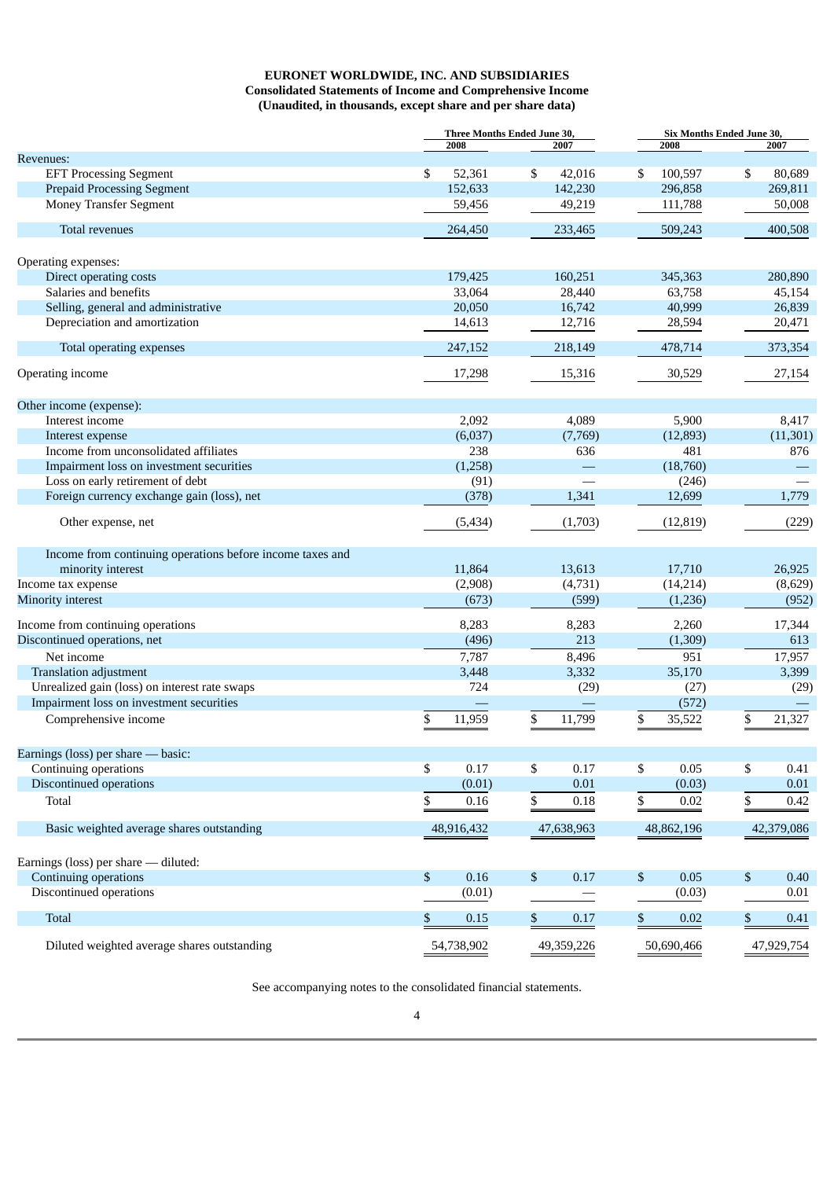## **EURONET WORLDWIDE, INC. AND SUBSIDIARIES Consolidated Statements of Income and Comprehensive Income (Unaudited, in thousands, except share and per share data)**

|                                                           | <b>Three Months Ended June 30,</b><br>2008<br>2007 |              | Six Months Ended June 30,<br>2008 | 2007                              |  |
|-----------------------------------------------------------|----------------------------------------------------|--------------|-----------------------------------|-----------------------------------|--|
| Revenues:                                                 |                                                    |              |                                   |                                   |  |
| <b>EFT Processing Segment</b>                             | \$<br>52,361                                       | \$<br>42,016 | 100,597<br>\$                     | \$<br>80,689                      |  |
| <b>Prepaid Processing Segment</b>                         | 152,633                                            | 142,230      | 296,858                           | 269,811                           |  |
| <b>Money Transfer Segment</b>                             | 59,456                                             | 49,219       | 111,788                           | 50,008                            |  |
| Total revenues                                            | 264,450                                            | 233,465      | 509,243                           | 400,508                           |  |
| Operating expenses:                                       |                                                    |              |                                   |                                   |  |
| Direct operating costs                                    | 179,425                                            | 160,251      | 345,363                           | 280,890                           |  |
| Salaries and benefits                                     | 33,064                                             | 28,440       | 63,758                            | 45,154                            |  |
| Selling, general and administrative                       | 20,050                                             | 16,742       | 40,999                            | 26,839                            |  |
| Depreciation and amortization                             | 14,613                                             | 12,716       | 28,594                            | 20,471                            |  |
| Total operating expenses                                  | 247,152                                            | 218,149      | 478,714                           | 373,354                           |  |
| Operating income                                          | 17,298                                             | 15,316       | 30,529                            | 27,154                            |  |
| Other income (expense):                                   |                                                    |              |                                   |                                   |  |
| Interest income                                           | 2,092                                              | 4,089        | 5,900                             | 8,417                             |  |
| Interest expense                                          | (6,037)                                            | (7,769)      | (12, 893)                         | (11, 301)                         |  |
| Income from unconsolidated affiliates                     | 238                                                | 636          | 481                               | 876                               |  |
| Impairment loss on investment securities                  | (1,258)                                            |              | (18,760)                          |                                   |  |
| Loss on early retirement of debt                          | (91)                                               |              | (246)                             |                                   |  |
| Foreign currency exchange gain (loss), net                | (378)                                              | 1,341        | 12,699                            | 1,779                             |  |
| Other expense, net                                        | (5, 434)                                           | (1,703)      | (12, 819)                         | (229)                             |  |
| Income from continuing operations before income taxes and |                                                    |              |                                   |                                   |  |
| minority interest                                         | 11,864                                             | 13,613       | 17,710                            | 26,925                            |  |
| Income tax expense                                        | (2,908)                                            | (4,731)      | (14, 214)                         | (8,629)                           |  |
| <b>Minority interest</b>                                  | (673)                                              | (599)        | (1,236)                           | (952)                             |  |
| Income from continuing operations                         | 8,283                                              | 8,283        | 2,260                             | 17,344                            |  |
| Discontinued operations, net                              | (496)                                              | 213          | (1,309)                           | 613                               |  |
| Net income                                                | 7,787                                              | 8,496        | 951                               | 17,957                            |  |
| <b>Translation adjustment</b>                             | 3,448                                              | 3,332        | 35,170                            | 3,399                             |  |
| Unrealized gain (loss) on interest rate swaps             | 724                                                | (29)         | (27)                              | (29)                              |  |
| Impairment loss on investment securities                  |                                                    |              | (572)                             |                                   |  |
| Comprehensive income                                      | \$<br>11,959                                       | \$<br>11,799 | \$<br>35,522                      | \$<br>21,327                      |  |
| Earnings (loss) per share - basic:                        |                                                    |              |                                   |                                   |  |
| Continuing operations                                     | \$<br>0.17                                         | \$<br>0.17   | \$<br>0.05                        | \$<br>0.41                        |  |
| Discontinued operations                                   | (0.01)                                             | 0.01         | (0.03)                            | 0.01                              |  |
| Total                                                     | \$<br>0.16                                         | \$<br>0.18   | \$<br>0.02                        | \$<br>0.42                        |  |
| Basic weighted average shares outstanding                 | 48,916,432                                         | 47,638,963   | 48,862,196                        | 42,379,086                        |  |
| Earnings (loss) per share - diluted:                      |                                                    |              |                                   |                                   |  |
| Continuing operations                                     | \$<br>0.16                                         | \$<br>0.17   | $\mathbb{S}$<br>0.05              | $\boldsymbol{\mathsf{S}}$<br>0.40 |  |
| Discontinued operations                                   | (0.01)                                             |              | (0.03)                            | $0.01\,$                          |  |
|                                                           |                                                    |              |                                   |                                   |  |
| <b>Total</b>                                              | \$<br>0.15                                         | \$<br>0.17   | \$<br>0.02                        | \$<br>0.41                        |  |
| Diluted weighted average shares outstanding               | 54,738,902                                         | 49,359,226   | 50,690,466                        | 47,929,754                        |  |

See accompanying notes to the consolidated financial statements.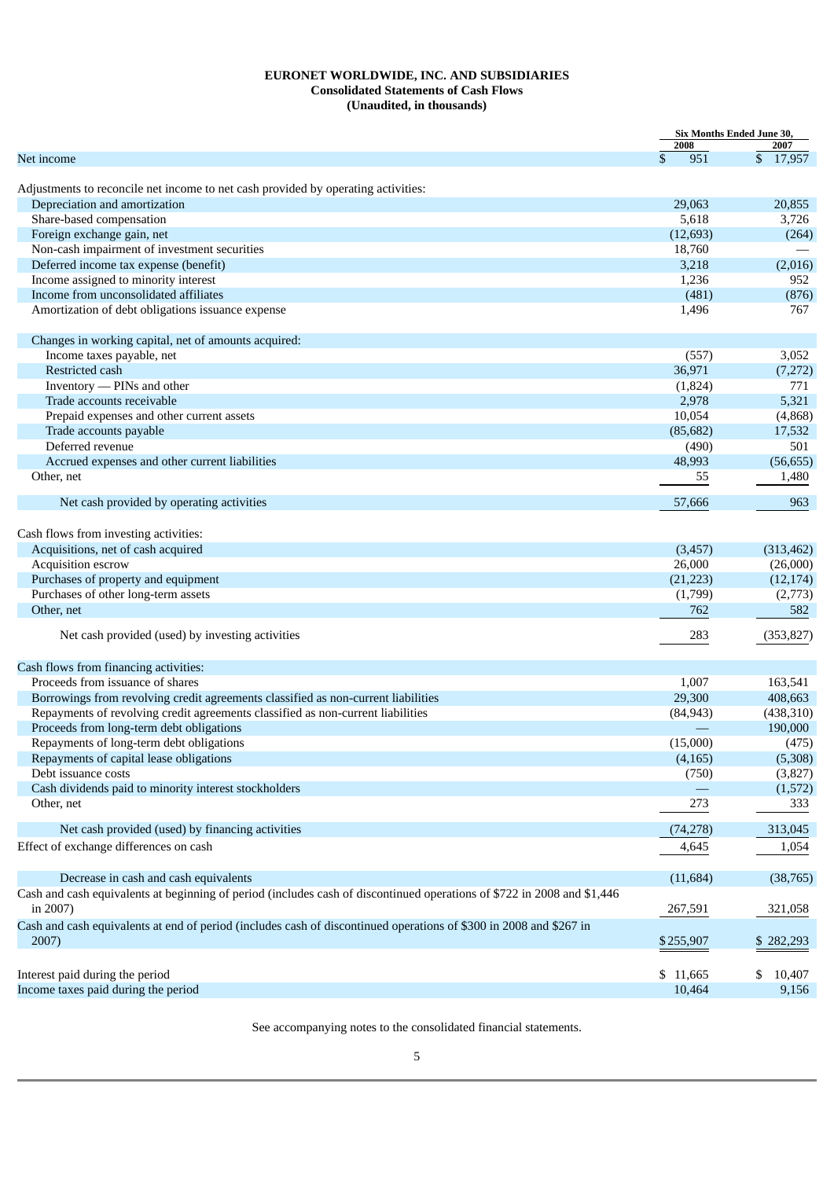#### **EURONET WORLDWIDE, INC. AND SUBSIDIARIES Consolidated Statements of Cash Flows (Unaudited, in thousands)**

|                                                                                                                         | <b>Six Months Ended June 30,</b><br>2007<br>2008 |              |  |  |
|-------------------------------------------------------------------------------------------------------------------------|--------------------------------------------------|--------------|--|--|
| Net income                                                                                                              | \$<br>951                                        | \$17,957     |  |  |
|                                                                                                                         |                                                  |              |  |  |
| Adjustments to reconcile net income to net cash provided by operating activities:                                       |                                                  |              |  |  |
| Depreciation and amortization                                                                                           | 29,063                                           | 20,855       |  |  |
| Share-based compensation                                                                                                | 5,618                                            | 3,726        |  |  |
| Foreign exchange gain, net                                                                                              | (12, 693)                                        | (264)        |  |  |
| Non-cash impairment of investment securities                                                                            | 18,760                                           |              |  |  |
| Deferred income tax expense (benefit)                                                                                   | 3,218                                            | (2,016)      |  |  |
| Income assigned to minority interest                                                                                    | 1,236                                            | 952          |  |  |
| Income from unconsolidated affiliates                                                                                   | (481)                                            | (876)        |  |  |
| Amortization of debt obligations issuance expense                                                                       | 1,496                                            | 767          |  |  |
| Changes in working capital, net of amounts acquired:                                                                    |                                                  |              |  |  |
| Income taxes payable, net                                                                                               | (557)                                            | 3,052        |  |  |
| Restricted cash                                                                                                         | 36,971                                           | (7, 272)     |  |  |
| Inventory — PINs and other                                                                                              | (1,824)                                          | 771          |  |  |
| Trade accounts receivable                                                                                               | 2,978                                            | 5,321        |  |  |
| Prepaid expenses and other current assets                                                                               | 10,054                                           | (4,868)      |  |  |
| Trade accounts payable                                                                                                  | (85, 682)                                        | 17,532       |  |  |
| Deferred revenue                                                                                                        | (490)                                            | 501          |  |  |
| Accrued expenses and other current liabilities                                                                          | 48,993                                           | (56, 655)    |  |  |
| Other, net                                                                                                              | 55                                               | 1,480        |  |  |
|                                                                                                                         |                                                  |              |  |  |
| Net cash provided by operating activities                                                                               | 57,666                                           | 963          |  |  |
| Cash flows from investing activities:                                                                                   |                                                  |              |  |  |
| Acquisitions, net of cash acquired                                                                                      | (3,457)                                          | (313, 462)   |  |  |
| Acquisition escrow                                                                                                      | 26,000                                           | (26,000)     |  |  |
| Purchases of property and equipment                                                                                     | (21, 223)                                        | (12, 174)    |  |  |
| Purchases of other long-term assets                                                                                     | (1,799)                                          | (2,773)      |  |  |
| Other, net                                                                                                              | 762                                              | 582          |  |  |
|                                                                                                                         |                                                  |              |  |  |
| Net cash provided (used) by investing activities                                                                        | 283                                              | (353, 827)   |  |  |
| Cash flows from financing activities:                                                                                   |                                                  |              |  |  |
| Proceeds from issuance of shares                                                                                        | 1,007                                            | 163,541      |  |  |
| Borrowings from revolving credit agreements classified as non-current liabilities                                       | 29,300                                           | 408,663      |  |  |
| Repayments of revolving credit agreements classified as non-current liabilities                                         | (84, 943)                                        | (438, 310)   |  |  |
| Proceeds from long-term debt obligations                                                                                |                                                  | 190,000      |  |  |
| Repayments of long-term debt obligations                                                                                | (15,000)                                         | (475)        |  |  |
| Repayments of capital lease obligations                                                                                 | (4, 165)                                         | (5,308)      |  |  |
| Debt issuance costs                                                                                                     | (750)                                            | (3,827)      |  |  |
| Cash dividends paid to minority interest stockholders                                                                   |                                                  | (1,572)      |  |  |
| Other, net                                                                                                              | 273                                              | 333          |  |  |
| Net cash provided (used) by financing activities                                                                        | (74, 278)                                        | 313,045      |  |  |
|                                                                                                                         |                                                  |              |  |  |
| Effect of exchange differences on cash                                                                                  | 4,645                                            | 1,054        |  |  |
| Decrease in cash and cash equivalents                                                                                   | (11,684)                                         | (38, 765)    |  |  |
| Cash and cash equivalents at beginning of period (includes cash of discontinued operations of \$722 in 2008 and \$1,446 |                                                  |              |  |  |
| in 2007)                                                                                                                | 267,591                                          | 321,058      |  |  |
| Cash and cash equivalents at end of period (includes cash of discontinued operations of \$300 in 2008 and \$267 in      |                                                  |              |  |  |
| 2007)                                                                                                                   | \$255,907                                        | \$282,293    |  |  |
|                                                                                                                         |                                                  |              |  |  |
| Interest paid during the period                                                                                         | \$11,665                                         | \$<br>10,407 |  |  |
| Income taxes paid during the period                                                                                     | 10,464                                           | 9,156        |  |  |

See accompanying notes to the consolidated financial statements.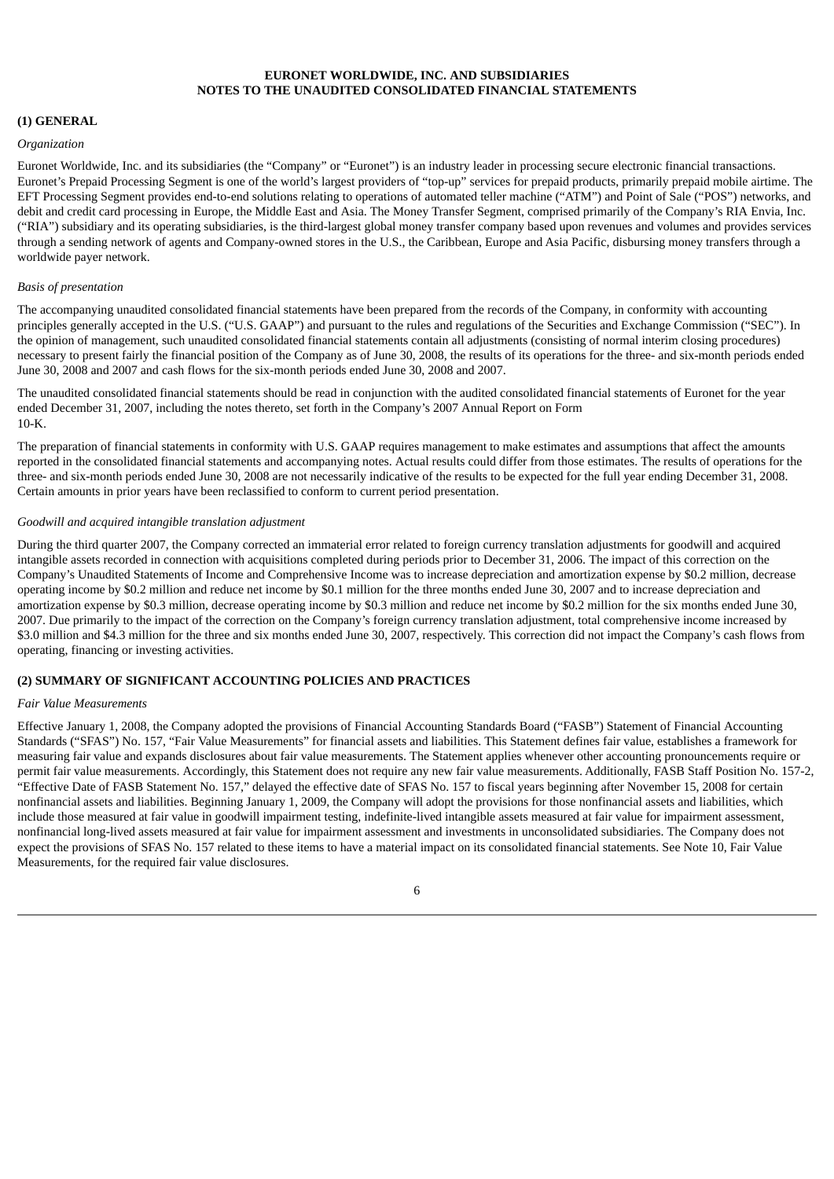## **EURONET WORLDWIDE, INC. AND SUBSIDIARIES NOTES TO THE UNAUDITED CONSOLIDATED FINANCIAL STATEMENTS**

#### **(1) GENERAL**

#### *Organization*

Euronet Worldwide, Inc. and its subsidiaries (the "Company" or "Euronet") is an industry leader in processing secure electronic financial transactions. Euronet's Prepaid Processing Segment is one of the world's largest providers of "top-up" services for prepaid products, primarily prepaid mobile airtime. The EFT Processing Segment provides end-to-end solutions relating to operations of automated teller machine ("ATM") and Point of Sale ("POS") networks, and debit and credit card processing in Europe, the Middle East and Asia. The Money Transfer Segment, comprised primarily of the Company's RIA Envia, Inc. ("RIA") subsidiary and its operating subsidiaries, is the third-largest global money transfer company based upon revenues and volumes and provides services through a sending network of agents and Company-owned stores in the U.S., the Caribbean, Europe and Asia Pacific, disbursing money transfers through a worldwide payer network.

#### *Basis of presentation*

The accompanying unaudited consolidated financial statements have been prepared from the records of the Company, in conformity with accounting principles generally accepted in the U.S. ("U.S. GAAP") and pursuant to the rules and regulations of the Securities and Exchange Commission ("SEC"). In the opinion of management, such unaudited consolidated financial statements contain all adjustments (consisting of normal interim closing procedures) necessary to present fairly the financial position of the Company as of June 30, 2008, the results of its operations for the three- and six-month periods ended June 30, 2008 and 2007 and cash flows for the six-month periods ended June 30, 2008 and 2007.

The unaudited consolidated financial statements should be read in conjunction with the audited consolidated financial statements of Euronet for the year ended December 31, 2007, including the notes thereto, set forth in the Company's 2007 Annual Report on Form 10-K.

The preparation of financial statements in conformity with U.S. GAAP requires management to make estimates and assumptions that affect the amounts reported in the consolidated financial statements and accompanying notes. Actual results could differ from those estimates. The results of operations for the three- and six-month periods ended June 30, 2008 are not necessarily indicative of the results to be expected for the full year ending December 31, 2008. Certain amounts in prior years have been reclassified to conform to current period presentation.

#### *Goodwill and acquired intangible translation adjustment*

During the third quarter 2007, the Company corrected an immaterial error related to foreign currency translation adjustments for goodwill and acquired intangible assets recorded in connection with acquisitions completed during periods prior to December 31, 2006. The impact of this correction on the Company's Unaudited Statements of Income and Comprehensive Income was to increase depreciation and amortization expense by \$0.2 million, decrease operating income by \$0.2 million and reduce net income by \$0.1 million for the three months ended June 30, 2007 and to increase depreciation and amortization expense by \$0.3 million, decrease operating income by \$0.3 million and reduce net income by \$0.2 million for the six months ended June 30, 2007. Due primarily to the impact of the correction on the Company's foreign currency translation adjustment, total comprehensive income increased by \$3.0 million and \$4.3 million for the three and six months ended June 30, 2007, respectively. This correction did not impact the Company's cash flows from operating, financing or investing activities.

## **(2) SUMMARY OF SIGNIFICANT ACCOUNTING POLICIES AND PRACTICES**

#### *Fair Value Measurements*

Effective January 1, 2008, the Company adopted the provisions of Financial Accounting Standards Board ("FASB") Statement of Financial Accounting Standards ("SFAS") No. 157, "Fair Value Measurements" for financial assets and liabilities. This Statement defines fair value, establishes a framework for measuring fair value and expands disclosures about fair value measurements. The Statement applies whenever other accounting pronouncements require or permit fair value measurements. Accordingly, this Statement does not require any new fair value measurements. Additionally, FASB Staff Position No. 157-2, "Effective Date of FASB Statement No. 157," delayed the effective date of SFAS No. 157 to fiscal years beginning after November 15, 2008 for certain nonfinancial assets and liabilities. Beginning January 1, 2009, the Company will adopt the provisions for those nonfinancial assets and liabilities, which include those measured at fair value in goodwill impairment testing, indefinite-lived intangible assets measured at fair value for impairment assessment, nonfinancial long-lived assets measured at fair value for impairment assessment and investments in unconsolidated subsidiaries. The Company does not expect the provisions of SFAS No. 157 related to these items to have a material impact on its consolidated financial statements. See Note 10, Fair Value Measurements, for the required fair value disclosures.

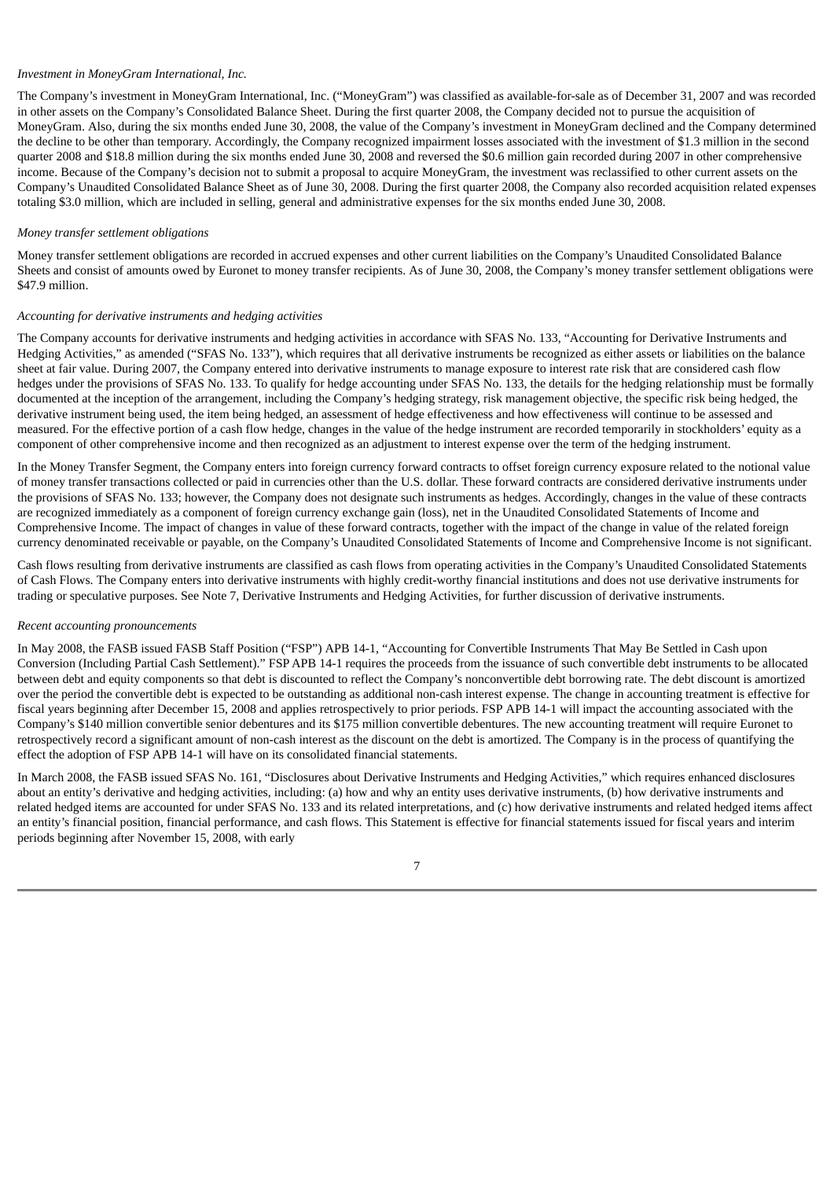#### *Investment in MoneyGram International, Inc.*

The Company's investment in MoneyGram International, Inc. ("MoneyGram") was classified as available-for-sale as of December 31, 2007 and was recorded in other assets on the Company's Consolidated Balance Sheet. During the first quarter 2008, the Company decided not to pursue the acquisition of MoneyGram. Also, during the six months ended June 30, 2008, the value of the Company's investment in MoneyGram declined and the Company determined the decline to be other than temporary. Accordingly, the Company recognized impairment losses associated with the investment of \$1.3 million in the second quarter 2008 and \$18.8 million during the six months ended June 30, 2008 and reversed the \$0.6 million gain recorded during 2007 in other comprehensive income. Because of the Company's decision not to submit a proposal to acquire MoneyGram, the investment was reclassified to other current assets on the Company's Unaudited Consolidated Balance Sheet as of June 30, 2008. During the first quarter 2008, the Company also recorded acquisition related expenses totaling \$3.0 million, which are included in selling, general and administrative expenses for the six months ended June 30, 2008.

## *Money transfer settlement obligations*

Money transfer settlement obligations are recorded in accrued expenses and other current liabilities on the Company's Unaudited Consolidated Balance Sheets and consist of amounts owed by Euronet to money transfer recipients. As of June 30, 2008, the Company's money transfer settlement obligations were \$47.9 million.

#### *Accounting for derivative instruments and hedging activities*

The Company accounts for derivative instruments and hedging activities in accordance with SFAS No. 133, "Accounting for Derivative Instruments and Hedging Activities," as amended ("SFAS No. 133"), which requires that all derivative instruments be recognized as either assets or liabilities on the balance sheet at fair value. During 2007, the Company entered into derivative instruments to manage exposure to interest rate risk that are considered cash flow hedges under the provisions of SFAS No. 133. To qualify for hedge accounting under SFAS No. 133, the details for the hedging relationship must be formally documented at the inception of the arrangement, including the Company's hedging strategy, risk management objective, the specific risk being hedged, the derivative instrument being used, the item being hedged, an assessment of hedge effectiveness and how effectiveness will continue to be assessed and measured. For the effective portion of a cash flow hedge, changes in the value of the hedge instrument are recorded temporarily in stockholders' equity as a component of other comprehensive income and then recognized as an adjustment to interest expense over the term of the hedging instrument.

In the Money Transfer Segment, the Company enters into foreign currency forward contracts to offset foreign currency exposure related to the notional value of money transfer transactions collected or paid in currencies other than the U.S. dollar. These forward contracts are considered derivative instruments under the provisions of SFAS No. 133; however, the Company does not designate such instruments as hedges. Accordingly, changes in the value of these contracts are recognized immediately as a component of foreign currency exchange gain (loss), net in the Unaudited Consolidated Statements of Income and Comprehensive Income. The impact of changes in value of these forward contracts, together with the impact of the change in value of the related foreign currency denominated receivable or payable, on the Company's Unaudited Consolidated Statements of Income and Comprehensive Income is not significant.

Cash flows resulting from derivative instruments are classified as cash flows from operating activities in the Company's Unaudited Consolidated Statements of Cash Flows. The Company enters into derivative instruments with highly credit-worthy financial institutions and does not use derivative instruments for trading or speculative purposes. See Note 7, Derivative Instruments and Hedging Activities, for further discussion of derivative instruments.

#### *Recent accounting pronouncements*

In May 2008, the FASB issued FASB Staff Position ("FSP") APB 14-1, "Accounting for Convertible Instruments That May Be Settled in Cash upon Conversion (Including Partial Cash Settlement)." FSP APB 14-1 requires the proceeds from the issuance of such convertible debt instruments to be allocated between debt and equity components so that debt is discounted to reflect the Company's nonconvertible debt borrowing rate. The debt discount is amortized over the period the convertible debt is expected to be outstanding as additional non-cash interest expense. The change in accounting treatment is effective for fiscal years beginning after December 15, 2008 and applies retrospectively to prior periods. FSP APB 14-1 will impact the accounting associated with the Company's \$140 million convertible senior debentures and its \$175 million convertible debentures. The new accounting treatment will require Euronet to retrospectively record a significant amount of non-cash interest as the discount on the debt is amortized. The Company is in the process of quantifying the effect the adoption of FSP APB 14-1 will have on its consolidated financial statements.

In March 2008, the FASB issued SFAS No. 161, "Disclosures about Derivative Instruments and Hedging Activities," which requires enhanced disclosures about an entity's derivative and hedging activities, including: (a) how and why an entity uses derivative instruments, (b) how derivative instruments and related hedged items are accounted for under SFAS No. 133 and its related interpretations, and (c) how derivative instruments and related hedged items affect an entity's financial position, financial performance, and cash flows. This Statement is effective for financial statements issued for fiscal years and interim periods beginning after November 15, 2008, with early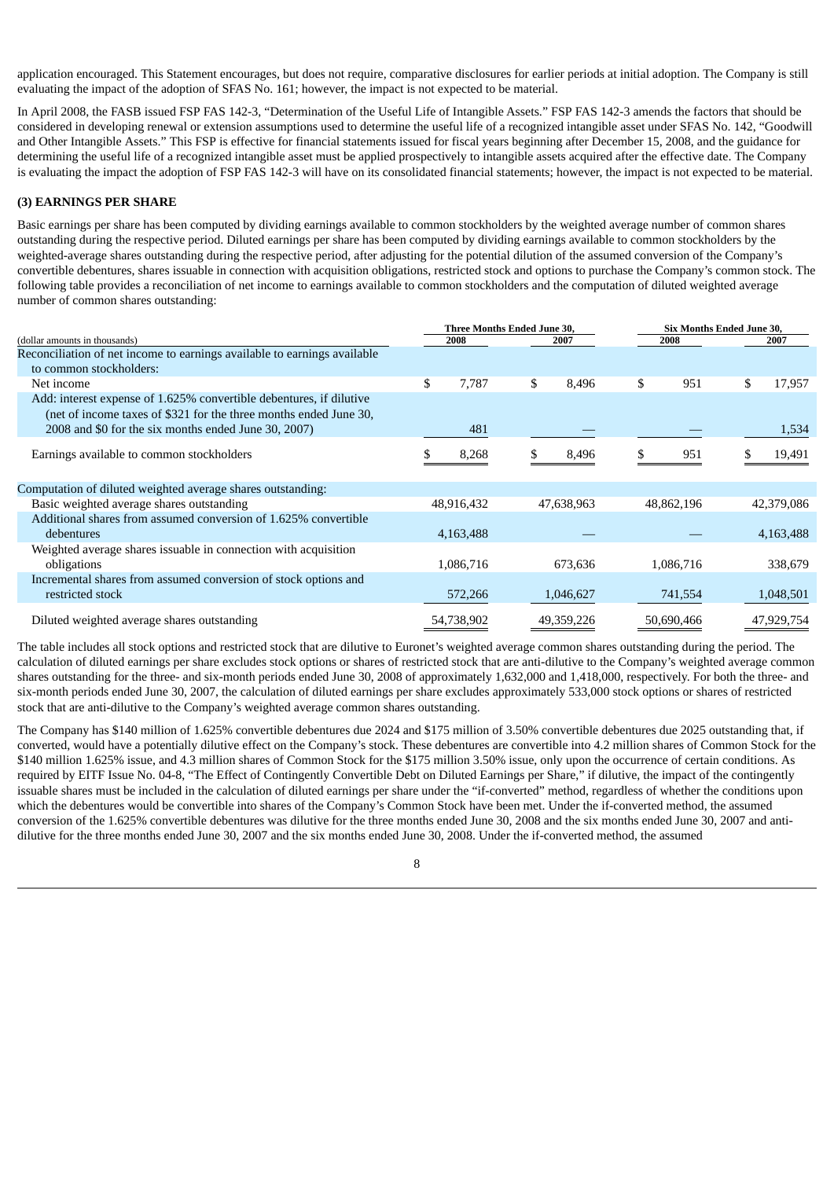application encouraged. This Statement encourages, but does not require, comparative disclosures for earlier periods at initial adoption. The Company is still evaluating the impact of the adoption of SFAS No. 161; however, the impact is not expected to be material.

In April 2008, the FASB issued FSP FAS 142-3, "Determination of the Useful Life of Intangible Assets." FSP FAS 142-3 amends the factors that should be considered in developing renewal or extension assumptions used to determine the useful life of a recognized intangible asset under SFAS No. 142, "Goodwill and Other Intangible Assets." This FSP is effective for financial statements issued for fiscal years beginning after December 15, 2008, and the guidance for determining the useful life of a recognized intangible asset must be applied prospectively to intangible assets acquired after the effective date. The Company is evaluating the impact the adoption of FSP FAS 142-3 will have on its consolidated financial statements; however, the impact is not expected to be material.

## **(3) EARNINGS PER SHARE**

Basic earnings per share has been computed by dividing earnings available to common stockholders by the weighted average number of common shares outstanding during the respective period. Diluted earnings per share has been computed by dividing earnings available to common stockholders by the weighted-average shares outstanding during the respective period, after adjusting for the potential dilution of the assumed conversion of the Company's convertible debentures, shares issuable in connection with acquisition obligations, restricted stock and options to purchase the Company's common stock. The following table provides a reconciliation of net income to earnings available to common stockholders and the computation of diluted weighted average number of common shares outstanding:

|                                                                                                                                          |            | <b>Three Months Ended June 30,</b> |            |            |      | <b>Six Months Ended June 30,</b> |      |            |  |
|------------------------------------------------------------------------------------------------------------------------------------------|------------|------------------------------------|------------|------------|------|----------------------------------|------|------------|--|
| (dollar amounts in thousands)                                                                                                            |            | 2008<br>2007                       |            |            | 2008 |                                  | 2007 |            |  |
| Reconciliation of net income to earnings available to earnings available                                                                 |            |                                    |            |            |      |                                  |      |            |  |
| to common stockholders:                                                                                                                  |            |                                    |            |            |      |                                  |      |            |  |
| Net income                                                                                                                               | \$         | 7,787                              | S          | 8,496      | \$   | 951                              | S    | 17,957     |  |
| Add: interest expense of 1.625% convertible debentures, if dilutive<br>(net of income taxes of \$321 for the three months ended June 30, |            |                                    |            |            |      |                                  |      |            |  |
| 2008 and \$0 for the six months ended June 30, 2007)                                                                                     |            | 481                                |            |            |      |                                  |      | 1,534      |  |
| Earnings available to common stockholders                                                                                                |            | 8,268                              |            | 8,496      |      | 951                              |      | 19,491     |  |
| Computation of diluted weighted average shares outstanding:                                                                              |            |                                    |            |            |      |                                  |      |            |  |
| Basic weighted average shares outstanding                                                                                                | 48,916,432 |                                    | 47,638,963 |            |      | 48,862,196                       |      | 42,379,086 |  |
| Additional shares from assumed conversion of 1.625% convertible                                                                          |            |                                    |            |            |      |                                  |      |            |  |
| debentures                                                                                                                               |            | 4,163,488                          |            |            |      |                                  |      | 4,163,488  |  |
| Weighted average shares issuable in connection with acquisition<br>obligations                                                           | 1,086,716  |                                    |            | 673,636    |      | 1,086,716                        |      | 338,679    |  |
| Incremental shares from assumed conversion of stock options and<br>restricted stock                                                      |            | 572,266                            |            | 1,046,627  |      | 741,554                          |      | 1,048,501  |  |
| Diluted weighted average shares outstanding                                                                                              | 54,738,902 |                                    |            | 49,359,226 |      | 50,690,466                       |      | 47,929,754 |  |

The table includes all stock options and restricted stock that are dilutive to Euronet's weighted average common shares outstanding during the period. The calculation of diluted earnings per share excludes stock options or shares of restricted stock that are anti-dilutive to the Company's weighted average common shares outstanding for the three- and six-month periods ended June 30, 2008 of approximately 1,632,000 and 1,418,000, respectively. For both the three- and six-month periods ended June 30, 2007, the calculation of diluted earnings per share excludes approximately 533,000 stock options or shares of restricted stock that are anti-dilutive to the Company's weighted average common shares outstanding.

The Company has \$140 million of 1.625% convertible debentures due 2024 and \$175 million of 3.50% convertible debentures due 2025 outstanding that, if converted, would have a potentially dilutive effect on the Company's stock. These debentures are convertible into 4.2 million shares of Common Stock for the \$140 million 1.625% issue, and 4.3 million shares of Common Stock for the \$175 million 3.50% issue, only upon the occurrence of certain conditions. As required by EITF Issue No. 04-8, "The Effect of Contingently Convertible Debt on Diluted Earnings per Share," if dilutive, the impact of the contingently issuable shares must be included in the calculation of diluted earnings per share under the "if-converted" method, regardless of whether the conditions upon which the debentures would be convertible into shares of the Company's Common Stock have been met. Under the if-converted method, the assumed conversion of the 1.625% convertible debentures was dilutive for the three months ended June 30, 2008 and the six months ended June 30, 2007 and antidilutive for the three months ended June 30, 2007 and the six months ended June 30, 2008. Under the if-converted method, the assumed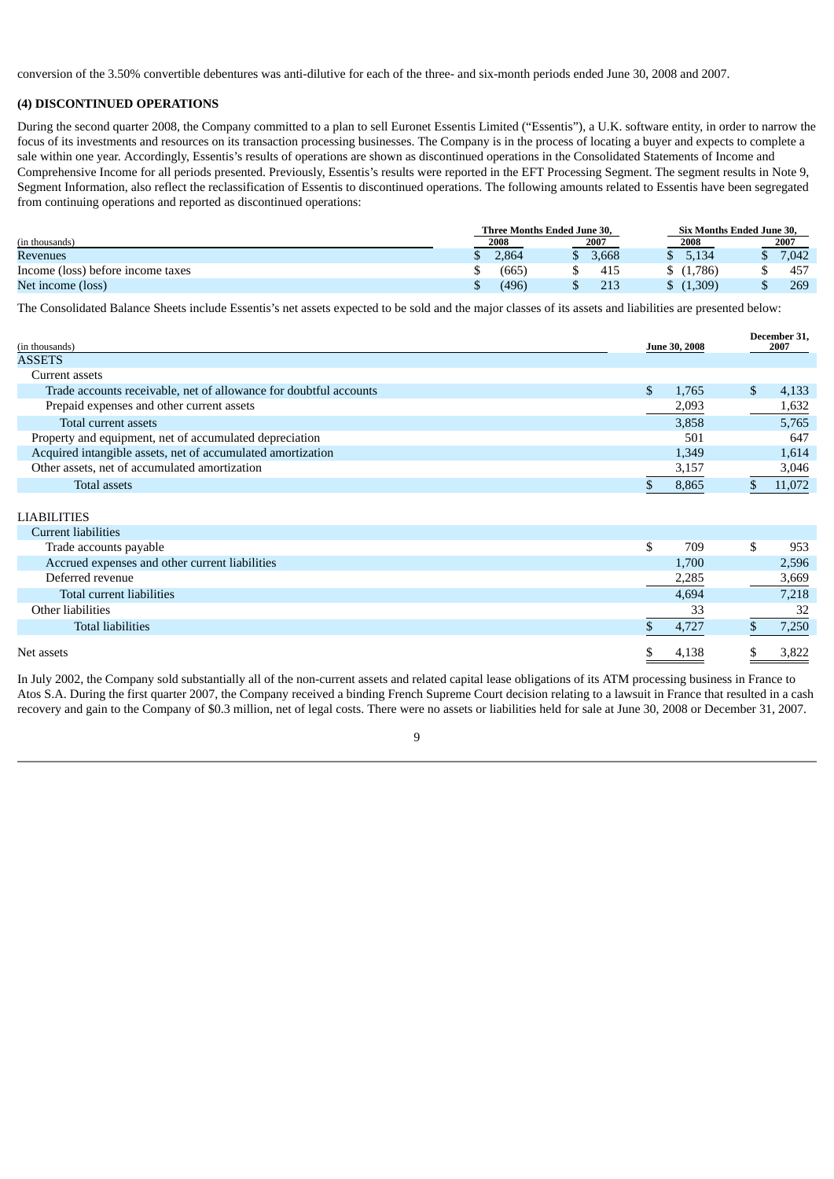conversion of the 3.50% convertible debentures was anti-dilutive for each of the three- and six-month periods ended June 30, 2008 and 2007.

## **(4) DISCONTINUED OPERATIONS**

During the second quarter 2008, the Company committed to a plan to sell Euronet Essentis Limited ("Essentis"), a U.K. software entity, in order to narrow the focus of its investments and resources on its transaction processing businesses. The Company is in the process of locating a buyer and expects to complete a sale within one year. Accordingly, Essentis's results of operations are shown as discontinued operations in the Consolidated Statements of Income and Comprehensive Income for all periods presented. Previously, Essentis's results were reported in the EFT Processing Segment. The segment results in Note 9, Segment Information, also reflect the reclassification of Essentis to discontinued operations. The following amounts related to Essentis have been segregated from continuing operations and reported as discontinued operations:

|                                   | Three Months Ended June 30. |       |  | <b>Six Months Ended June 30.</b> |  |          |  |       |
|-----------------------------------|-----------------------------|-------|--|----------------------------------|--|----------|--|-------|
| (in thousands)                    |                             | 2008  |  | 2007                             |  | 2008     |  | 2007  |
| Revenues                          |                             | 2,864 |  | 3,668                            |  | 5.134    |  | 7,042 |
| Income (loss) before income taxes |                             | (665  |  | 415                              |  | (1,786)  |  | 457   |
| Net income (loss)                 |                             | (496) |  | 213                              |  | (1, 309) |  | 269   |

The Consolidated Balance Sheets include Essentis's net assets expected to be sold and the major classes of its assets and liabilities are presented below:

| (in thousands)                                                    | <b>June 30, 2008</b> | December 31,<br>2007 |
|-------------------------------------------------------------------|----------------------|----------------------|
| <b>ASSETS</b>                                                     |                      |                      |
| Current assets                                                    |                      |                      |
| Trade accounts receivable, net of allowance for doubtful accounts | 1.765                | 4.133                |
| Prepaid expenses and other current assets                         | 2,093                | 1,632                |
| Total current assets                                              | 3,858                | 5.765                |
| Property and equipment, net of accumulated depreciation           | 501                  | 647                  |
| Acquired intangible assets, net of accumulated amortization       | 1.349                | 1,614                |
| Other assets, net of accumulated amortization                     | 3,157                | 3,046                |
| <b>Total assets</b>                                               | 8.865                | 11.072               |
|                                                                   |                      |                      |

## LIABILITIES

| <b>Current liabilities</b>                     |       |       |
|------------------------------------------------|-------|-------|
| Trade accounts payable                         | 709   | 953   |
| Accrued expenses and other current liabilities | 1,700 | 2,596 |
| Deferred revenue                               | 2,285 | 3,669 |
| Total current liabilities                      | 4,694 | 7,218 |
| Other liabilities                              | 33    | 32    |
| <b>Total liabilities</b>                       | 4.727 | 7,250 |
| Net assets                                     | 4.138 | 3.822 |

In July 2002, the Company sold substantially all of the non-current assets and related capital lease obligations of its ATM processing business in France to Atos S.A. During the first quarter 2007, the Company received a binding French Supreme Court decision relating to a lawsuit in France that resulted in a cash recovery and gain to the Company of \$0.3 million, net of legal costs. There were no assets or liabilities held for sale at June 30, 2008 or December 31, 2007.

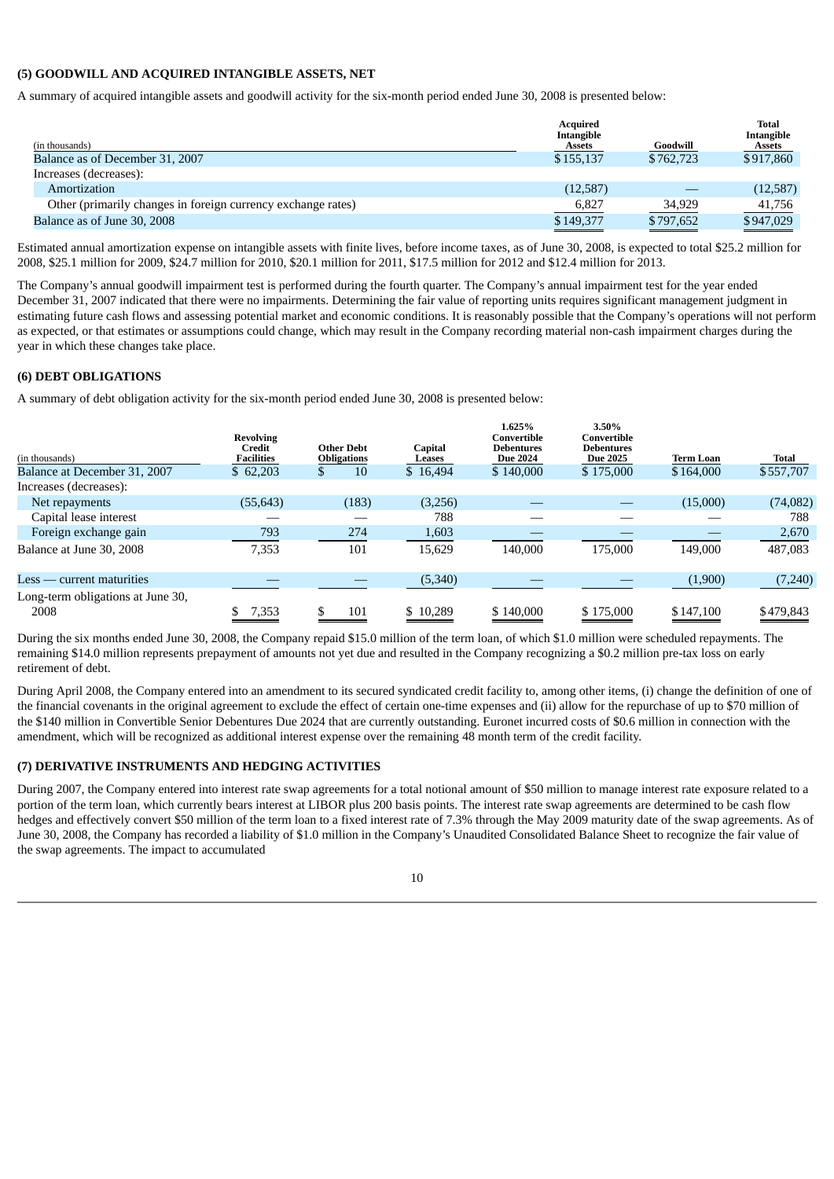## **(5) GOODWILL AND ACQUIRED INTANGIBLE ASSETS, NET**

A summary of acquired intangible assets and goodwill activity for the six-month period ended June 30, 2008 is presented below:

| (in thousands)                                               | Acquired<br>Intangible<br>Assets | Goodwill  | Total<br>Intangible<br>Assets |
|--------------------------------------------------------------|----------------------------------|-----------|-------------------------------|
| Balance as of December 31, 2007                              | \$155,137                        | \$762,723 | \$917,860                     |
| Increases (decreases):                                       |                                  |           |                               |
| Amortization                                                 | (12,587)                         |           | (12, 587)                     |
| Other (primarily changes in foreign currency exchange rates) | 6,827                            | 34,929    | 41,756                        |
| Balance as of June 30, 2008                                  | \$149,377                        | \$797,652 | \$947,029                     |

Estimated annual amortization expense on intangible assets with finite lives, before income taxes, as of June 30, 2008, is expected to total \$25.2 million for 2008, \$25.1 million for 2009, \$24.7 million for 2010, \$20.1 million for 2011, \$17.5 million for 2012 and \$12.4 million for 2013.

The Company's annual goodwill impairment test is performed during the fourth quarter. The Company's annual impairment test for the year ended December 31, 2007 indicated that there were no impairments. Determining the fair value of reporting units requires significant management judgment in estimating future cash flows and assessing potential market and economic conditions. It is reasonably possible that the Company's operations will not perform as expected, or that estimates or assumptions could change, which may result in the Company recording material non-cash impairment charges during the year in which these changes take place.

#### **(6) DEBT OBLIGATIONS**

A summary of debt obligation activity for the six-month period ended June 30, 2008 is presented below:

| (in thousands)                            | <b>Revolving</b><br>Credit<br><b>Facilities</b> | Other Debt<br><b>Obligations</b> | Capital<br>Leases | 1.625%<br>Convertible<br><b>Debentures</b><br><b>Due 2024</b> | 3.50%<br>Convertible<br><b>Debentures</b><br><b>Due 2025</b> | Term Loan | Total     |
|-------------------------------------------|-------------------------------------------------|----------------------------------|-------------------|---------------------------------------------------------------|--------------------------------------------------------------|-----------|-----------|
| Balance at December 31, 2007              | \$62,203                                        | 10<br>D                          | \$16,494          | \$140,000                                                     | \$175,000                                                    | \$164,000 | \$557,707 |
| Increases (decreases):                    |                                                 |                                  |                   |                                                               |                                                              |           |           |
| Net repayments                            | (55, 643)                                       | (183)                            | (3,256)           |                                                               |                                                              | (15,000)  | (74,082)  |
| Capital lease interest                    |                                                 |                                  | 788               |                                                               |                                                              |           | 788       |
| Foreign exchange gain                     | 793                                             | 274                              | 1,603             |                                                               |                                                              |           | 2,670     |
| Balance at June 30, 2008                  | 7,353                                           | 101                              | 15,629            | 140,000                                                       | 175,000                                                      | 149,000   | 487,083   |
| Less — current maturities                 |                                                 |                                  | (5,340)           |                                                               |                                                              | (1,900)   | (7,240)   |
| Long-term obligations at June 30,<br>2008 | 353,                                            | 101                              | \$10,289          | \$140,000                                                     | \$175,000                                                    | \$147,100 | \$479,843 |

During the six months ended June 30, 2008, the Company repaid \$15.0 million of the term loan, of which \$1.0 million were scheduled repayments. The remaining \$14.0 million represents prepayment of amounts not yet due and resulted in the Company recognizing a \$0.2 million pre-tax loss on early retirement of debt.

During April 2008, the Company entered into an amendment to its secured syndicated credit facility to, among other items, (i) change the definition of one of the financial covenants in the original agreement to exclude the effect of certain one-time expenses and (ii) allow for the repurchase of up to \$70 million of the \$140 million in Convertible Senior Debentures Due 2024 that are currently outstanding. Euronet incurred costs of \$0.6 million in connection with the amendment, which will be recognized as additional interest expense over the remaining 48 month term of the credit facility.

#### **(7) DERIVATIVE INSTRUMENTS AND HEDGING ACTIVITIES**

During 2007, the Company entered into interest rate swap agreements for a total notional amount of \$50 million to manage interest rate exposure related to a portion of the term loan, which currently bears interest at LIBOR plus 200 basis points. The interest rate swap agreements are determined to be cash flow hedges and effectively convert \$50 million of the term loan to a fixed interest rate of 7.3% through the May 2009 maturity date of the swap agreements. As of June 30, 2008, the Company has recorded a liability of \$1.0 million in the Company's Unaudited Consolidated Balance Sheet to recognize the fair value of the swap agreements. The impact to accumulated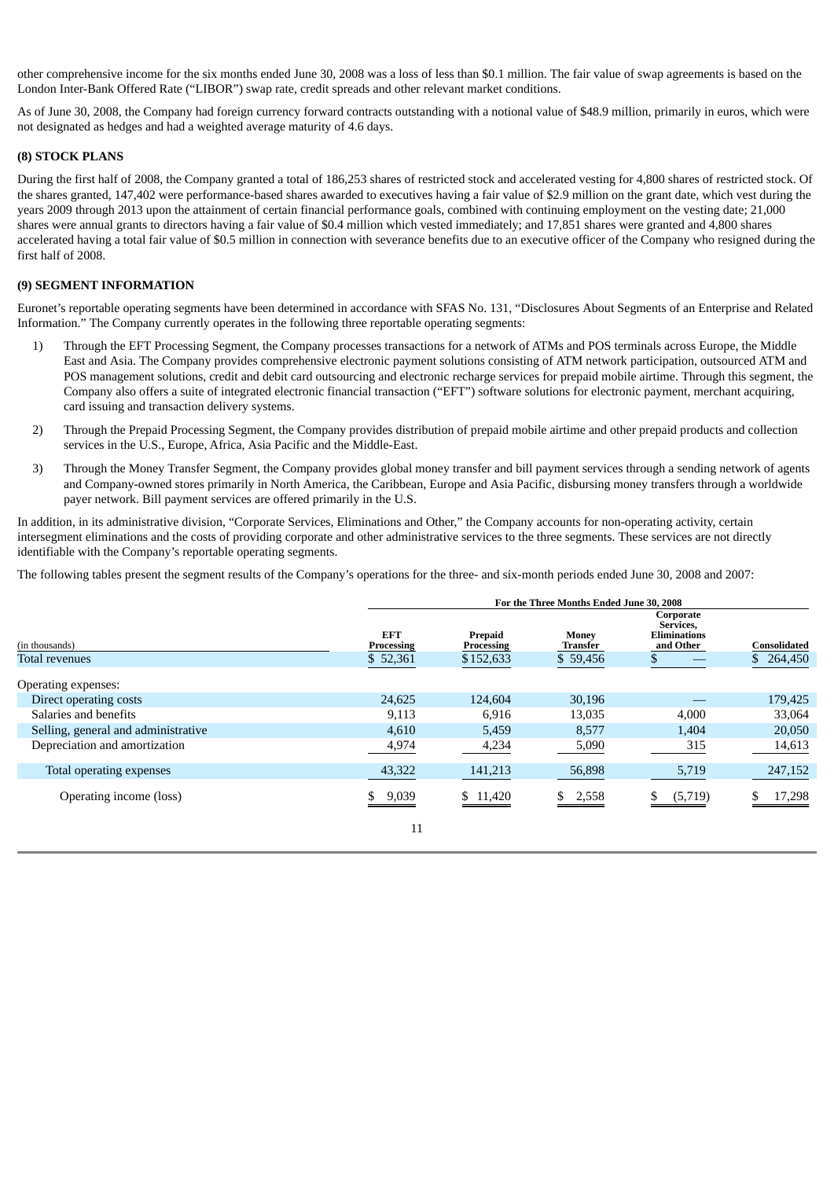other comprehensive income for the six months ended June 30, 2008 was a loss of less than \$0.1 million. The fair value of swap agreements is based on the London Inter-Bank Offered Rate ("LIBOR") swap rate, credit spreads and other relevant market conditions.

As of June 30, 2008, the Company had foreign currency forward contracts outstanding with a notional value of \$48.9 million, primarily in euros, which were not designated as hedges and had a weighted average maturity of 4.6 days.

## **(8) STOCK PLANS**

During the first half of 2008, the Company granted a total of 186,253 shares of restricted stock and accelerated vesting for 4,800 shares of restricted stock. Of the shares granted, 147,402 were performance-based shares awarded to executives having a fair value of \$2.9 million on the grant date, which vest during the years 2009 through 2013 upon the attainment of certain financial performance goals, combined with continuing employment on the vesting date; 21,000 shares were annual grants to directors having a fair value of \$0.4 million which vested immediately; and 17,851 shares were granted and 4,800 shares accelerated having a total fair value of \$0.5 million in connection with severance benefits due to an executive officer of the Company who resigned during the first half of 2008.

## **(9) SEGMENT INFORMATION**

Euronet's reportable operating segments have been determined in accordance with SFAS No. 131, "Disclosures About Segments of an Enterprise and Related Information." The Company currently operates in the following three reportable operating segments:

- 1) Through the EFT Processing Segment, the Company processes transactions for a network of ATMs and POS terminals across Europe, the Middle East and Asia. The Company provides comprehensive electronic payment solutions consisting of ATM network participation, outsourced ATM and POS management solutions, credit and debit card outsourcing and electronic recharge services for prepaid mobile airtime. Through this segment, the Company also offers a suite of integrated electronic financial transaction ("EFT") software solutions for electronic payment, merchant acquiring, card issuing and transaction delivery systems.
- 2) Through the Prepaid Processing Segment, the Company provides distribution of prepaid mobile airtime and other prepaid products and collection services in the U.S., Europe, Africa, Asia Pacific and the Middle-East.
- 3) Through the Money Transfer Segment, the Company provides global money transfer and bill payment services through a sending network of agents and Company-owned stores primarily in North America, the Caribbean, Europe and Asia Pacific, disbursing money transfers through a worldwide payer network. Bill payment services are offered primarily in the U.S.

In addition, in its administrative division, "Corporate Services, Eliminations and Other," the Company accounts for non-operating activity, certain intersegment eliminations and the costs of providing corporate and other administrative services to the three segments. These services are not directly identifiable with the Company's reportable operating segments.

The following tables present the segment results of the Company's operations for the three- and six-month periods ended June 30, 2008 and 2007:

|                                     | For the Three Months Ended June 30, 2008 |                       |                   |                                                            |              |  |  |  |
|-------------------------------------|------------------------------------------|-----------------------|-------------------|------------------------------------------------------------|--------------|--|--|--|
| (in thousands)                      | EFT<br>Processing                        | Prepaid<br>Processing | Money<br>Transfer | Corporate<br>Services,<br><b>Eliminations</b><br>and Other | Consolidated |  |  |  |
| <b>Total revenues</b>               | \$52,361                                 | \$152,633             | \$59,456          |                                                            | \$264,450    |  |  |  |
| Operating expenses:                 |                                          |                       |                   |                                                            |              |  |  |  |
| Direct operating costs              | 24,625                                   | 124,604               | 30,196            |                                                            | 179,425      |  |  |  |
| Salaries and benefits               | 9,113                                    | 6,916                 | 13,035            | 4,000                                                      | 33,064       |  |  |  |
| Selling, general and administrative | 4,610                                    | 5,459                 | 8,577             | 1,404                                                      | 20,050       |  |  |  |
| Depreciation and amortization       | 4,974                                    | 4,234                 | 5,090             | 315                                                        | 14,613       |  |  |  |
| Total operating expenses            | 43,322                                   | 141,213               | 56,898            | 5,719                                                      | 247,152      |  |  |  |
| Operating income (loss)             | 9,039<br>\$                              | \$11,420              | \$2,558           | (5,719)                                                    | 17,298       |  |  |  |
|                                     | 11                                       |                       |                   |                                                            |              |  |  |  |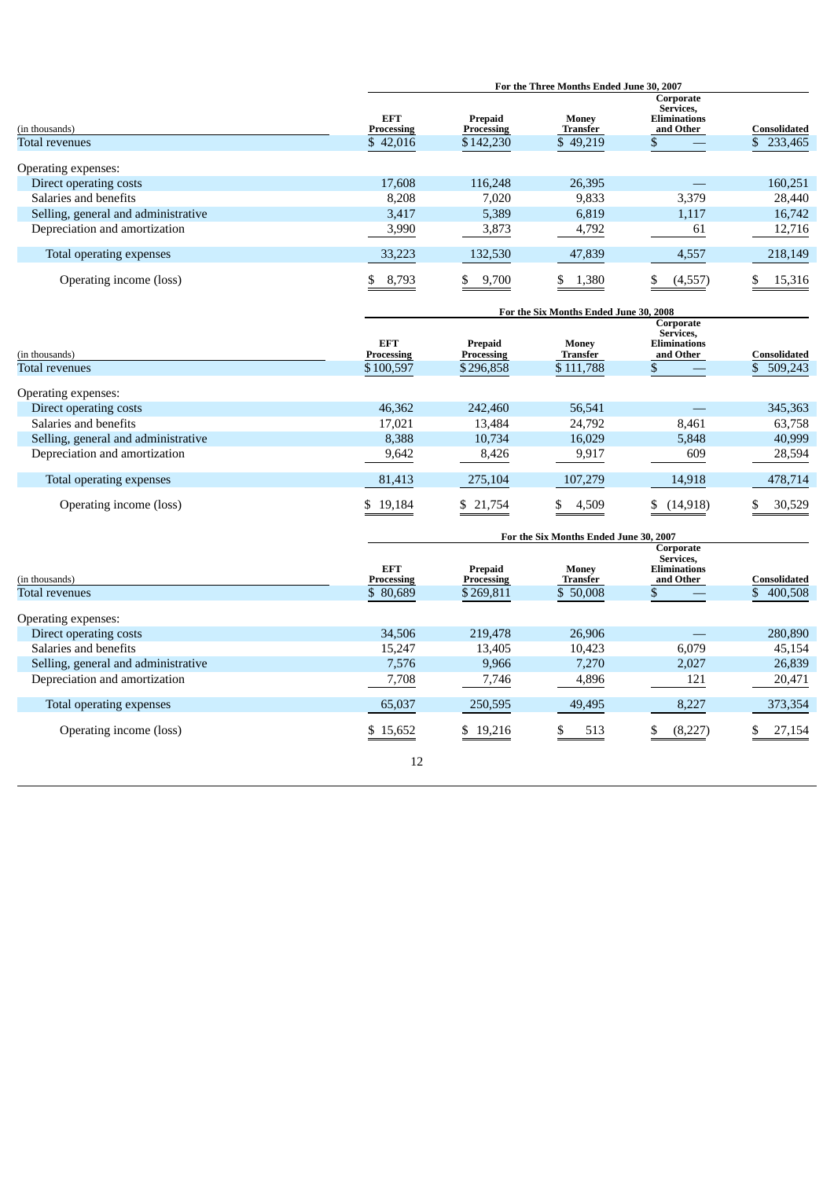|                                     |                          |                                        | For the Three Months Ended June 30, 2007 |                                                            |              |  |  |  |  |
|-------------------------------------|--------------------------|----------------------------------------|------------------------------------------|------------------------------------------------------------|--------------|--|--|--|--|
| (in thousands)                      | <b>EFT</b><br>Processing | Prepaid<br>Processing                  | Money<br>Transfer                        | Corporate<br>Services,<br><b>Eliminations</b><br>and Other | Consolidated |  |  |  |  |
| <b>Total revenues</b>               | \$42,016                 | \$142,230                              | \$49,219                                 | J                                                          | \$ 233,465   |  |  |  |  |
| Operating expenses:                 |                          |                                        |                                          |                                                            |              |  |  |  |  |
| Direct operating costs              | 17,608                   | 116,248                                | 26,395                                   |                                                            | 160,251      |  |  |  |  |
| Salaries and benefits               | 8,208                    | 7,020                                  | 9,833                                    | 3,379                                                      | 28,440       |  |  |  |  |
| Selling, general and administrative | 3,417                    | 5,389                                  | 6,819                                    | 1,117                                                      | 16,742       |  |  |  |  |
| Depreciation and amortization       | 3,990                    | 3,873                                  | 4,792                                    | 61                                                         | 12,716       |  |  |  |  |
| Total operating expenses            | 33,223                   | 132,530                                | 47,839                                   | 4,557                                                      | 218,149      |  |  |  |  |
| Operating income (loss)             | \$8,793                  | 9,700                                  | 1,380                                    | (4,557)                                                    | 15,316       |  |  |  |  |
|                                     |                          | For the Six Months Ended June 30, 2008 |                                          |                                                            |              |  |  |  |  |

| (in thousands)                      | <b>EFT</b><br>Processing | Prepaid<br>Processing | Money<br>Transfer | Corporate<br>Services,<br><b>Eliminations</b><br>and Other | Consolidated |
|-------------------------------------|--------------------------|-----------------------|-------------------|------------------------------------------------------------|--------------|
| Total revenues                      | \$100,597                | \$296,858             | \$111,788         |                                                            | 509,243<br>S |
| Operating expenses:                 |                          |                       |                   |                                                            |              |
| Direct operating costs              | 46,362                   | 242,460               | 56,541            |                                                            | 345,363      |
| Salaries and benefits               | 17.021                   | 13.484                | 24.792            | 8.461                                                      | 63,758       |
| Selling, general and administrative | 8.388                    | 10,734                | 16,029            | 5,848                                                      | 40,999       |
| Depreciation and amortization       | 9,642                    | 8,426                 | 9,917             | 609                                                        | 28,594       |
| Total operating expenses            | 81,413                   | 275,104               | 107,279           | 14,918                                                     | 478,714      |
| Operating income (loss)             | \$19,184                 | \$21,754              | 4,509             | (14, 918)                                                  | 30,529       |

|                                     | For the Six Months Ended June 30, 2007 |                       |                   |                                                            |               |  |  |  |  |  |  |
|-------------------------------------|----------------------------------------|-----------------------|-------------------|------------------------------------------------------------|---------------|--|--|--|--|--|--|
| (in thousands)                      | EFT<br>Processing                      | Prepaid<br>Processing | Money<br>Transfer | Corporate<br>Services,<br><b>Eliminations</b><br>and Other | Consolidated  |  |  |  |  |  |  |
| Total revenues                      | \$80,689                               | \$269,811             | \$50,008          |                                                            | 400,508<br>\$ |  |  |  |  |  |  |
| Operating expenses:                 |                                        |                       |                   |                                                            |               |  |  |  |  |  |  |
| Direct operating costs              | 34,506                                 | 219,478               | 26,906            |                                                            | 280,890       |  |  |  |  |  |  |
| Salaries and benefits               | 15.247                                 | 13,405                | 10.423            | 6,079                                                      | 45,154        |  |  |  |  |  |  |
| Selling, general and administrative | 7,576                                  | 9,966                 | 7,270             | 2,027                                                      | 26,839        |  |  |  |  |  |  |
| Depreciation and amortization       | 7,708                                  | 7,746                 | 4,896             | 121                                                        | 20,471        |  |  |  |  |  |  |
| Total operating expenses            | 65,037                                 | 250,595               | 49,495            | 8,227                                                      | 373,354       |  |  |  |  |  |  |
| Operating income (loss)             | \$15,652                               | \$19,216              | 513               | (8,227)                                                    | 27,154        |  |  |  |  |  |  |
|                                     | 12                                     |                       |                   |                                                            |               |  |  |  |  |  |  |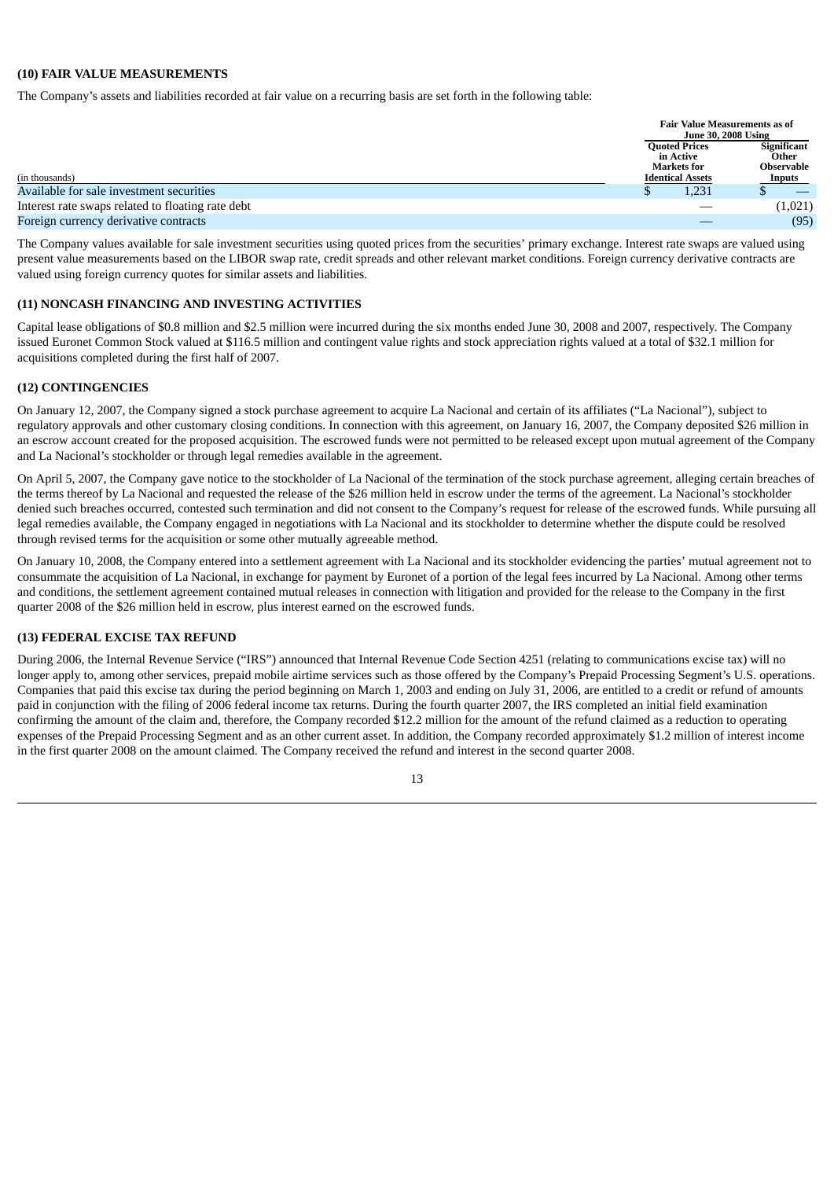## **(10) FAIR VALUE MEASUREMENTS**

The Company's assets and liabilities recorded at fair value on a recurring basis are set forth in the following table:

|                                                   |                            | <b>Fair Value Measurements as of</b> |  |
|---------------------------------------------------|----------------------------|--------------------------------------|--|
|                                                   | <b>June 30, 2008 Using</b> |                                      |  |
|                                                   | <b>Ouoted Prices</b>       | Significant                          |  |
|                                                   | in Active                  | Other                                |  |
|                                                   | <b>Markets for</b>         | <b>Observable</b>                    |  |
| (in thousands)                                    | <b>Identical Assets</b>    | Inputs                               |  |
| Available for sale investment securities          | 1,231                      |                                      |  |
| Interest rate swaps related to floating rate debt |                            | (1,021)                              |  |
| Foreign currency derivative contracts             |                            | (95)                                 |  |

The Company values available for sale investment securities using quoted prices from the securities' primary exchange. Interest rate swaps are valued using present value measurements based on the LIBOR swap rate, credit spreads and other relevant market conditions. Foreign currency derivative contracts are valued using foreign currency quotes for similar assets and liabilities.

#### **(11) NONCASH FINANCING AND INVESTING ACTIVITIES**

Capital lease obligations of \$0.8 million and \$2.5 million were incurred during the six months ended June 30, 2008 and 2007, respectively. The Company issued Euronet Common Stock valued at \$116.5 million and contingent value rights and stock appreciation rights valued at a total of \$32.1 million for acquisitions completed during the first half of 2007.

#### **(12) CONTINGENCIES**

On January 12, 2007, the Company signed a stock purchase agreement to acquire La Nacional and certain of its affiliates ("La Nacional"), subject to regulatory approvals and other customary closing conditions. In connection with this agreement, on January 16, 2007, the Company deposited \$26 million in an escrow account created for the proposed acquisition. The escrowed funds were not permitted to be released except upon mutual agreement of the Company and La Nacional's stockholder or through legal remedies available in the agreement.

On April 5, 2007, the Company gave notice to the stockholder of La Nacional of the termination of the stock purchase agreement, alleging certain breaches of the terms thereof by La Nacional and requested the release of the \$26 million held in escrow under the terms of the agreement. La Nacional's stockholder denied such breaches occurred, contested such termination and did not consent to the Company's request for release of the escrowed funds. While pursuing all legal remedies available, the Company engaged in negotiations with La Nacional and its stockholder to determine whether the dispute could be resolved through revised terms for the acquisition or some other mutually agreeable method.

On January 10, 2008, the Company entered into a settlement agreement with La Nacional and its stockholder evidencing the parties' mutual agreement not to consummate the acquisition of La Nacional, in exchange for payment by Euronet of a portion of the legal fees incurred by La Nacional. Among other terms and conditions, the settlement agreement contained mutual releases in connection with litigation and provided for the release to the Company in the first quarter 2008 of the \$26 million held in escrow, plus interest earned on the escrowed funds.

#### **(13) FEDERAL EXCISE TAX REFUND**

During 2006, the Internal Revenue Service ("IRS") announced that Internal Revenue Code Section 4251 (relating to communications excise tax) will no longer apply to, among other services, prepaid mobile airtime services such as those offered by the Company's Prepaid Processing Segment's U.S. operations. Companies that paid this excise tax during the period beginning on March 1, 2003 and ending on July 31, 2006, are entitled to a credit or refund of amounts paid in conjunction with the filing of 2006 federal income tax returns. During the fourth quarter 2007, the IRS completed an initial field examination confirming the amount of the claim and, therefore, the Company recorded \$12.2 million for the amount of the refund claimed as a reduction to operating expenses of the Prepaid Processing Segment and as an other current asset. In addition, the Company recorded approximately \$1.2 million of interest income in the first quarter 2008 on the amount claimed. The Company received the refund and interest in the second quarter 2008.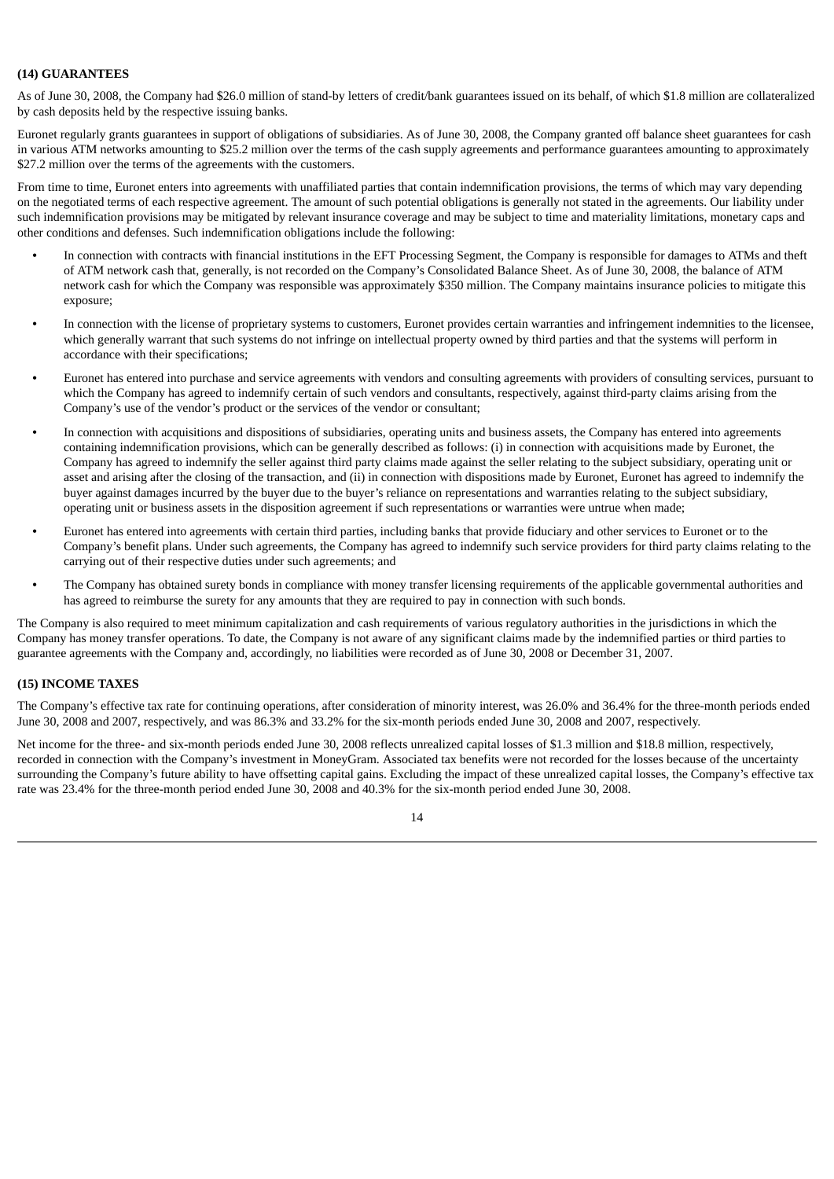## **(14) GUARANTEES**

As of June 30, 2008, the Company had \$26.0 million of stand-by letters of credit/bank guarantees issued on its behalf, of which \$1.8 million are collateralized by cash deposits held by the respective issuing banks.

Euronet regularly grants guarantees in support of obligations of subsidiaries. As of June 30, 2008, the Company granted off balance sheet guarantees for cash in various ATM networks amounting to \$25.2 million over the terms of the cash supply agreements and performance guarantees amounting to approximately \$27.2 million over the terms of the agreements with the customers.

From time to time, Euronet enters into agreements with unaffiliated parties that contain indemnification provisions, the terms of which may vary depending on the negotiated terms of each respective agreement. The amount of such potential obligations is generally not stated in the agreements. Our liability under such indemnification provisions may be mitigated by relevant insurance coverage and may be subject to time and materiality limitations, monetary caps and other conditions and defenses. Such indemnification obligations include the following:

- **•** In connection with contracts with financial institutions in the EFT Processing Segment, the Company is responsible for damages to ATMs and theft of ATM network cash that, generally, is not recorded on the Company's Consolidated Balance Sheet. As of June 30, 2008, the balance of ATM network cash for which the Company was responsible was approximately \$350 million. The Company maintains insurance policies to mitigate this exposure;
- **•** In connection with the license of proprietary systems to customers, Euronet provides certain warranties and infringement indemnities to the licensee, which generally warrant that such systems do not infringe on intellectual property owned by third parties and that the systems will perform in accordance with their specifications;
- **•** Euronet has entered into purchase and service agreements with vendors and consulting agreements with providers of consulting services, pursuant to which the Company has agreed to indemnify certain of such vendors and consultants, respectively, against third-party claims arising from the Company's use of the vendor's product or the services of the vendor or consultant;
- **•** In connection with acquisitions and dispositions of subsidiaries, operating units and business assets, the Company has entered into agreements containing indemnification provisions, which can be generally described as follows: (i) in connection with acquisitions made by Euronet, the Company has agreed to indemnify the seller against third party claims made against the seller relating to the subject subsidiary, operating unit or asset and arising after the closing of the transaction, and (ii) in connection with dispositions made by Euronet, Euronet has agreed to indemnify the buyer against damages incurred by the buyer due to the buyer's reliance on representations and warranties relating to the subject subsidiary, operating unit or business assets in the disposition agreement if such representations or warranties were untrue when made;
- **•** Euronet has entered into agreements with certain third parties, including banks that provide fiduciary and other services to Euronet or to the Company's benefit plans. Under such agreements, the Company has agreed to indemnify such service providers for third party claims relating to the carrying out of their respective duties under such agreements; and
- **•** The Company has obtained surety bonds in compliance with money transfer licensing requirements of the applicable governmental authorities and has agreed to reimburse the surety for any amounts that they are required to pay in connection with such bonds.

The Company is also required to meet minimum capitalization and cash requirements of various regulatory authorities in the jurisdictions in which the Company has money transfer operations. To date, the Company is not aware of any significant claims made by the indemnified parties or third parties to guarantee agreements with the Company and, accordingly, no liabilities were recorded as of June 30, 2008 or December 31, 2007.

#### **(15) INCOME TAXES**

The Company's effective tax rate for continuing operations, after consideration of minority interest, was 26.0% and 36.4% for the three-month periods ended June 30, 2008 and 2007, respectively, and was 86.3% and 33.2% for the six-month periods ended June 30, 2008 and 2007, respectively.

Net income for the three- and six-month periods ended June 30, 2008 reflects unrealized capital losses of \$1.3 million and \$18.8 million, respectively, recorded in connection with the Company's investment in MoneyGram. Associated tax benefits were not recorded for the losses because of the uncertainty surrounding the Company's future ability to have offsetting capital gains. Excluding the impact of these unrealized capital losses, the Company's effective tax rate was 23.4% for the three-month period ended June 30, 2008 and 40.3% for the six-month period ended June 30, 2008.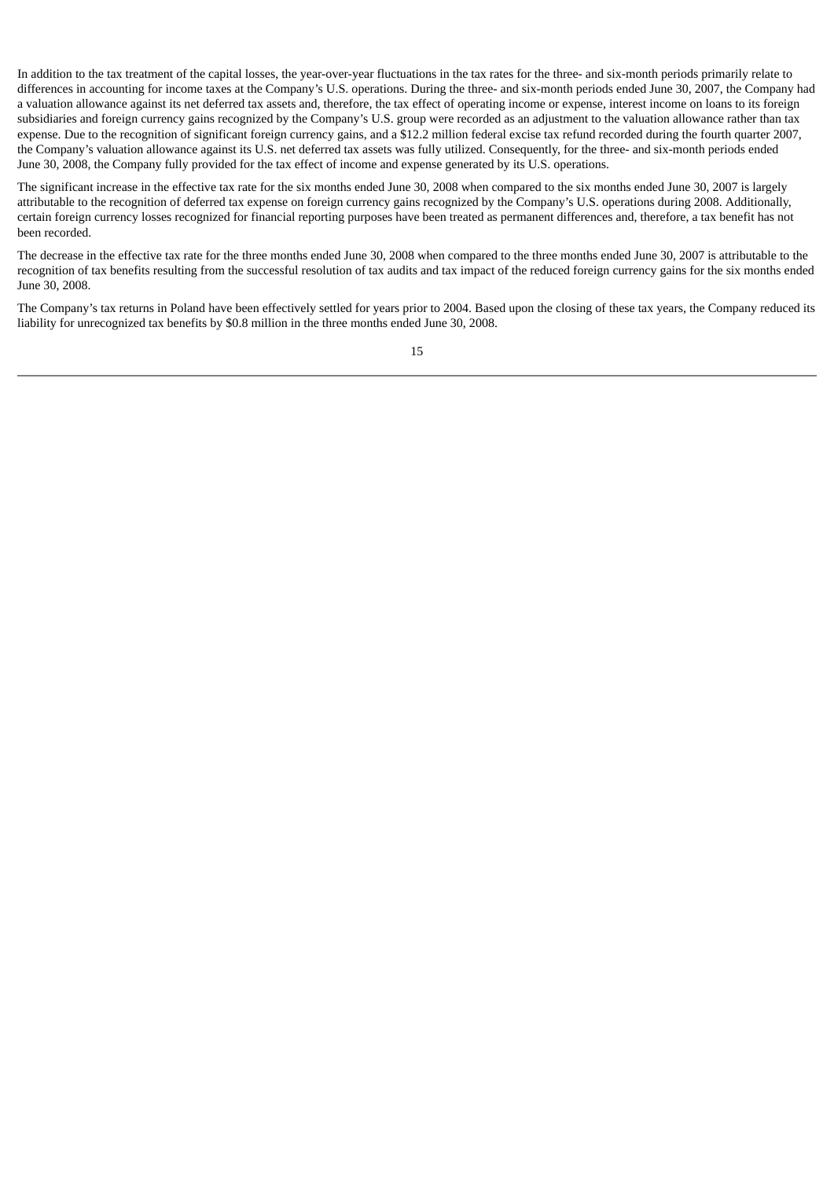In addition to the tax treatment of the capital losses, the year-over-year fluctuations in the tax rates for the three- and six-month periods primarily relate to differences in accounting for income taxes at the Company's U.S. operations. During the three- and six-month periods ended June 30, 2007, the Company had a valuation allowance against its net deferred tax assets and, therefore, the tax effect of operating income or expense, interest income on loans to its foreign subsidiaries and foreign currency gains recognized by the Company's U.S. group were recorded as an adjustment to the valuation allowance rather than tax expense. Due to the recognition of significant foreign currency gains, and a \$12.2 million federal excise tax refund recorded during the fourth quarter 2007, the Company's valuation allowance against its U.S. net deferred tax assets was fully utilized. Consequently, for the three- and six-month periods ended June 30, 2008, the Company fully provided for the tax effect of income and expense generated by its U.S. operations.

The significant increase in the effective tax rate for the six months ended June 30, 2008 when compared to the six months ended June 30, 2007 is largely attributable to the recognition of deferred tax expense on foreign currency gains recognized by the Company's U.S. operations during 2008. Additionally, certain foreign currency losses recognized for financial reporting purposes have been treated as permanent differences and, therefore, a tax benefit has not been recorded.

The decrease in the effective tax rate for the three months ended June 30, 2008 when compared to the three months ended June 30, 2007 is attributable to the recognition of tax benefits resulting from the successful resolution of tax audits and tax impact of the reduced foreign currency gains for the six months ended June 30, 2008.

The Company's tax returns in Poland have been effectively settled for years prior to 2004. Based upon the closing of these tax years, the Company reduced its liability for unrecognized tax benefits by \$0.8 million in the three months ended June 30, 2008.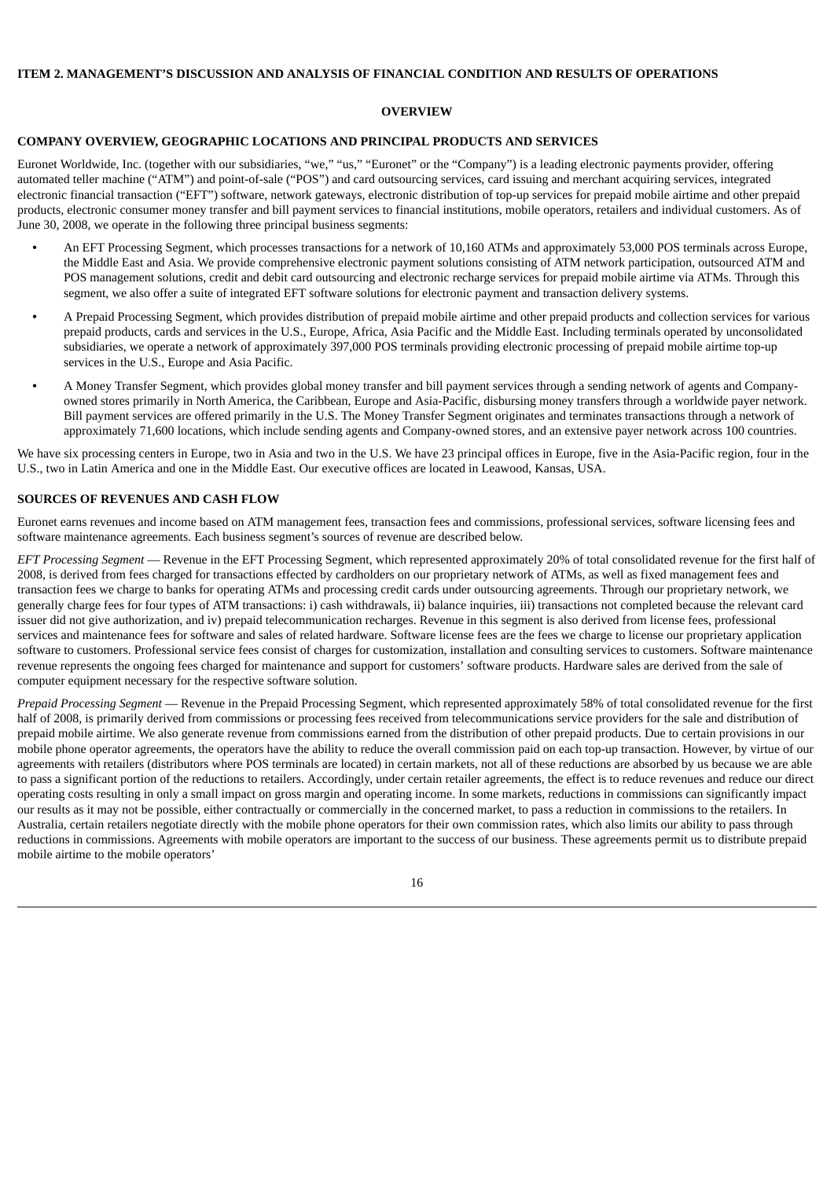#### <span id="page-15-0"></span>**ITEM 2. MANAGEMENT'S DISCUSSION AND ANALYSIS OF FINANCIAL CONDITION AND RESULTS OF OPERATIONS**

#### **OVERVIEW**

#### **COMPANY OVERVIEW, GEOGRAPHIC LOCATIONS AND PRINCIPAL PRODUCTS AND SERVICES**

Euronet Worldwide, Inc. (together with our subsidiaries, "we," "us," "Euronet" or the "Company") is a leading electronic payments provider, offering automated teller machine ("ATM") and point-of-sale ("POS") and card outsourcing services, card issuing and merchant acquiring services, integrated electronic financial transaction ("EFT") software, network gateways, electronic distribution of top-up services for prepaid mobile airtime and other prepaid products, electronic consumer money transfer and bill payment services to financial institutions, mobile operators, retailers and individual customers. As of June 30, 2008, we operate in the following three principal business segments:

- **•** An EFT Processing Segment, which processes transactions for a network of 10,160 ATMs and approximately 53,000 POS terminals across Europe, the Middle East and Asia. We provide comprehensive electronic payment solutions consisting of ATM network participation, outsourced ATM and POS management solutions, credit and debit card outsourcing and electronic recharge services for prepaid mobile airtime via ATMs. Through this segment, we also offer a suite of integrated EFT software solutions for electronic payment and transaction delivery systems.
- **•** A Prepaid Processing Segment, which provides distribution of prepaid mobile airtime and other prepaid products and collection services for various prepaid products, cards and services in the U.S., Europe, Africa, Asia Pacific and the Middle East. Including terminals operated by unconsolidated subsidiaries, we operate a network of approximately 397,000 POS terminals providing electronic processing of prepaid mobile airtime top-up services in the U.S., Europe and Asia Pacific.
- **•** A Money Transfer Segment, which provides global money transfer and bill payment services through a sending network of agents and Companyowned stores primarily in North America, the Caribbean, Europe and Asia-Pacific, disbursing money transfers through a worldwide payer network. Bill payment services are offered primarily in the U.S. The Money Transfer Segment originates and terminates transactions through a network of approximately 71,600 locations, which include sending agents and Company-owned stores, and an extensive payer network across 100 countries.

We have six processing centers in Europe, two in Asia and two in the U.S. We have 23 principal offices in Europe, five in the Asia-Pacific region, four in the U.S., two in Latin America and one in the Middle East. Our executive offices are located in Leawood, Kansas, USA.

## **SOURCES OF REVENUES AND CASH FLOW**

Euronet earns revenues and income based on ATM management fees, transaction fees and commissions, professional services, software licensing fees and software maintenance agreements. Each business segment's sources of revenue are described below.

*EFT Processing Segment* — Revenue in the EFT Processing Segment, which represented approximately 20% of total consolidated revenue for the first half of 2008, is derived from fees charged for transactions effected by cardholders on our proprietary network of ATMs, as well as fixed management fees and transaction fees we charge to banks for operating ATMs and processing credit cards under outsourcing agreements. Through our proprietary network, we generally charge fees for four types of ATM transactions: i) cash withdrawals, ii) balance inquiries, iii) transactions not completed because the relevant card issuer did not give authorization, and iv) prepaid telecommunication recharges. Revenue in this segment is also derived from license fees, professional services and maintenance fees for software and sales of related hardware. Software license fees are the fees we charge to license our proprietary application software to customers. Professional service fees consist of charges for customization, installation and consulting services to customers. Software maintenance revenue represents the ongoing fees charged for maintenance and support for customers' software products. Hardware sales are derived from the sale of computer equipment necessary for the respective software solution.

*Prepaid Processing Segment* — Revenue in the Prepaid Processing Segment, which represented approximately 58% of total consolidated revenue for the first half of 2008, is primarily derived from commissions or processing fees received from telecommunications service providers for the sale and distribution of prepaid mobile airtime. We also generate revenue from commissions earned from the distribution of other prepaid products. Due to certain provisions in our mobile phone operator agreements, the operators have the ability to reduce the overall commission paid on each top-up transaction. However, by virtue of our agreements with retailers (distributors where POS terminals are located) in certain markets, not all of these reductions are absorbed by us because we are able to pass a significant portion of the reductions to retailers. Accordingly, under certain retailer agreements, the effect is to reduce revenues and reduce our direct operating costs resulting in only a small impact on gross margin and operating income. In some markets, reductions in commissions can significantly impact our results as it may not be possible, either contractually or commercially in the concerned market, to pass a reduction in commissions to the retailers. In Australia, certain retailers negotiate directly with the mobile phone operators for their own commission rates, which also limits our ability to pass through reductions in commissions. Agreements with mobile operators are important to the success of our business. These agreements permit us to distribute prepaid mobile airtime to the mobile operators'

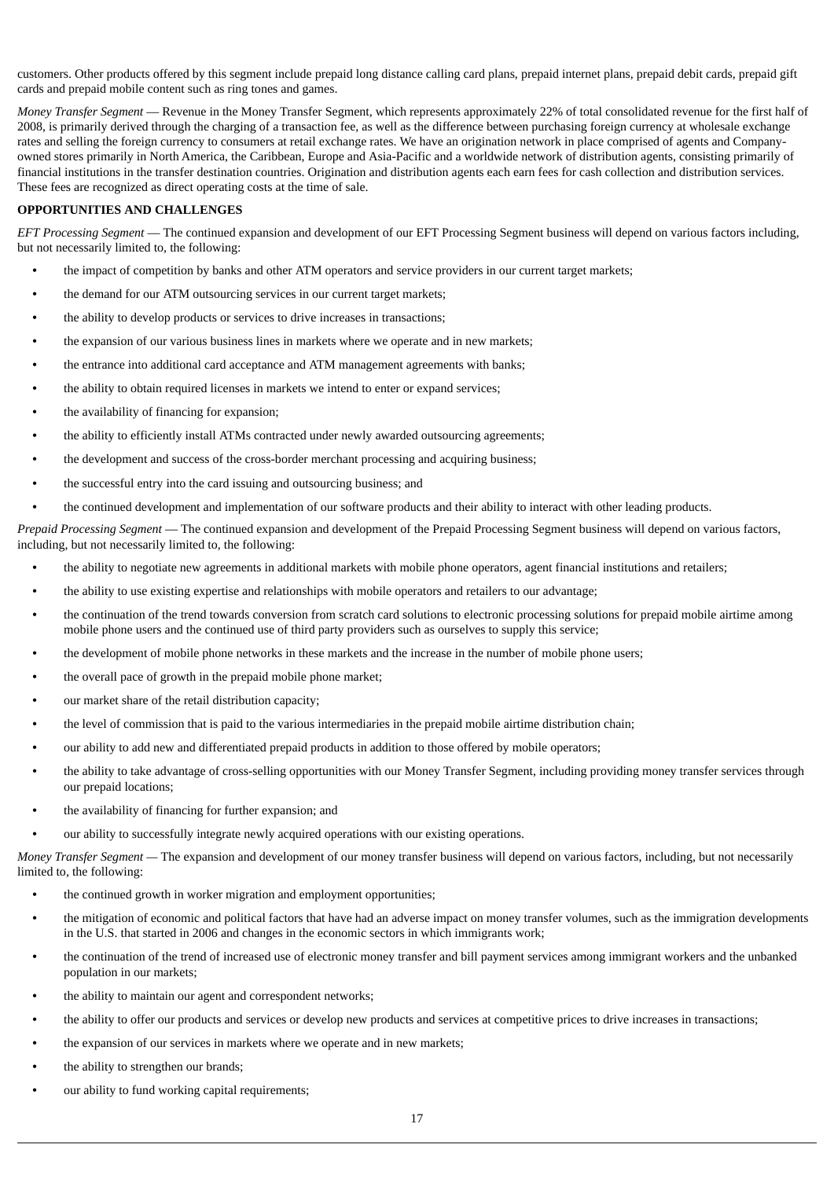customers. Other products offered by this segment include prepaid long distance calling card plans, prepaid internet plans, prepaid debit cards, prepaid gift cards and prepaid mobile content such as ring tones and games.

*Money Transfer Segment* — Revenue in the Money Transfer Segment, which represents approximately 22% of total consolidated revenue for the first half of 2008, is primarily derived through the charging of a transaction fee, as well as the difference between purchasing foreign currency at wholesale exchange rates and selling the foreign currency to consumers at retail exchange rates. We have an origination network in place comprised of agents and Companyowned stores primarily in North America, the Caribbean, Europe and Asia-Pacific and a worldwide network of distribution agents, consisting primarily of financial institutions in the transfer destination countries. Origination and distribution agents each earn fees for cash collection and distribution services. These fees are recognized as direct operating costs at the time of sale.

## **OPPORTUNITIES AND CHALLENGES**

*EFT Processing Segment* — The continued expansion and development of our EFT Processing Segment business will depend on various factors including, but not necessarily limited to, the following:

- **•** the impact of competition by banks and other ATM operators and service providers in our current target markets;
- **•** the demand for our ATM outsourcing services in our current target markets;
- **•** the ability to develop products or services to drive increases in transactions;
- **•** the expansion of our various business lines in markets where we operate and in new markets;
- **•** the entrance into additional card acceptance and ATM management agreements with banks;
- **•** the ability to obtain required licenses in markets we intend to enter or expand services;
- **•** the availability of financing for expansion;
- **•** the ability to efficiently install ATMs contracted under newly awarded outsourcing agreements;
- **•** the development and success of the cross-border merchant processing and acquiring business;
- **•** the successful entry into the card issuing and outsourcing business; and
- **•** the continued development and implementation of our software products and their ability to interact with other leading products.

*Prepaid Processing Segment* — The continued expansion and development of the Prepaid Processing Segment business will depend on various factors, including, but not necessarily limited to, the following:

- **•** the ability to negotiate new agreements in additional markets with mobile phone operators, agent financial institutions and retailers;
- **•** the ability to use existing expertise and relationships with mobile operators and retailers to our advantage;
- **•** the continuation of the trend towards conversion from scratch card solutions to electronic processing solutions for prepaid mobile airtime among mobile phone users and the continued use of third party providers such as ourselves to supply this service;
- **•** the development of mobile phone networks in these markets and the increase in the number of mobile phone users;
- **•** the overall pace of growth in the prepaid mobile phone market;
- **•** our market share of the retail distribution capacity;
- **•** the level of commission that is paid to the various intermediaries in the prepaid mobile airtime distribution chain;
- **•** our ability to add new and differentiated prepaid products in addition to those offered by mobile operators;
- **•** the ability to take advantage of cross-selling opportunities with our Money Transfer Segment, including providing money transfer services through our prepaid locations;
- **•** the availability of financing for further expansion; and
- **•** our ability to successfully integrate newly acquired operations with our existing operations.

*Money Transfer Seament* — The expansion and development of our money transfer business will depend on various factors, including, but not necessarily limited to, the following:

- **•** the continued growth in worker migration and employment opportunities;
- **•** the mitigation of economic and political factors that have had an adverse impact on money transfer volumes, such as the immigration developments in the U.S. that started in 2006 and changes in the economic sectors in which immigrants work;
- **•** the continuation of the trend of increased use of electronic money transfer and bill payment services among immigrant workers and the unbanked population in our markets;
- **•** the ability to maintain our agent and correspondent networks;
- **•** the ability to offer our products and services or develop new products and services at competitive prices to drive increases in transactions;
- **•** the expansion of our services in markets where we operate and in new markets;
- **•** the ability to strengthen our brands;
- **•** our ability to fund working capital requirements;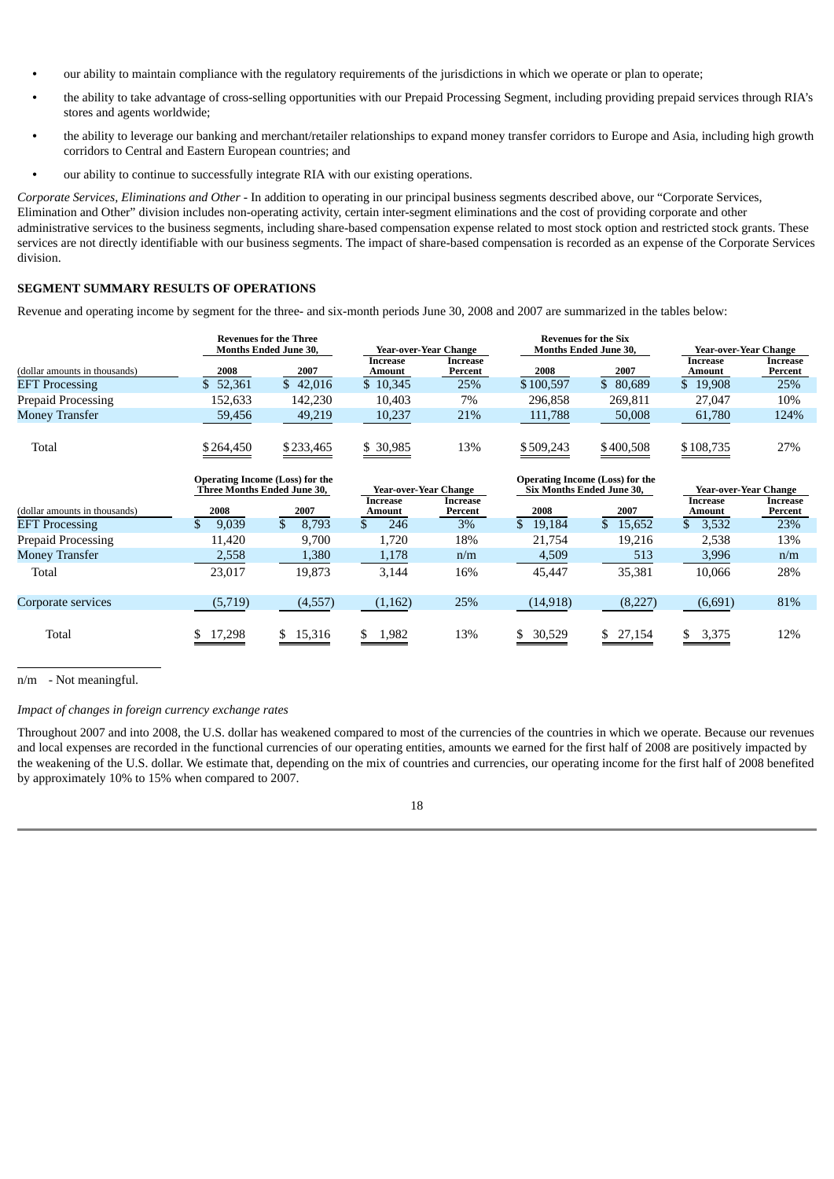- our ability to maintain compliance with the regulatory requirements of the jurisdictions in which we operate or plan to operate;
- **•** the ability to take advantage of cross-selling opportunities with our Prepaid Processing Segment, including providing prepaid services through RIA's stores and agents worldwide;
- **•** the ability to leverage our banking and merchant/retailer relationships to expand money transfer corridors to Europe and Asia, including high growth corridors to Central and Eastern European countries; and
- **•** our ability to continue to successfully integrate RIA with our existing operations.

*Corporate Services, Eliminations and Other* - In addition to operating in our principal business segments described above, our "Corporate Services, Elimination and Other" division includes non-operating activity, certain inter-segment eliminations and the cost of providing corporate and other administrative services to the business segments, including share-based compensation expense related to most stock option and restricted stock grants. These services are not directly identifiable with our business segments. The impact of share-based compensation is recorded as an expense of the Corporate Services division.

## **SEGMENT SUMMARY RESULTS OF OPERATIONS**

Revenue and operating income by segment for the three- and six-month periods June 30, 2008 and 2007 are summarized in the tables below:

|                               |                                                                       | <b>Revenues for the Three</b> |                                  |                     | <b>Revenues for the Six</b>  |                                        |                           |                            |
|-------------------------------|-----------------------------------------------------------------------|-------------------------------|----------------------------------|---------------------|------------------------------|----------------------------------------|---------------------------|----------------------------|
|                               |                                                                       | <b>Months Ended June 30,</b>  | Year-over-Year Change            |                     | <b>Months Ended June 30,</b> |                                        | Year-over-Year Change     |                            |
| (dollar amounts in thousands) | 2008                                                                  | 2007                          | Increase<br>Amount               | Increase<br>Percent | 2008                         | 2007                                   | <b>Increase</b><br>Amount | <b>Increase</b><br>Percent |
| <b>EFT</b> Processing         | 52,361                                                                | \$42,016                      | \$10,345                         | 25%                 | \$100,597                    | \$80,689                               | \$.<br>19,908             | 25%                        |
| Prepaid Processing            | 152,633                                                               | 142,230                       | 10,403                           | 7%                  | 296,858                      | 269,811                                | 27,047                    | 10%                        |
| <b>Money Transfer</b>         | 59,456                                                                | 49,219                        | 10,237                           | 21%                 | 111,788                      | 50,008                                 | 61,780                    | 124%                       |
| Total                         | \$264,450                                                             | \$233,465                     | \$ 30,985                        | 13%                 | \$509,243                    | \$400,508                              | \$108,735                 | 27%                        |
|                               | <b>Operating Income (Loss) for the</b><br>Three Months Ended June 30, |                               | Year-over-Year Change            |                     | Six Months Ended June 30,    | <b>Operating Income (Loss) for the</b> | Year-over-Year Change     |                            |
| (dollar amounts in thousands) | 2008                                                                  | 2007                          | <b>Increase</b><br><b>Amount</b> | Increase<br>Percent | 2008                         | 2007                                   | Increase<br>Amount        | Increase<br>Percent        |
| <b>EFT</b> Processing         | \$<br>9,039                                                           | $\mathbf{\$}$<br>8,793        | \$<br>246                        | 3%                  | \$<br>19,184                 | \$.<br>15,652                          | $\mathbf{s}$<br>3,532     | 23%                        |
| <b>Prepaid Processing</b>     | 11,420                                                                | 9,700                         | 1,720                            | 18%                 | 21,754                       | 19,216                                 | 2,538                     | 13%                        |
| <b>Money Transfer</b>         | 2,558                                                                 | 1,380                         | 1,178                            | n/m                 | 4,509                        | 513                                    | 3,996                     | n/m                        |
| Total                         | 23,017                                                                | 19,873                        | 3,144                            | 16%                 | 45,447                       | 35,381                                 | 10,066                    | 28%                        |
| Corporate services            | (5,719)                                                               | (4,557)                       | (1,162)                          | 25%                 | (14, 918)                    | (8,227)                                | (6, 691)                  | 81%                        |
| Total                         | 7,298                                                                 | 15,316<br>S.                  | 1,982<br>\$.                     | 13%                 | 30,529<br>\$                 | 27,154                                 | 3,375<br>\$               | 12%                        |

n/m - Not meaningful.

*Impact of changes in foreign currency exchange rates*

Throughout 2007 and into 2008, the U.S. dollar has weakened compared to most of the currencies of the countries in which we operate. Because our revenues and local expenses are recorded in the functional currencies of our operating entities, amounts we earned for the first half of 2008 are positively impacted by the weakening of the U.S. dollar. We estimate that, depending on the mix of countries and currencies, our operating income for the first half of 2008 benefited by approximately 10% to 15% when compared to 2007.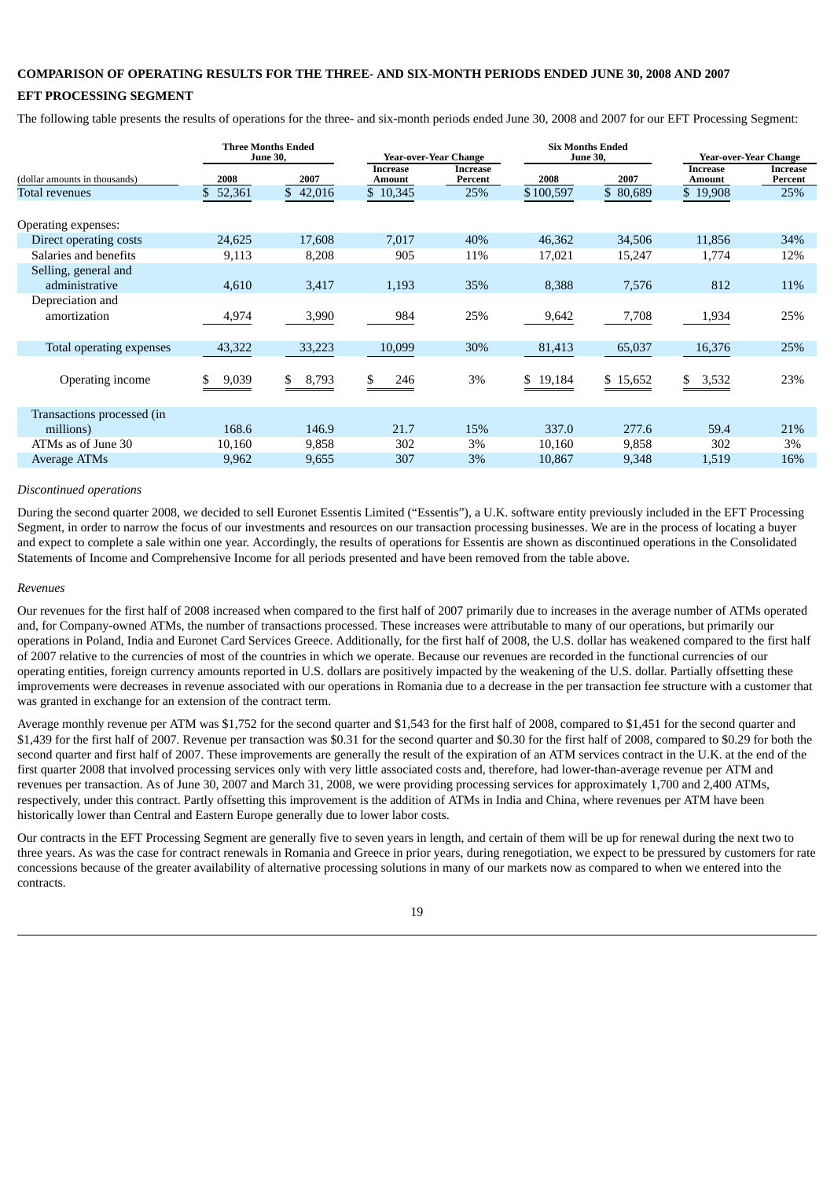#### **COMPARISON OF OPERATING RESULTS FOR THE THREE- AND SIX-MONTH PERIODS ENDED JUNE 30, 2008 AND 2007**

#### **EFT PROCESSING SEGMENT**

The following table presents the results of operations for the three- and six-month periods ended June 30, 2008 and 2007 for our EFT Processing Segment:

|                                               | <b>Three Months Ended</b> |              |                    |                              |                 |          |                           |                              |
|-----------------------------------------------|---------------------------|--------------|--------------------|------------------------------|-----------------|----------|---------------------------|------------------------------|
|                                               | <b>June 30,</b>           |              |                    | <b>Year-over-Year Change</b> | <b>June 30,</b> |          |                           | <b>Year-over-Year Change</b> |
| (dollar amounts in thousands)                 | 2008                      | 2007         | Increase<br>Amount | Increase<br>Percent          | 2008            | 2007     | <b>Increase</b><br>Amount | Increase<br>Percent          |
| Total revenues                                | \$<br>52,361              | \$<br>42,016 | \$10,345           | 25%                          | \$100,597       | \$80,689 | \$19,908                  | 25%                          |
| Operating expenses:<br>Direct operating costs | 24,625                    | 17,608       | 7,017              | 40%                          | 46,362          | 34,506   | 11,856                    | 34%                          |
| Salaries and benefits                         | 9,113                     | 8,208        | 905                | 11%                          | 17,021          | 15,247   | 1,774                     | 12%                          |
| Selling, general and<br>administrative        | 4,610                     | 3,417        | 1,193              | 35%                          | 8,388           | 7,576    | 812                       | 11%                          |
| Depreciation and<br>amortization              | 4,974                     | 3,990        | 984                | 25%                          | 9,642           | 7,708    | 1,934                     | 25%                          |
| Total operating expenses                      | 43,322                    | 33,223       | 10,099             | 30%                          | 81,413          | 65,037   | 16,376                    | 25%                          |
| Operating income                              | 9,039                     | 8,793<br>\$  | \$<br>246          | 3%                           | \$19,184        | \$15,652 | \$<br>3,532               | 23%                          |
| Transactions processed (in                    |                           |              |                    |                              |                 |          |                           |                              |
| millions)                                     | 168.6                     | 146.9        | 21.7               | 15%                          | 337.0           | 277.6    | 59.4                      | 21%                          |
| ATMs as of June 30                            | 10,160                    | 9,858        | 302                | 3%                           | 10,160          | 9,858    | 302                       | 3%                           |
| Average ATMs                                  | 9,962                     | 9,655        | 307                | 3%                           | 10,867          | 9,348    | 1,519                     | 16%                          |

#### *Discontinued operations*

During the second quarter 2008, we decided to sell Euronet Essentis Limited ("Essentis"), a U.K. software entity previously included in the EFT Processing Segment, in order to narrow the focus of our investments and resources on our transaction processing businesses. We are in the process of locating a buyer and expect to complete a sale within one year. Accordingly, the results of operations for Essentis are shown as discontinued operations in the Consolidated Statements of Income and Comprehensive Income for all periods presented and have been removed from the table above.

#### *Revenues*

Our revenues for the first half of 2008 increased when compared to the first half of 2007 primarily due to increases in the average number of ATMs operated and, for Company-owned ATMs, the number of transactions processed. These increases were attributable to many of our operations, but primarily our operations in Poland, India and Euronet Card Services Greece. Additionally, for the first half of 2008, the U.S. dollar has weakened compared to the first half of 2007 relative to the currencies of most of the countries in which we operate. Because our revenues are recorded in the functional currencies of our operating entities, foreign currency amounts reported in U.S. dollars are positively impacted by the weakening of the U.S. dollar. Partially offsetting these improvements were decreases in revenue associated with our operations in Romania due to a decrease in the per transaction fee structure with a customer that was granted in exchange for an extension of the contract term.

Average monthly revenue per ATM was \$1,752 for the second quarter and \$1,543 for the first half of 2008, compared to \$1,451 for the second quarter and \$1,439 for the first half of 2007. Revenue per transaction was \$0.31 for the second quarter and \$0.30 for the first half of 2008, compared to \$0.29 for both the second quarter and first half of 2007. These improvements are generally the result of the expiration of an ATM services contract in the U.K. at the end of the first quarter 2008 that involved processing services only with very little associated costs and, therefore, had lower-than-average revenue per ATM and revenues per transaction. As of June 30, 2007 and March 31, 2008, we were providing processing services for approximately 1,700 and 2,400 ATMs, respectively, under this contract. Partly offsetting this improvement is the addition of ATMs in India and China, where revenues per ATM have been historically lower than Central and Eastern Europe generally due to lower labor costs.

Our contracts in the EFT Processing Segment are generally five to seven years in length, and certain of them will be up for renewal during the next two to three years. As was the case for contract renewals in Romania and Greece in prior years, during renegotiation, we expect to be pressured by customers for rate concessions because of the greater availability of alternative processing solutions in many of our markets now as compared to when we entered into the contracts.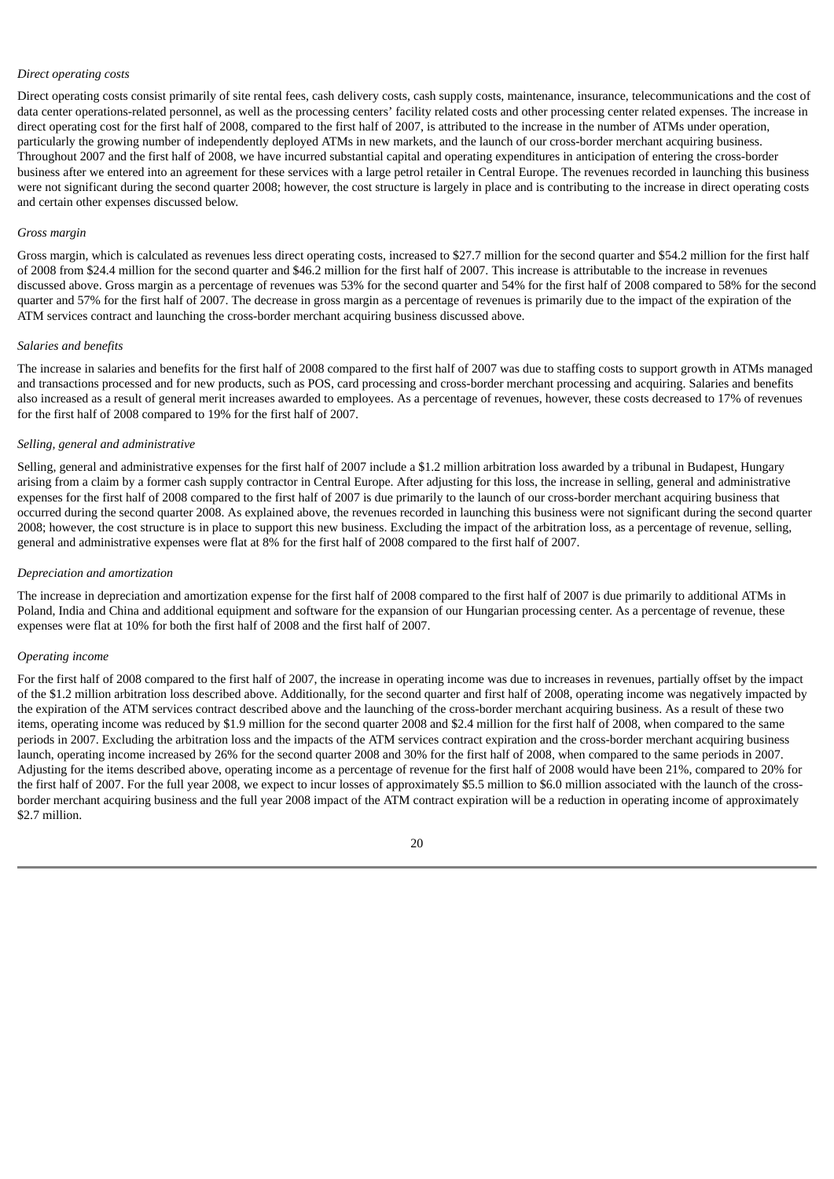#### *Direct operating costs*

Direct operating costs consist primarily of site rental fees, cash delivery costs, cash supply costs, maintenance, insurance, telecommunications and the cost of data center operations-related personnel, as well as the processing centers' facility related costs and other processing center related expenses. The increase in direct operating cost for the first half of 2008, compared to the first half of 2007, is attributed to the increase in the number of ATMs under operation, particularly the growing number of independently deployed ATMs in new markets, and the launch of our cross-border merchant acquiring business. Throughout 2007 and the first half of 2008, we have incurred substantial capital and operating expenditures in anticipation of entering the cross-border business after we entered into an agreement for these services with a large petrol retailer in Central Europe. The revenues recorded in launching this business were not significant during the second quarter 2008; however, the cost structure is largely in place and is contributing to the increase in direct operating costs and certain other expenses discussed below.

#### *Gross margin*

Gross margin, which is calculated as revenues less direct operating costs, increased to \$27.7 million for the second quarter and \$54.2 million for the first half of 2008 from \$24.4 million for the second quarter and \$46.2 million for the first half of 2007. This increase is attributable to the increase in revenues discussed above. Gross margin as a percentage of revenues was 53% for the second quarter and 54% for the first half of 2008 compared to 58% for the second quarter and 57% for the first half of 2007. The decrease in gross margin as a percentage of revenues is primarily due to the impact of the expiration of the ATM services contract and launching the cross-border merchant acquiring business discussed above.

#### *Salaries and benefits*

The increase in salaries and benefits for the first half of 2008 compared to the first half of 2007 was due to staffing costs to support growth in ATMs managed and transactions processed and for new products, such as POS, card processing and cross-border merchant processing and acquiring. Salaries and benefits also increased as a result of general merit increases awarded to employees. As a percentage of revenues, however, these costs decreased to 17% of revenues for the first half of 2008 compared to 19% for the first half of 2007.

#### *Selling, general and administrative*

Selling, general and administrative expenses for the first half of 2007 include a \$1.2 million arbitration loss awarded by a tribunal in Budapest, Hungary arising from a claim by a former cash supply contractor in Central Europe. After adjusting for this loss, the increase in selling, general and administrative expenses for the first half of 2008 compared to the first half of 2007 is due primarily to the launch of our cross-border merchant acquiring business that occurred during the second quarter 2008. As explained above, the revenues recorded in launching this business were not significant during the second quarter 2008; however, the cost structure is in place to support this new business. Excluding the impact of the arbitration loss, as a percentage of revenue, selling, general and administrative expenses were flat at 8% for the first half of 2008 compared to the first half of 2007.

#### *Depreciation and amortization*

The increase in depreciation and amortization expense for the first half of 2008 compared to the first half of 2007 is due primarily to additional ATMs in Poland, India and China and additional equipment and software for the expansion of our Hungarian processing center. As a percentage of revenue, these expenses were flat at 10% for both the first half of 2008 and the first half of 2007.

#### *Operating income*

For the first half of 2008 compared to the first half of 2007, the increase in operating income was due to increases in revenues, partially offset by the impact of the \$1.2 million arbitration loss described above. Additionally, for the second quarter and first half of 2008, operating income was negatively impacted by the expiration of the ATM services contract described above and the launching of the cross-border merchant acquiring business. As a result of these two items, operating income was reduced by \$1.9 million for the second quarter 2008 and \$2.4 million for the first half of 2008, when compared to the same periods in 2007. Excluding the arbitration loss and the impacts of the ATM services contract expiration and the cross-border merchant acquiring business launch, operating income increased by 26% for the second quarter 2008 and 30% for the first half of 2008, when compared to the same periods in 2007. Adjusting for the items described above, operating income as a percentage of revenue for the first half of 2008 would have been 21%, compared to 20% for the first half of 2007. For the full year 2008, we expect to incur losses of approximately \$5.5 million to \$6.0 million associated with the launch of the crossborder merchant acquiring business and the full year 2008 impact of the ATM contract expiration will be a reduction in operating income of approximately \$2.7 million.

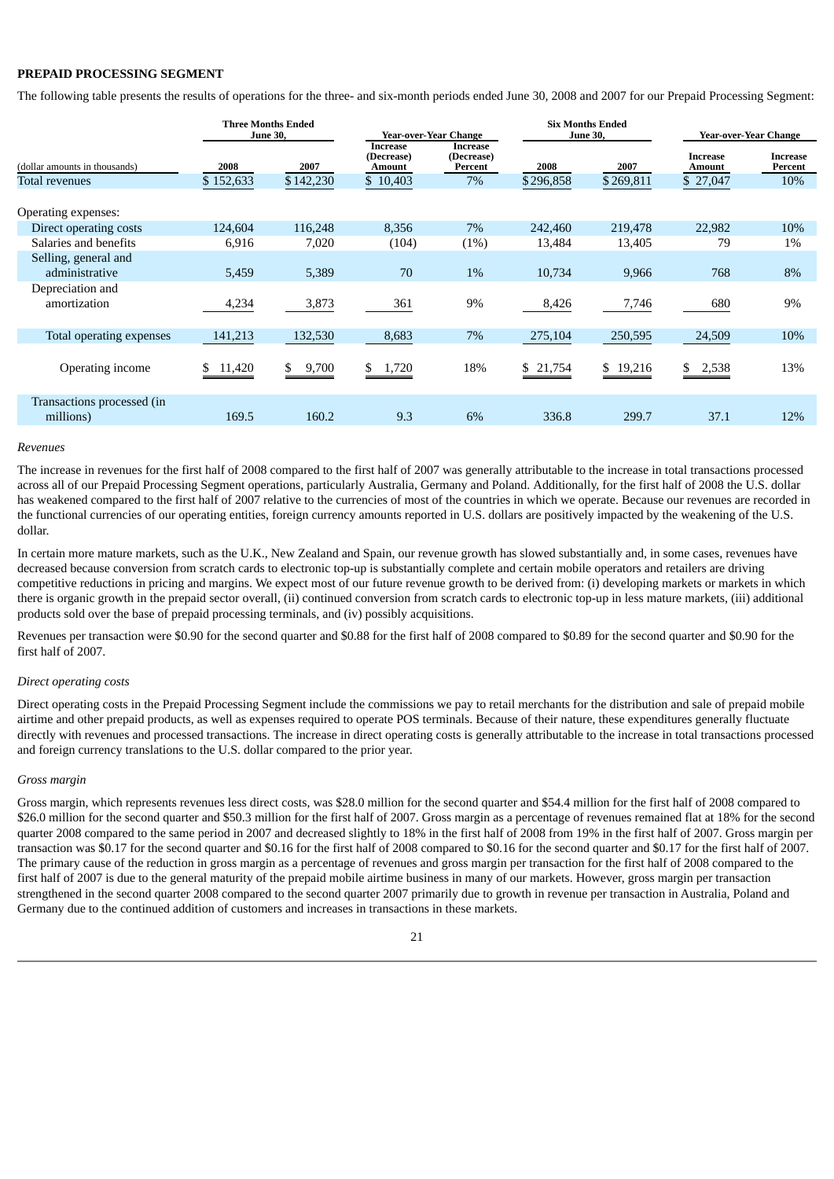## **PREPAID PROCESSING SEGMENT**

The following table presents the results of operations for the three- and six-month periods ended June 30, 2008 and 2007 for our Prepaid Processing Segment:

|                                         | <b>Three Months Ended</b><br><b>June 30,</b> |             |                                         | Year-over-Year Change                    | <b>Six Months Ended</b><br><b>June 30,</b> |           | Year-over-Year Change     |                            |
|-----------------------------------------|----------------------------------------------|-------------|-----------------------------------------|------------------------------------------|--------------------------------------------|-----------|---------------------------|----------------------------|
| (dollar amounts in thousands)           | 2008                                         | 2007        | <b>Increase</b><br>(Decrease)<br>Amount | <b>Increase</b><br>(Decrease)<br>Percent | 2008                                       | 2007      | <b>Increase</b><br>Amount | <b>Increase</b><br>Percent |
| Total revenues                          | \$152,633                                    | \$142,230   | \$10,403                                | 7%                                       | \$296,858                                  | \$269,811 | \$27,047                  | 10%                        |
| Operating expenses:                     |                                              |             |                                         |                                          |                                            |           |                           |                            |
| Direct operating costs                  | 124,604                                      | 116,248     | 8,356                                   | 7%                                       | 242,460                                    | 219,478   | 22,982                    | 10%                        |
| Salaries and benefits                   | 6,916                                        | 7,020       | (104)                                   | (1%)                                     | 13,484                                     | 13,405    | 79                        | $1\%$                      |
| Selling, general and<br>administrative  | 5,459                                        | 5,389       | 70                                      | 1%                                       | 10,734                                     | 9,966     | 768                       | 8%                         |
| Depreciation and<br>amortization        | 4,234                                        | 3,873       | 361                                     | 9%                                       | 8,426                                      | 7,746     | 680                       | 9%                         |
| Total operating expenses                | 141,213                                      | 132,530     | 8,683                                   | 7%                                       | 275,104                                    | 250,595   | 24,509                    | 10%                        |
| Operating income                        | \$11,420                                     | 9,700<br>S. | \$1,720                                 | 18%                                      | \$ 21,754                                  | \$19,216  | 2,538<br>\$               | 13%                        |
| Transactions processed (in<br>millions) | 169.5                                        | 160.2       | 9.3                                     | 6%                                       | 336.8                                      | 299.7     | 37.1                      | 12%                        |

#### *Revenues*

The increase in revenues for the first half of 2008 compared to the first half of 2007 was generally attributable to the increase in total transactions processed across all of our Prepaid Processing Segment operations, particularly Australia, Germany and Poland. Additionally, for the first half of 2008 the U.S. dollar has weakened compared to the first half of 2007 relative to the currencies of most of the countries in which we operate. Because our revenues are recorded in the functional currencies of our operating entities, foreign currency amounts reported in U.S. dollars are positively impacted by the weakening of the U.S. dollar.

In certain more mature markets, such as the U.K., New Zealand and Spain, our revenue growth has slowed substantially and, in some cases, revenues have decreased because conversion from scratch cards to electronic top-up is substantially complete and certain mobile operators and retailers are driving competitive reductions in pricing and margins. We expect most of our future revenue growth to be derived from: (i) developing markets or markets in which there is organic growth in the prepaid sector overall, (ii) continued conversion from scratch cards to electronic top-up in less mature markets, (iii) additional products sold over the base of prepaid processing terminals, and (iv) possibly acquisitions.

Revenues per transaction were \$0.90 for the second quarter and \$0.88 for the first half of 2008 compared to \$0.89 for the second quarter and \$0.90 for the first half of 2007.

#### *Direct operating costs*

Direct operating costs in the Prepaid Processing Segment include the commissions we pay to retail merchants for the distribution and sale of prepaid mobile airtime and other prepaid products, as well as expenses required to operate POS terminals. Because of their nature, these expenditures generally fluctuate directly with revenues and processed transactions. The increase in direct operating costs is generally attributable to the increase in total transactions processed and foreign currency translations to the U.S. dollar compared to the prior year.

#### *Gross margin*

Gross margin, which represents revenues less direct costs, was \$28.0 million for the second quarter and \$54.4 million for the first half of 2008 compared to \$26.0 million for the second quarter and \$50.3 million for the first half of 2007. Gross margin as a percentage of revenues remained flat at 18% for the second quarter 2008 compared to the same period in 2007 and decreased slightly to 18% in the first half of 2008 from 19% in the first half of 2007. Gross margin per transaction was \$0.17 for the second quarter and \$0.16 for the first half of 2008 compared to \$0.16 for the second quarter and \$0.17 for the first half of 2007. The primary cause of the reduction in gross margin as a percentage of revenues and gross margin per transaction for the first half of 2008 compared to the first half of 2007 is due to the general maturity of the prepaid mobile airtime business in many of our markets. However, gross margin per transaction strengthened in the second quarter 2008 compared to the second quarter 2007 primarily due to growth in revenue per transaction in Australia, Poland and Germany due to the continued addition of customers and increases in transactions in these markets.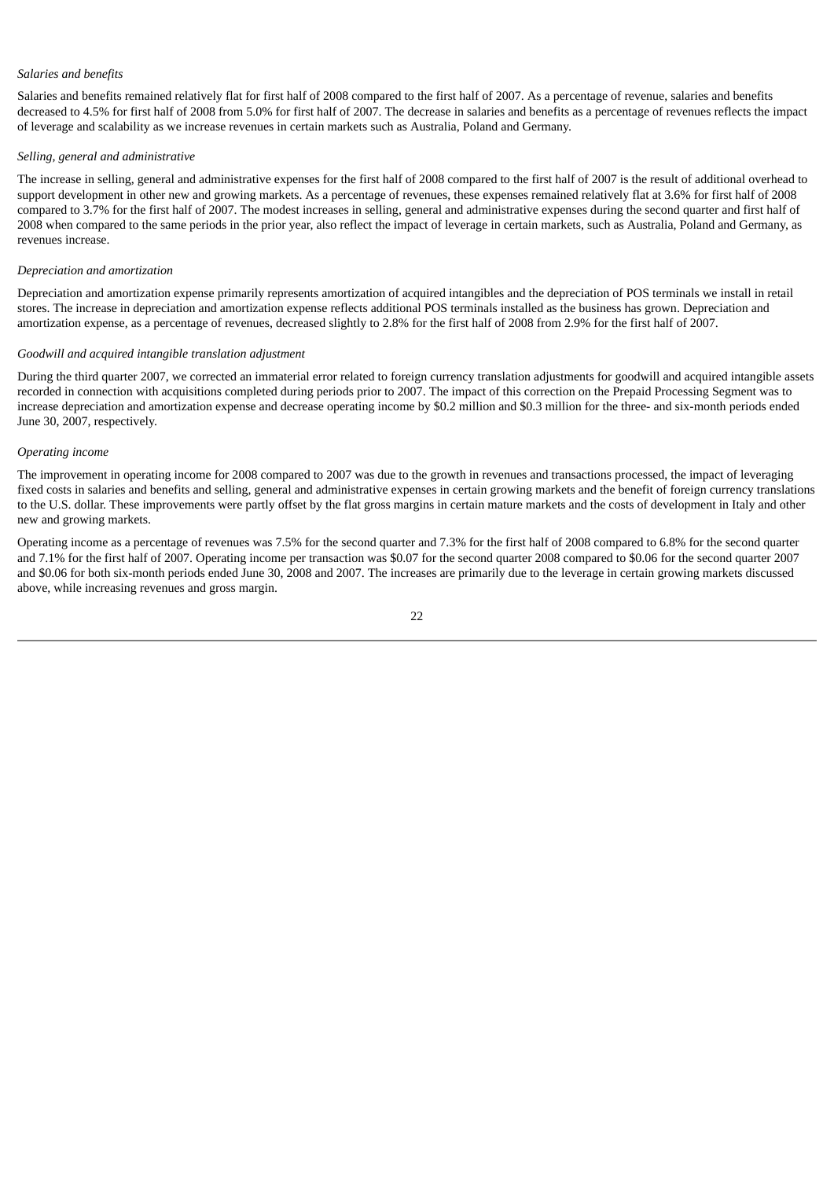#### *Salaries and benefits*

Salaries and benefits remained relatively flat for first half of 2008 compared to the first half of 2007. As a percentage of revenue, salaries and benefits decreased to 4.5% for first half of 2008 from 5.0% for first half of 2007. The decrease in salaries and benefits as a percentage of revenues reflects the impact of leverage and scalability as we increase revenues in certain markets such as Australia, Poland and Germany.

#### *Selling, general and administrative*

The increase in selling, general and administrative expenses for the first half of 2008 compared to the first half of 2007 is the result of additional overhead to support development in other new and growing markets. As a percentage of revenues, these expenses remained relatively flat at 3.6% for first half of 2008 compared to 3.7% for the first half of 2007. The modest increases in selling, general and administrative expenses during the second quarter and first half of 2008 when compared to the same periods in the prior year, also reflect the impact of leverage in certain markets, such as Australia, Poland and Germany, as revenues increase.

#### *Depreciation and amortization*

Depreciation and amortization expense primarily represents amortization of acquired intangibles and the depreciation of POS terminals we install in retail stores. The increase in depreciation and amortization expense reflects additional POS terminals installed as the business has grown. Depreciation and amortization expense, as a percentage of revenues, decreased slightly to 2.8% for the first half of 2008 from 2.9% for the first half of 2007.

#### *Goodwill and acquired intangible translation adjustment*

During the third quarter 2007, we corrected an immaterial error related to foreign currency translation adjustments for goodwill and acquired intangible assets recorded in connection with acquisitions completed during periods prior to 2007. The impact of this correction on the Prepaid Processing Segment was to increase depreciation and amortization expense and decrease operating income by \$0.2 million and \$0.3 million for the three- and six-month periods ended June 30, 2007, respectively.

#### *Operating income*

The improvement in operating income for 2008 compared to 2007 was due to the growth in revenues and transactions processed, the impact of leveraging fixed costs in salaries and benefits and selling, general and administrative expenses in certain growing markets and the benefit of foreign currency translations to the U.S. dollar. These improvements were partly offset by the flat gross margins in certain mature markets and the costs of development in Italy and other new and growing markets.

Operating income as a percentage of revenues was 7.5% for the second quarter and 7.3% for the first half of 2008 compared to 6.8% for the second quarter and 7.1% for the first half of 2007. Operating income per transaction was \$0.07 for the second quarter 2008 compared to \$0.06 for the second quarter 2007 and \$0.06 for both six-month periods ended June 30, 2008 and 2007. The increases are primarily due to the leverage in certain growing markets discussed above, while increasing revenues and gross margin.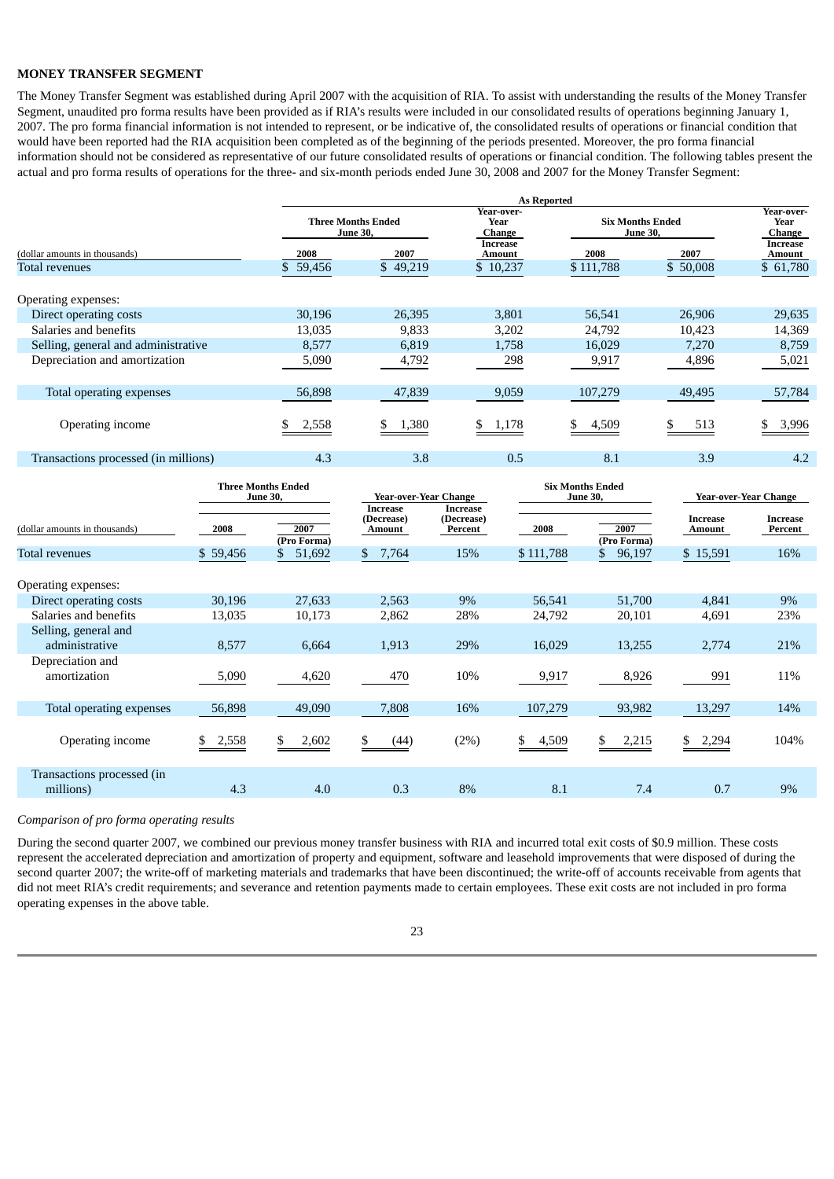#### **MONEY TRANSFER SEGMENT**

The Money Transfer Segment was established during April 2007 with the acquisition of RIA. To assist with understanding the results of the Money Transfer Segment, unaudited pro forma results have been provided as if RIA's results were included in our consolidated results of operations beginning January 1, 2007. The pro forma financial information is not intended to represent, or be indicative of, the consolidated results of operations or financial condition that would have been reported had the RIA acquisition been completed as of the beginning of the periods presented. Moreover, the pro forma financial information should not be considered as representative of our future consolidated results of operations or financial condition. The following tables present the actual and pro forma results of operations for the three- and six-month periods ended June 30, 2008 and 2007 for the Money Transfer Segment:

|                                      | <b>As Reported</b>                           |          |                              |                                            |          |                              |  |  |  |  |  |  |
|--------------------------------------|----------------------------------------------|----------|------------------------------|--------------------------------------------|----------|------------------------------|--|--|--|--|--|--|
|                                      | <b>Three Months Ended</b><br><b>June 30,</b> |          | Year-over-<br>Year<br>Change | <b>Six Months Ended</b><br><b>June 30,</b> |          | Year-over-<br>Year<br>Change |  |  |  |  |  |  |
| (dollar amounts in thousands)        | 2008                                         | 2007     | <b>Increase</b><br>Amount    | 2008                                       | 2007     | <b>Increase</b><br>Amount    |  |  |  |  |  |  |
| <b>Total revenues</b>                | 59,456<br>$\mathbb{S}^-$                     | \$49,219 | \$10,237                     | \$111,788                                  | \$50,008 | \$61,780                     |  |  |  |  |  |  |
| Operating expenses:                  |                                              |          |                              |                                            |          |                              |  |  |  |  |  |  |
| Direct operating costs               | 30,196                                       | 26,395   | 3,801                        | 56,541                                     | 26,906   | 29,635                       |  |  |  |  |  |  |
| Salaries and benefits                | 13,035                                       | 9,833    | 3,202                        | 24,792                                     | 10,423   | 14,369                       |  |  |  |  |  |  |
| Selling, general and administrative  | 8,577                                        | 6,819    | 1,758                        | 16,029                                     | 7,270    | 8,759                        |  |  |  |  |  |  |
| Depreciation and amortization        | 5,090                                        | 4,792    | 298                          | 9,917                                      | 4,896    | 5,021                        |  |  |  |  |  |  |
| Total operating expenses             | 56,898                                       | 47,839   | 9,059                        | 107,279                                    | 49,495   | 57,784                       |  |  |  |  |  |  |
| Operating income                     | 2,558                                        | 1,380    | 1,178<br>\$.                 | 4,509                                      | 513      | 3,996                        |  |  |  |  |  |  |
| Transactions processed (in millions) | 4.3                                          | 3.8      | 0.5                          | 8.1                                        | 3.9      | 4.2                          |  |  |  |  |  |  |

|                                         |            | <b>Three Months Ended</b><br><b>June 30,</b> | Increase                | <b>Year-over-Year Change</b><br><b>Increase</b> |            | <b>Six Months Ended</b><br><b>June 30,</b> | <b>Year-over-Year Change</b>     |                            |
|-----------------------------------------|------------|----------------------------------------------|-------------------------|-------------------------------------------------|------------|--------------------------------------------|----------------------------------|----------------------------|
| (dollar amounts in thousands)           | 2008       | 2007<br>(Pro Forma)                          | (Decrease)<br>Amount    | (Decrease)<br>Percent                           | 2008       | 2007<br>(Pro Forma)                        | <b>Increase</b><br><b>Amount</b> | <b>Increase</b><br>Percent |
| <b>Total revenues</b>                   | \$59,456   | 51,692<br>S.                                 | 7,764<br>$\mathbb{S}^-$ | 15%                                             | \$111,788  | 96,197<br>\$                               | \$15,591                         | 16%                        |
| Operating expenses:                     |            |                                              |                         |                                                 |            |                                            |                                  |                            |
| Direct operating costs                  | 30,196     | 27,633                                       | 2,563                   | $9\%$                                           | 56,541     | 51,700                                     | 4,841                            | 9%                         |
| Salaries and benefits                   | 13,035     | 10,173                                       | 2,862                   | 28%                                             | 24,792     | 20,101                                     | 4,691                            | 23%                        |
| Selling, general and<br>administrative  | 8,577      | 6,664                                        | 1,913                   | 29%                                             | 16,029     | 13,255                                     | 2,774                            | 21%                        |
| Depreciation and<br>amortization        | 5,090      | 4,620                                        | 470                     | 10%                                             | 9,917      | 8,926                                      | 991                              | 11%                        |
| Total operating expenses                | 56,898     | 49,090                                       | 7,808                   | 16%                                             | 107,279    | 93,982                                     | 13,297                           | 14%                        |
| Operating income                        | 2,558<br>S | 2,602<br>\$                                  | (44)<br>S.              | (2%)                                            | 4,509<br>S | 2,215<br>S.                                | 2,294<br>S.                      | 104%                       |
| Transactions processed (in<br>millions) | 4.3        | 4.0                                          | 0.3                     | 8%                                              | 8.1        | 7.4                                        | 0.7                              | 9%                         |

#### *Comparison of pro forma operating results*

During the second quarter 2007, we combined our previous money transfer business with RIA and incurred total exit costs of \$0.9 million. These costs represent the accelerated depreciation and amortization of property and equipment, software and leasehold improvements that were disposed of during the second quarter 2007; the write-off of marketing materials and trademarks that have been discontinued; the write-off of accounts receivable from agents that did not meet RIA's credit requirements; and severance and retention payments made to certain employees. These exit costs are not included in pro forma operating expenses in the above table.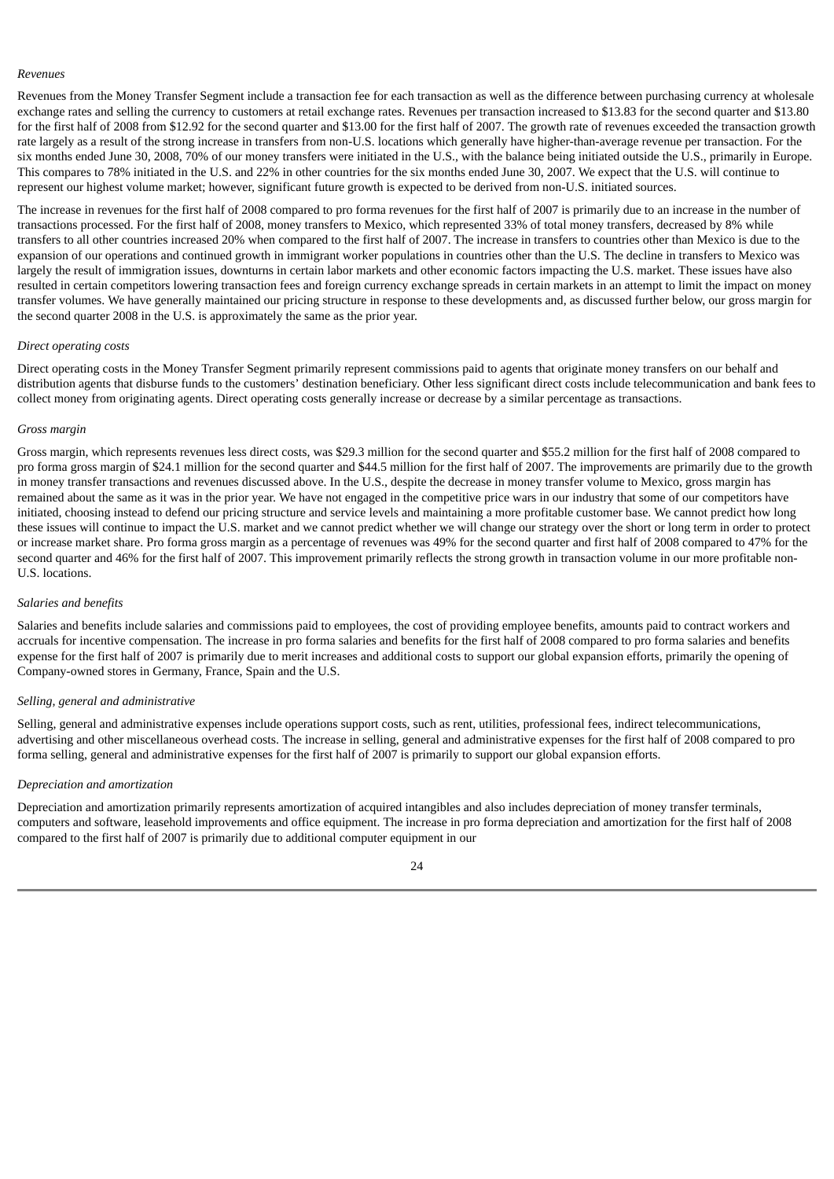#### *Revenues*

Revenues from the Money Transfer Segment include a transaction fee for each transaction as well as the difference between purchasing currency at wholesale exchange rates and selling the currency to customers at retail exchange rates. Revenues per transaction increased to \$13.83 for the second quarter and \$13.80 for the first half of 2008 from \$12.92 for the second quarter and \$13.00 for the first half of 2007. The growth rate of revenues exceeded the transaction growth rate largely as a result of the strong increase in transfers from non-U.S. locations which generally have higher-than-average revenue per transaction. For the six months ended June 30, 2008, 70% of our money transfers were initiated in the U.S., with the balance being initiated outside the U.S., primarily in Europe. This compares to 78% initiated in the U.S. and 22% in other countries for the six months ended June 30, 2007. We expect that the U.S. will continue to represent our highest volume market; however, significant future growth is expected to be derived from non-U.S. initiated sources.

The increase in revenues for the first half of 2008 compared to pro forma revenues for the first half of 2007 is primarily due to an increase in the number of transactions processed. For the first half of 2008, money transfers to Mexico, which represented 33% of total money transfers, decreased by 8% while transfers to all other countries increased 20% when compared to the first half of 2007. The increase in transfers to countries other than Mexico is due to the expansion of our operations and continued growth in immigrant worker populations in countries other than the U.S. The decline in transfers to Mexico was largely the result of immigration issues, downturns in certain labor markets and other economic factors impacting the U.S. market. These issues have also resulted in certain competitors lowering transaction fees and foreign currency exchange spreads in certain markets in an attempt to limit the impact on money transfer volumes. We have generally maintained our pricing structure in response to these developments and, as discussed further below, our gross margin for the second quarter 2008 in the U.S. is approximately the same as the prior year.

#### *Direct operating costs*

Direct operating costs in the Money Transfer Segment primarily represent commissions paid to agents that originate money transfers on our behalf and distribution agents that disburse funds to the customers' destination beneficiary. Other less significant direct costs include telecommunication and bank fees to collect money from originating agents. Direct operating costs generally increase or decrease by a similar percentage as transactions.

#### *Gross margin*

Gross margin, which represents revenues less direct costs, was \$29.3 million for the second quarter and \$55.2 million for the first half of 2008 compared to pro forma gross margin of \$24.1 million for the second quarter and \$44.5 million for the first half of 2007. The improvements are primarily due to the growth in money transfer transactions and revenues discussed above. In the U.S., despite the decrease in money transfer volume to Mexico, gross margin has remained about the same as it was in the prior year. We have not engaged in the competitive price wars in our industry that some of our competitors have initiated, choosing instead to defend our pricing structure and service levels and maintaining a more profitable customer base. We cannot predict how long these issues will continue to impact the U.S. market and we cannot predict whether we will change our strategy over the short or long term in order to protect or increase market share. Pro forma gross margin as a percentage of revenues was 49% for the second quarter and first half of 2008 compared to 47% for the second quarter and 46% for the first half of 2007. This improvement primarily reflects the strong growth in transaction volume in our more profitable non-U.S. locations.

#### *Salaries and benefits*

Salaries and benefits include salaries and commissions paid to employees, the cost of providing employee benefits, amounts paid to contract workers and accruals for incentive compensation. The increase in pro forma salaries and benefits for the first half of 2008 compared to pro forma salaries and benefits expense for the first half of 2007 is primarily due to merit increases and additional costs to support our global expansion efforts, primarily the opening of Company-owned stores in Germany, France, Spain and the U.S.

#### *Selling, general and administrative*

Selling, general and administrative expenses include operations support costs, such as rent, utilities, professional fees, indirect telecommunications, advertising and other miscellaneous overhead costs. The increase in selling, general and administrative expenses for the first half of 2008 compared to pro forma selling, general and administrative expenses for the first half of 2007 is primarily to support our global expansion efforts.

#### *Depreciation and amortization*

Depreciation and amortization primarily represents amortization of acquired intangibles and also includes depreciation of money transfer terminals, computers and software, leasehold improvements and office equipment. The increase in pro forma depreciation and amortization for the first half of 2008 compared to the first half of 2007 is primarily due to additional computer equipment in our

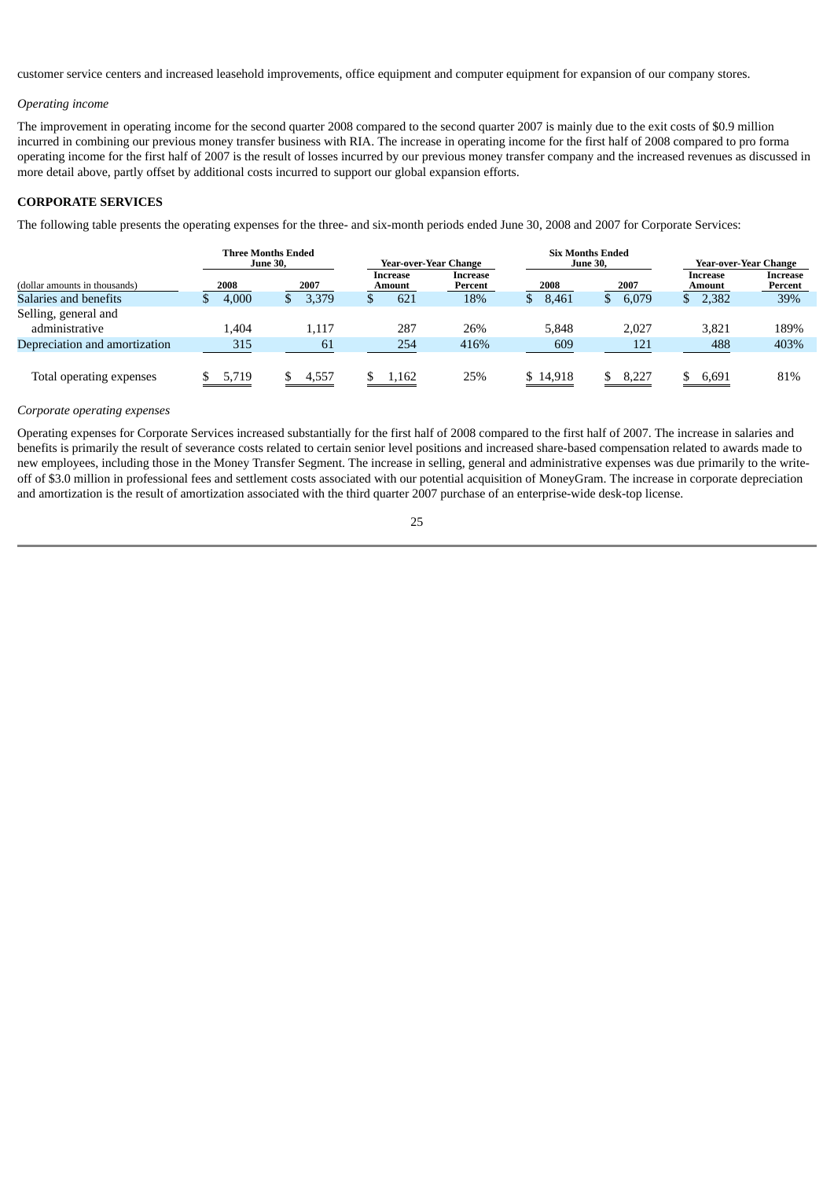customer service centers and increased leasehold improvements, office equipment and computer equipment for expansion of our company stores.

#### *Operating income*

The improvement in operating income for the second quarter 2008 compared to the second quarter 2007 is mainly due to the exit costs of \$0.9 million incurred in combining our previous money transfer business with RIA. The increase in operating income for the first half of 2008 compared to pro forma operating income for the first half of 2007 is the result of losses incurred by our previous money transfer company and the increased revenues as discussed in more detail above, partly offset by additional costs incurred to support our global expansion efforts.

## **CORPORATE SERVICES**

The following table presents the operating expenses for the three- and six-month periods ended June 30, 2008 and 2007 for Corporate Services:

|                               | <b>Three Months Ended</b><br><b>June 30.</b> |  |       | Year-over-Year Change |                     | <b>Six Months Ended</b><br><b>June 30.</b> |  |       |   | <b>Year-over-Year Change</b> |                     |
|-------------------------------|----------------------------------------------|--|-------|-----------------------|---------------------|--------------------------------------------|--|-------|---|------------------------------|---------------------|
| (dollar amounts in thousands) | 2008                                         |  | 2007  | Increase<br>Amount    | Increase<br>Percent | 2008                                       |  | 2007  |   | Increase<br>Amount           | Increase<br>Percent |
| Salaries and benefits         | 4,000                                        |  | 3,379 | 621                   | 18%                 | 8,461<br>S.                                |  | 6.079 | S | 2,382                        | 39%                 |
| Selling, general and          |                                              |  |       |                       |                     |                                            |  |       |   |                              |                     |
| administrative                | .404                                         |  | 1.117 | 287                   | 26%                 | 5.848                                      |  | 2.027 |   | 3,821                        | 189%                |
| Depreciation and amortization | 315                                          |  | 61    | 254                   | 416%                | 609                                        |  | 121   |   | 488                          | 403%                |
|                               |                                              |  |       |                       |                     |                                            |  |       |   |                              |                     |
| Total operating expenses      | 5,719                                        |  | 4,557 | 1,162                 | 25%                 | \$14,918                                   |  | 8,227 | S | 6,691                        | 81%                 |

#### *Corporate operating expenses*

Operating expenses for Corporate Services increased substantially for the first half of 2008 compared to the first half of 2007. The increase in salaries and benefits is primarily the result of severance costs related to certain senior level positions and increased share-based compensation related to awards made to new employees, including those in the Money Transfer Segment. The increase in selling, general and administrative expenses was due primarily to the writeoff of \$3.0 million in professional fees and settlement costs associated with our potential acquisition of MoneyGram. The increase in corporate depreciation and amortization is the result of amortization associated with the third quarter 2007 purchase of an enterprise-wide desk-top license.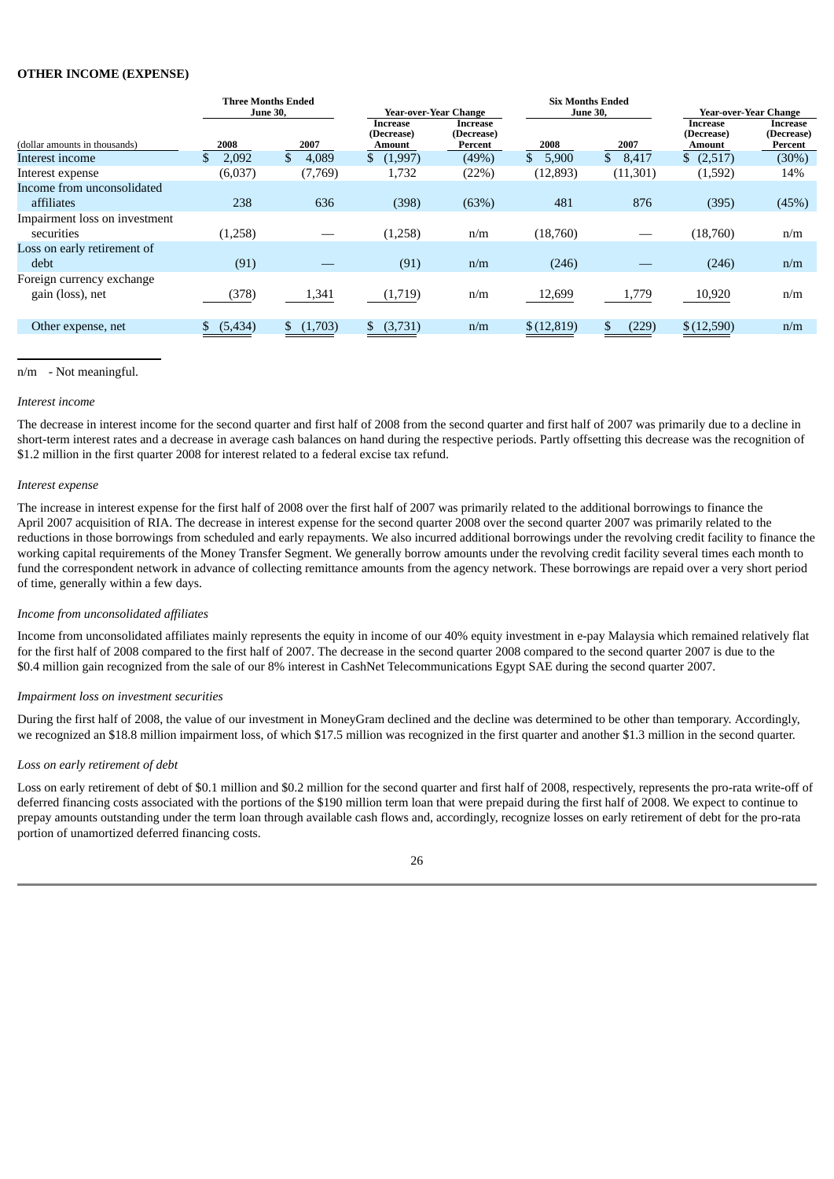## **OTHER INCOME (EXPENSE)**

|                               | <b>June 30,</b> | Three Months Ended |                                  | Year-over-Year Change             | <b>Six Months Ended</b><br><b>June 30,</b> |             | Year-over-Year Change                   |                                   |
|-------------------------------|-----------------|--------------------|----------------------------------|-----------------------------------|--------------------------------------------|-------------|-----------------------------------------|-----------------------------------|
| (dollar amounts in thousands) | 2008            | 2007               | Increase<br>(Decrease)<br>Amount | Increase<br>(Decrease)<br>Percent | 2008                                       | 2007        | <b>Increase</b><br>(Decrease)<br>Amount | Increase<br>(Decrease)<br>Percent |
| Interest income               | 2,092           | \$<br>4,089        | (1,997)                          | (49%)                             | $\mathbb{S}$<br>5,900                      | \$<br>8,417 | \$(2,517)                               | (30%)                             |
| Interest expense              | (6,037)         | (7,769)            | 1,732                            | (22%)                             | (12, 893)                                  | (11,301)    | (1,592)                                 | 14%                               |
| Income from unconsolidated    |                 |                    |                                  |                                   |                                            |             |                                         |                                   |
| affiliates                    | 238             | 636                | (398)                            | (63%)                             | 481                                        | 876         | (395)                                   | (45%)                             |
| Impairment loss on investment |                 |                    |                                  |                                   |                                            |             |                                         |                                   |
| securities                    | (1,258)         |                    | (1,258)                          | n/m                               | (18,760)                                   |             | (18,760)                                | n/m                               |
| Loss on early retirement of   |                 |                    |                                  |                                   |                                            |             |                                         |                                   |
| debt                          | (91)            |                    | (91)                             | n/m                               | (246)                                      |             | (246)                                   | n/m                               |
| Foreign currency exchange     |                 |                    |                                  |                                   |                                            |             |                                         |                                   |
| gain (loss), net              | (378)           | 1,341              | (1,719)                          | n/m                               | 12,699                                     | 1,779       | 10,920                                  | n/m                               |
| Other expense, net            | (5,434)<br>S.   | (1,703)<br>S.      | (3,731)                          | n/m                               | \$(12, 819)                                | (229)<br>\$ | \$(12,590)                              | n/m                               |

n/m - Not meaningful.

#### *Interest income*

The decrease in interest income for the second quarter and first half of 2008 from the second quarter and first half of 2007 was primarily due to a decline in short-term interest rates and a decrease in average cash balances on hand during the respective periods. Partly offsetting this decrease was the recognition of \$1.2 million in the first quarter 2008 for interest related to a federal excise tax refund.

#### *Interest expense*

The increase in interest expense for the first half of 2008 over the first half of 2007 was primarily related to the additional borrowings to finance the April 2007 acquisition of RIA. The decrease in interest expense for the second quarter 2008 over the second quarter 2007 was primarily related to the reductions in those borrowings from scheduled and early repayments. We also incurred additional borrowings under the revolving credit facility to finance the working capital requirements of the Money Transfer Segment. We generally borrow amounts under the revolving credit facility several times each month to fund the correspondent network in advance of collecting remittance amounts from the agency network. These borrowings are repaid over a very short period of time, generally within a few days.

#### *Income from unconsolidated affiliates*

Income from unconsolidated affiliates mainly represents the equity in income of our 40% equity investment in e-pay Malaysia which remained relatively flat for the first half of 2008 compared to the first half of 2007. The decrease in the second quarter 2008 compared to the second quarter 2007 is due to the \$0.4 million gain recognized from the sale of our 8% interest in CashNet Telecommunications Egypt SAE during the second quarter 2007.

#### *Impairment loss on investment securities*

During the first half of 2008, the value of our investment in MoneyGram declined and the decline was determined to be other than temporary. Accordingly, we recognized an \$18.8 million impairment loss, of which \$17.5 million was recognized in the first quarter and another \$1.3 million in the second quarter.

#### *Loss on early retirement of debt*

Loss on early retirement of debt of \$0.1 million and \$0.2 million for the second quarter and first half of 2008, respectively, represents the pro-rata write-off of deferred financing costs associated with the portions of the \$190 million term loan that were prepaid during the first half of 2008. We expect to continue to prepay amounts outstanding under the term loan through available cash flows and, accordingly, recognize losses on early retirement of debt for the pro-rata portion of unamortized deferred financing costs.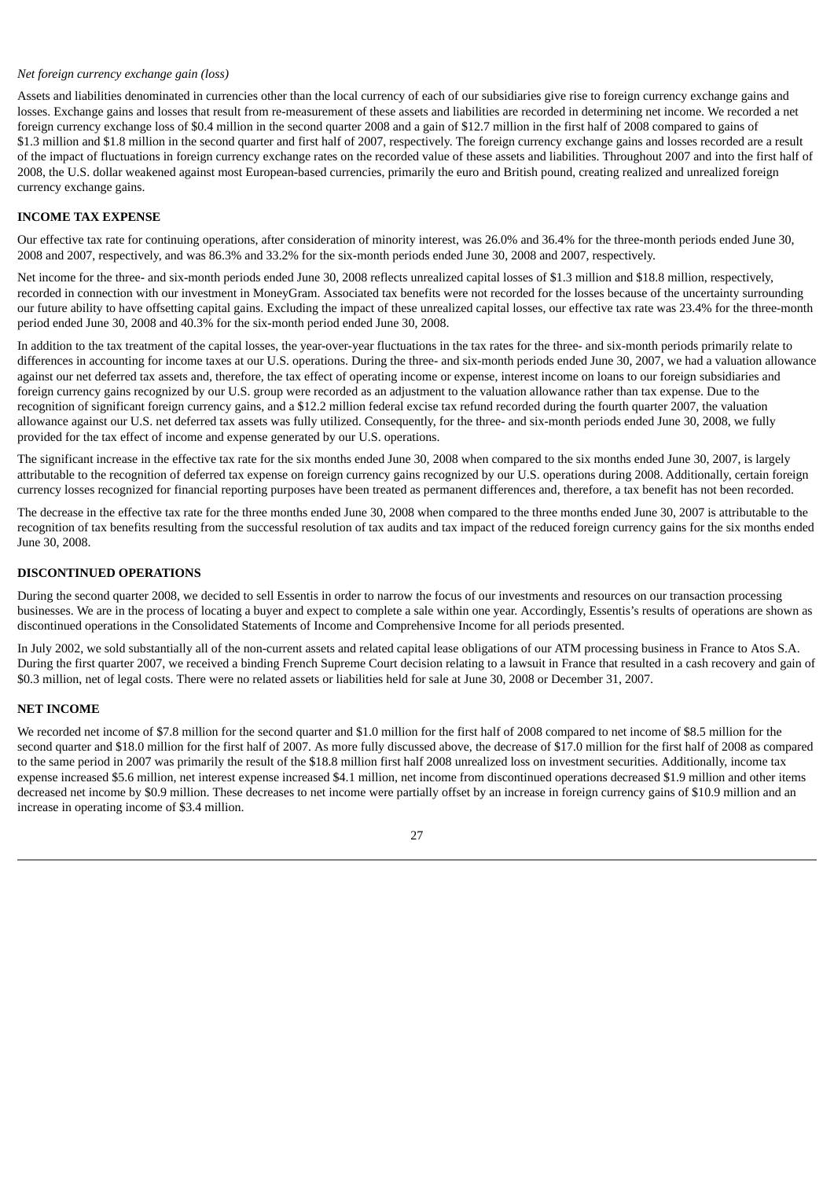#### *Net foreign currency exchange gain (loss)*

Assets and liabilities denominated in currencies other than the local currency of each of our subsidiaries give rise to foreign currency exchange gains and losses. Exchange gains and losses that result from re-measurement of these assets and liabilities are recorded in determining net income. We recorded a net foreign currency exchange loss of \$0.4 million in the second quarter 2008 and a gain of \$12.7 million in the first half of 2008 compared to gains of \$1.3 million and \$1.8 million in the second quarter and first half of 2007, respectively. The foreign currency exchange gains and losses recorded are a result of the impact of fluctuations in foreign currency exchange rates on the recorded value of these assets and liabilities. Throughout 2007 and into the first half of 2008, the U.S. dollar weakened against most European-based currencies, primarily the euro and British pound, creating realized and unrealized foreign currency exchange gains.

#### **INCOME TAX EXPENSE**

Our effective tax rate for continuing operations, after consideration of minority interest, was 26.0% and 36.4% for the three-month periods ended June 30, 2008 and 2007, respectively, and was 86.3% and 33.2% for the six-month periods ended June 30, 2008 and 2007, respectively.

Net income for the three- and six-month periods ended June 30, 2008 reflects unrealized capital losses of \$1.3 million and \$18.8 million, respectively, recorded in connection with our investment in MoneyGram. Associated tax benefits were not recorded for the losses because of the uncertainty surrounding our future ability to have offsetting capital gains. Excluding the impact of these unrealized capital losses, our effective tax rate was 23.4% for the three-month period ended June 30, 2008 and 40.3% for the six-month period ended June 30, 2008.

In addition to the tax treatment of the capital losses, the year-over-year fluctuations in the tax rates for the three- and six-month periods primarily relate to differences in accounting for income taxes at our U.S. operations. During the three- and six-month periods ended June 30, 2007, we had a valuation allowance against our net deferred tax assets and, therefore, the tax effect of operating income or expense, interest income on loans to our foreign subsidiaries and foreign currency gains recognized by our U.S. group were recorded as an adjustment to the valuation allowance rather than tax expense. Due to the recognition of significant foreign currency gains, and a \$12.2 million federal excise tax refund recorded during the fourth quarter 2007, the valuation allowance against our U.S. net deferred tax assets was fully utilized. Consequently, for the three- and six-month periods ended June 30, 2008, we fully provided for the tax effect of income and expense generated by our U.S. operations.

The significant increase in the effective tax rate for the six months ended June 30, 2008 when compared to the six months ended June 30, 2007, is largely attributable to the recognition of deferred tax expense on foreign currency gains recognized by our U.S. operations during 2008. Additionally, certain foreign currency losses recognized for financial reporting purposes have been treated as permanent differences and, therefore, a tax benefit has not been recorded.

The decrease in the effective tax rate for the three months ended June 30, 2008 when compared to the three months ended June 30, 2007 is attributable to the recognition of tax benefits resulting from the successful resolution of tax audits and tax impact of the reduced foreign currency gains for the six months ended June 30, 2008.

#### **DISCONTINUED OPERATIONS**

During the second quarter 2008, we decided to sell Essentis in order to narrow the focus of our investments and resources on our transaction processing businesses. We are in the process of locating a buyer and expect to complete a sale within one year. Accordingly, Essentis's results of operations are shown as discontinued operations in the Consolidated Statements of Income and Comprehensive Income for all periods presented.

In July 2002, we sold substantially all of the non-current assets and related capital lease obligations of our ATM processing business in France to Atos S.A. During the first quarter 2007, we received a binding French Supreme Court decision relating to a lawsuit in France that resulted in a cash recovery and gain of \$0.3 million, net of legal costs. There were no related assets or liabilities held for sale at June 30, 2008 or December 31, 2007.

#### **NET INCOME**

We recorded net income of \$7.8 million for the second quarter and \$1.0 million for the first half of 2008 compared to net income of \$8.5 million for the second quarter and \$18.0 million for the first half of 2007. As more fully discussed above, the decrease of \$17.0 million for the first half of 2008 as compared to the same period in 2007 was primarily the result of the \$18.8 million first half 2008 unrealized loss on investment securities. Additionally, income tax expense increased \$5.6 million, net interest expense increased \$4.1 million, net income from discontinued operations decreased \$1.9 million and other items decreased net income by \$0.9 million. These decreases to net income were partially offset by an increase in foreign currency gains of \$10.9 million and an increase in operating income of \$3.4 million.

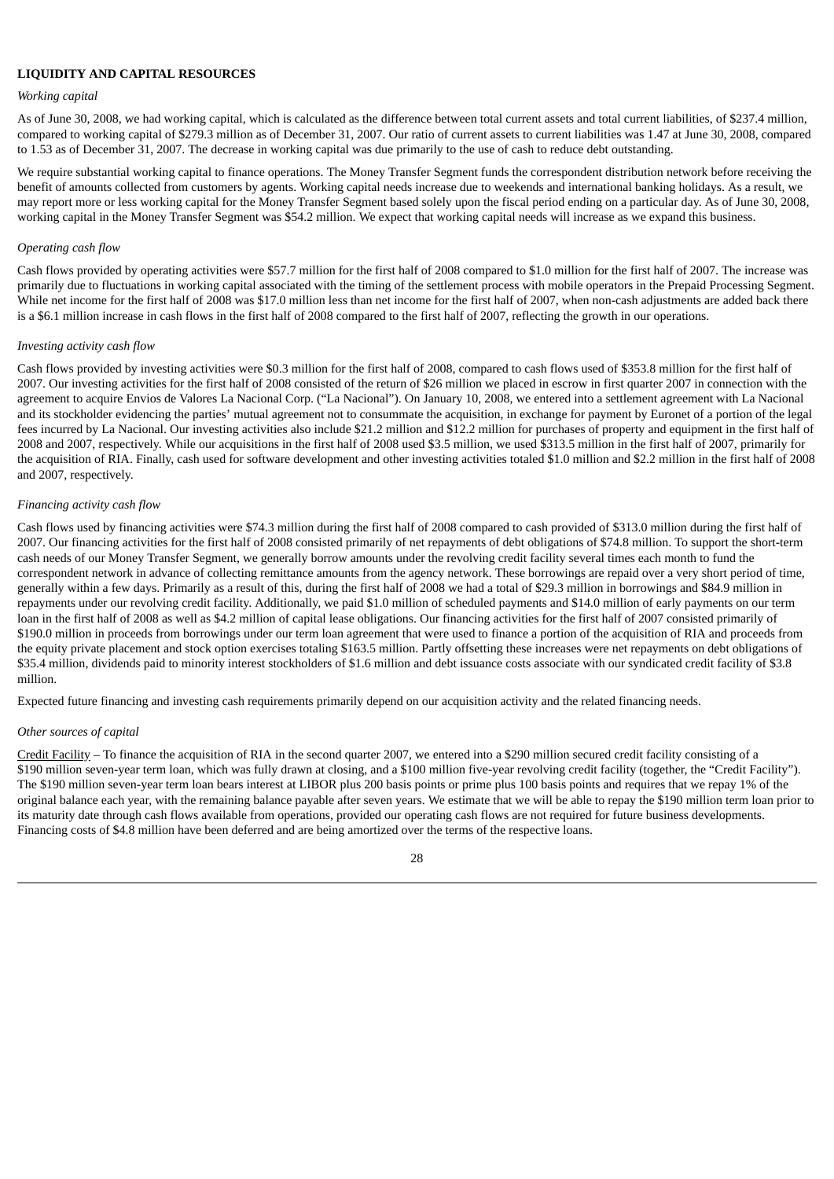#### **LIQUIDITY AND CAPITAL RESOURCES**

#### *Working capital*

As of June 30, 2008, we had working capital, which is calculated as the difference between total current assets and total current liabilities, of \$237.4 million, compared to working capital of \$279.3 million as of December 31, 2007. Our ratio of current assets to current liabilities was 1.47 at June 30, 2008, compared to 1.53 as of December 31, 2007. The decrease in working capital was due primarily to the use of cash to reduce debt outstanding.

We require substantial working capital to finance operations. The Money Transfer Segment funds the correspondent distribution network before receiving the benefit of amounts collected from customers by agents. Working capital needs increase due to weekends and international banking holidays. As a result, we may report more or less working capital for the Money Transfer Segment based solely upon the fiscal period ending on a particular day. As of June 30, 2008, working capital in the Money Transfer Segment was \$54.2 million. We expect that working capital needs will increase as we expand this business.

#### *Operating cash flow*

Cash flows provided by operating activities were \$57.7 million for the first half of 2008 compared to \$1.0 million for the first half of 2007. The increase was primarily due to fluctuations in working capital associated with the timing of the settlement process with mobile operators in the Prepaid Processing Segment. While net income for the first half of 2008 was \$17.0 million less than net income for the first half of 2007, when non-cash adjustments are added back there is a \$6.1 million increase in cash flows in the first half of 2008 compared to the first half of 2007, reflecting the growth in our operations.

#### *Investing activity cash flow*

Cash flows provided by investing activities were \$0.3 million for the first half of 2008, compared to cash flows used of \$353.8 million for the first half of 2007. Our investing activities for the first half of 2008 consisted of the return of \$26 million we placed in escrow in first quarter 2007 in connection with the agreement to acquire Envios de Valores La Nacional Corp. ("La Nacional"). On January 10, 2008, we entered into a settlement agreement with La Nacional and its stockholder evidencing the parties' mutual agreement not to consummate the acquisition, in exchange for payment by Euronet of a portion of the legal fees incurred by La Nacional. Our investing activities also include \$21.2 million and \$12.2 million for purchases of property and equipment in the first half of 2008 and 2007, respectively. While our acquisitions in the first half of 2008 used \$3.5 million, we used \$313.5 million in the first half of 2007, primarily for the acquisition of RIA. Finally, cash used for software development and other investing activities totaled \$1.0 million and \$2.2 million in the first half of 2008 and 2007, respectively.

#### *Financing activity cash flow*

Cash flows used by financing activities were \$74.3 million during the first half of 2008 compared to cash provided of \$313.0 million during the first half of 2007. Our financing activities for the first half of 2008 consisted primarily of net repayments of debt obligations of \$74.8 million. To support the short-term cash needs of our Money Transfer Segment, we generally borrow amounts under the revolving credit facility several times each month to fund the correspondent network in advance of collecting remittance amounts from the agency network. These borrowings are repaid over a very short period of time, generally within a few days. Primarily as a result of this, during the first half of 2008 we had a total of \$29.3 million in borrowings and \$84.9 million in repayments under our revolving credit facility. Additionally, we paid \$1.0 million of scheduled payments and \$14.0 million of early payments on our term loan in the first half of 2008 as well as \$4.2 million of capital lease obligations. Our financing activities for the first half of 2007 consisted primarily of \$190.0 million in proceeds from borrowings under our term loan agreement that were used to finance a portion of the acquisition of RIA and proceeds from the equity private placement and stock option exercises totaling \$163.5 million. Partly offsetting these increases were net repayments on debt obligations of \$35.4 million, dividends paid to minority interest stockholders of \$1.6 million and debt issuance costs associate with our syndicated credit facility of \$3.8 million.

Expected future financing and investing cash requirements primarily depend on our acquisition activity and the related financing needs.

#### *Other sources of capital*

Credit Facility – To finance the acquisition of RIA in the second quarter 2007, we entered into a \$290 million secured credit facility consisting of a \$190 million seven-year term loan, which was fully drawn at closing, and a \$100 million five-year revolving credit facility (together, the "Credit Facility"). The \$190 million seven-year term loan bears interest at LIBOR plus 200 basis points or prime plus 100 basis points and requires that we repay 1% of the original balance each year, with the remaining balance payable after seven years. We estimate that we will be able to repay the \$190 million term loan prior to its maturity date through cash flows available from operations, provided our operating cash flows are not required for future business developments. Financing costs of \$4.8 million have been deferred and are being amortized over the terms of the respective loans.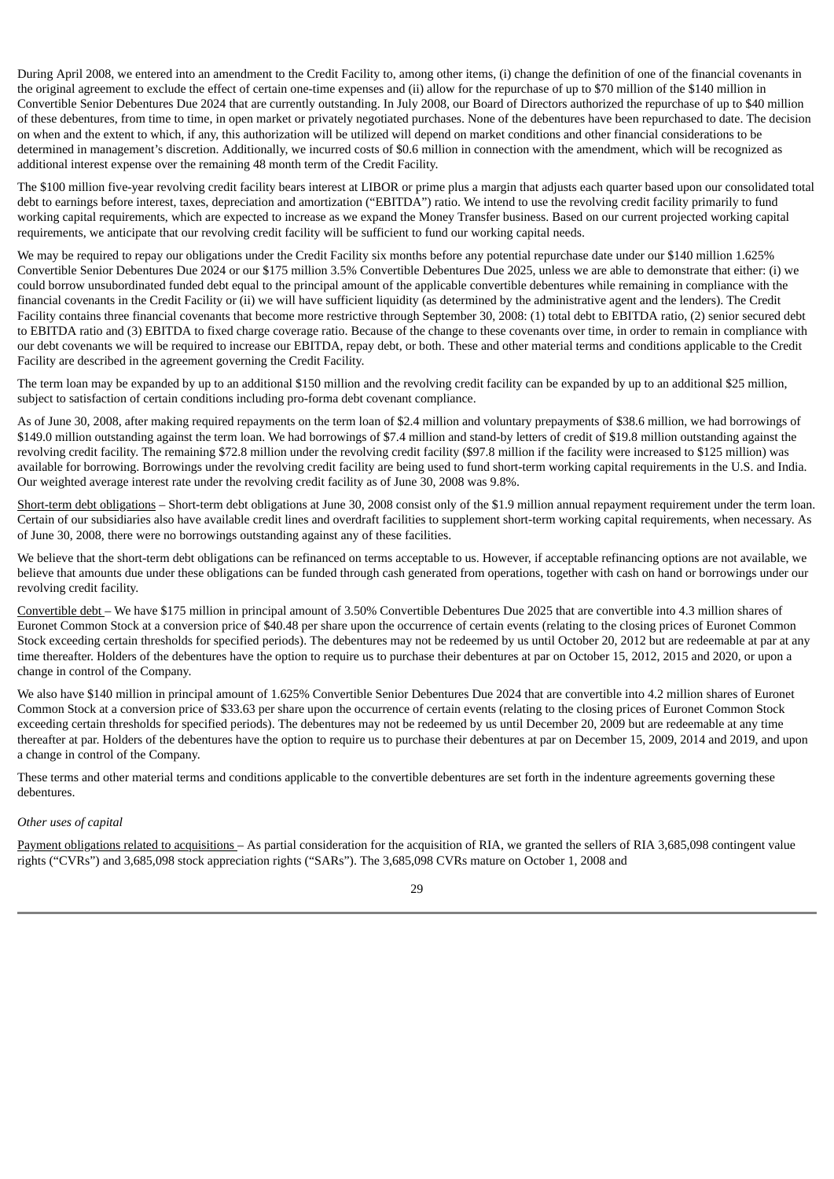During April 2008, we entered into an amendment to the Credit Facility to, among other items, (i) change the definition of one of the financial covenants in the original agreement to exclude the effect of certain one-time expenses and (ii) allow for the repurchase of up to \$70 million of the \$140 million in Convertible Senior Debentures Due 2024 that are currently outstanding. In July 2008, our Board of Directors authorized the repurchase of up to \$40 million of these debentures, from time to time, in open market or privately negotiated purchases. None of the debentures have been repurchased to date. The decision on when and the extent to which, if any, this authorization will be utilized will depend on market conditions and other financial considerations to be determined in management's discretion. Additionally, we incurred costs of \$0.6 million in connection with the amendment, which will be recognized as additional interest expense over the remaining 48 month term of the Credit Facility.

The \$100 million five-year revolving credit facility bears interest at LIBOR or prime plus a margin that adjusts each quarter based upon our consolidated total debt to earnings before interest, taxes, depreciation and amortization ("EBITDA") ratio. We intend to use the revolving credit facility primarily to fund working capital requirements, which are expected to increase as we expand the Money Transfer business. Based on our current projected working capital requirements, we anticipate that our revolving credit facility will be sufficient to fund our working capital needs.

We may be required to repay our obligations under the Credit Facility six months before any potential repurchase date under our \$140 million 1.625% Convertible Senior Debentures Due 2024 or our \$175 million 3.5% Convertible Debentures Due 2025, unless we are able to demonstrate that either: (i) we could borrow unsubordinated funded debt equal to the principal amount of the applicable convertible debentures while remaining in compliance with the financial covenants in the Credit Facility or (ii) we will have sufficient liquidity (as determined by the administrative agent and the lenders). The Credit Facility contains three financial covenants that become more restrictive through September 30, 2008: (1) total debt to EBITDA ratio, (2) senior secured debt to EBITDA ratio and (3) EBITDA to fixed charge coverage ratio. Because of the change to these covenants over time, in order to remain in compliance with our debt covenants we will be required to increase our EBITDA, repay debt, or both. These and other material terms and conditions applicable to the Credit Facility are described in the agreement governing the Credit Facility.

The term loan may be expanded by up to an additional \$150 million and the revolving credit facility can be expanded by up to an additional \$25 million, subject to satisfaction of certain conditions including pro-forma debt covenant compliance.

As of June 30, 2008, after making required repayments on the term loan of \$2.4 million and voluntary prepayments of \$38.6 million, we had borrowings of \$149.0 million outstanding against the term loan. We had borrowings of \$7.4 million and stand-by letters of credit of \$19.8 million outstanding against the revolving credit facility. The remaining \$72.8 million under the revolving credit facility (\$97.8 million if the facility were increased to \$125 million) was available for borrowing. Borrowings under the revolving credit facility are being used to fund short-term working capital requirements in the U.S. and India. Our weighted average interest rate under the revolving credit facility as of June 30, 2008 was 9.8%.

Short-term debt obligations – Short-term debt obligations at June 30, 2008 consist only of the \$1.9 million annual repayment requirement under the term loan. Certain of our subsidiaries also have available credit lines and overdraft facilities to supplement short-term working capital requirements, when necessary. As of June 30, 2008, there were no borrowings outstanding against any of these facilities.

We believe that the short-term debt obligations can be refinanced on terms acceptable to us. However, if acceptable refinancing options are not available, we believe that amounts due under these obligations can be funded through cash generated from operations, together with cash on hand or borrowings under our revolving credit facility.

Convertible debt – We have \$175 million in principal amount of 3.50% Convertible Debentures Due 2025 that are convertible into 4.3 million shares of Euronet Common Stock at a conversion price of \$40.48 per share upon the occurrence of certain events (relating to the closing prices of Euronet Common Stock exceeding certain thresholds for specified periods). The debentures may not be redeemed by us until October 20, 2012 but are redeemable at par at any time thereafter. Holders of the debentures have the option to require us to purchase their debentures at par on October 15, 2012, 2015 and 2020, or upon a change in control of the Company.

We also have \$140 million in principal amount of 1.625% Convertible Senior Debentures Due 2024 that are convertible into 4.2 million shares of Euronet Common Stock at a conversion price of \$33.63 per share upon the occurrence of certain events (relating to the closing prices of Euronet Common Stock exceeding certain thresholds for specified periods). The debentures may not be redeemed by us until December 20, 2009 but are redeemable at any time thereafter at par. Holders of the debentures have the option to require us to purchase their debentures at par on December 15, 2009, 2014 and 2019, and upon a change in control of the Company.

These terms and other material terms and conditions applicable to the convertible debentures are set forth in the indenture agreements governing these debentures.

#### *Other uses of capital*

Payment obligations related to acquisitions – As partial consideration for the acquisition of RIA, we granted the sellers of RIA 3,685,098 contingent value rights ("CVRs") and 3,685,098 stock appreciation rights ("SARs"). The 3,685,098 CVRs mature on October 1, 2008 and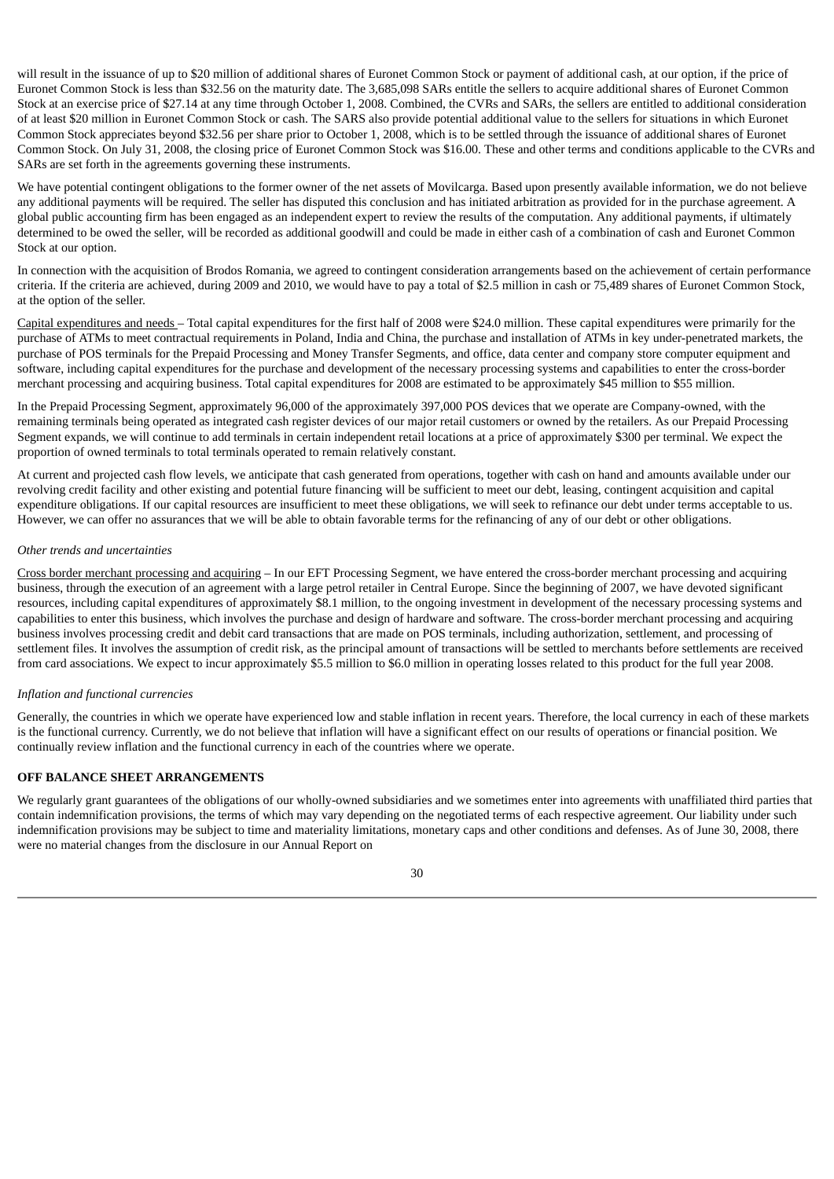will result in the issuance of up to \$20 million of additional shares of Euronet Common Stock or payment of additional cash, at our option, if the price of Euronet Common Stock is less than \$32.56 on the maturity date. The 3,685,098 SARs entitle the sellers to acquire additional shares of Euronet Common Stock at an exercise price of \$27.14 at any time through October 1, 2008. Combined, the CVRs and SARs, the sellers are entitled to additional consideration of at least \$20 million in Euronet Common Stock or cash. The SARS also provide potential additional value to the sellers for situations in which Euronet Common Stock appreciates beyond \$32.56 per share prior to October 1, 2008, which is to be settled through the issuance of additional shares of Euronet Common Stock. On July 31, 2008, the closing price of Euronet Common Stock was \$16.00. These and other terms and conditions applicable to the CVRs and SARs are set forth in the agreements governing these instruments.

We have potential contingent obligations to the former owner of the net assets of Movilcarga. Based upon presently available information, we do not believe any additional payments will be required. The seller has disputed this conclusion and has initiated arbitration as provided for in the purchase agreement. A global public accounting firm has been engaged as an independent expert to review the results of the computation. Any additional payments, if ultimately determined to be owed the seller, will be recorded as additional goodwill and could be made in either cash of a combination of cash and Euronet Common Stock at our option.

In connection with the acquisition of Brodos Romania, we agreed to contingent consideration arrangements based on the achievement of certain performance criteria. If the criteria are achieved, during 2009 and 2010, we would have to pay a total of \$2.5 million in cash or 75,489 shares of Euronet Common Stock, at the option of the seller.

Capital expenditures and needs – Total capital expenditures for the first half of 2008 were \$24.0 million. These capital expenditures were primarily for the purchase of ATMs to meet contractual requirements in Poland, India and China, the purchase and installation of ATMs in key under-penetrated markets, the purchase of POS terminals for the Prepaid Processing and Money Transfer Segments, and office, data center and company store computer equipment and software, including capital expenditures for the purchase and development of the necessary processing systems and capabilities to enter the cross-border merchant processing and acquiring business. Total capital expenditures for 2008 are estimated to be approximately \$45 million to \$55 million.

In the Prepaid Processing Segment, approximately 96,000 of the approximately 397,000 POS devices that we operate are Company-owned, with the remaining terminals being operated as integrated cash register devices of our major retail customers or owned by the retailers. As our Prepaid Processing Segment expands, we will continue to add terminals in certain independent retail locations at a price of approximately \$300 per terminal. We expect the proportion of owned terminals to total terminals operated to remain relatively constant.

At current and projected cash flow levels, we anticipate that cash generated from operations, together with cash on hand and amounts available under our revolving credit facility and other existing and potential future financing will be sufficient to meet our debt, leasing, contingent acquisition and capital expenditure obligations. If our capital resources are insufficient to meet these obligations, we will seek to refinance our debt under terms acceptable to us. However, we can offer no assurances that we will be able to obtain favorable terms for the refinancing of any of our debt or other obligations.

#### *Other trends and uncertainties*

Cross border merchant processing and acquiring – In our EFT Processing Segment, we have entered the cross-border merchant processing and acquiring business, through the execution of an agreement with a large petrol retailer in Central Europe. Since the beginning of 2007, we have devoted significant resources, including capital expenditures of approximately \$8.1 million, to the ongoing investment in development of the necessary processing systems and capabilities to enter this business, which involves the purchase and design of hardware and software. The cross-border merchant processing and acquiring business involves processing credit and debit card transactions that are made on POS terminals, including authorization, settlement, and processing of settlement files. It involves the assumption of credit risk, as the principal amount of transactions will be settled to merchants before settlements are received from card associations. We expect to incur approximately \$5.5 million to \$6.0 million in operating losses related to this product for the full year 2008.

#### *Inflation and functional currencies*

Generally, the countries in which we operate have experienced low and stable inflation in recent years. Therefore, the local currency in each of these markets is the functional currency. Currently, we do not believe that inflation will have a significant effect on our results of operations or financial position. We continually review inflation and the functional currency in each of the countries where we operate.

## **OFF BALANCE SHEET ARRANGEMENTS**

We regularly grant guarantees of the obligations of our wholly-owned subsidiaries and we sometimes enter into agreements with unaffiliated third parties that contain indemnification provisions, the terms of which may vary depending on the negotiated terms of each respective agreement. Our liability under such indemnification provisions may be subject to time and materiality limitations, monetary caps and other conditions and defenses. As of June 30, 2008, there were no material changes from the disclosure in our Annual Report on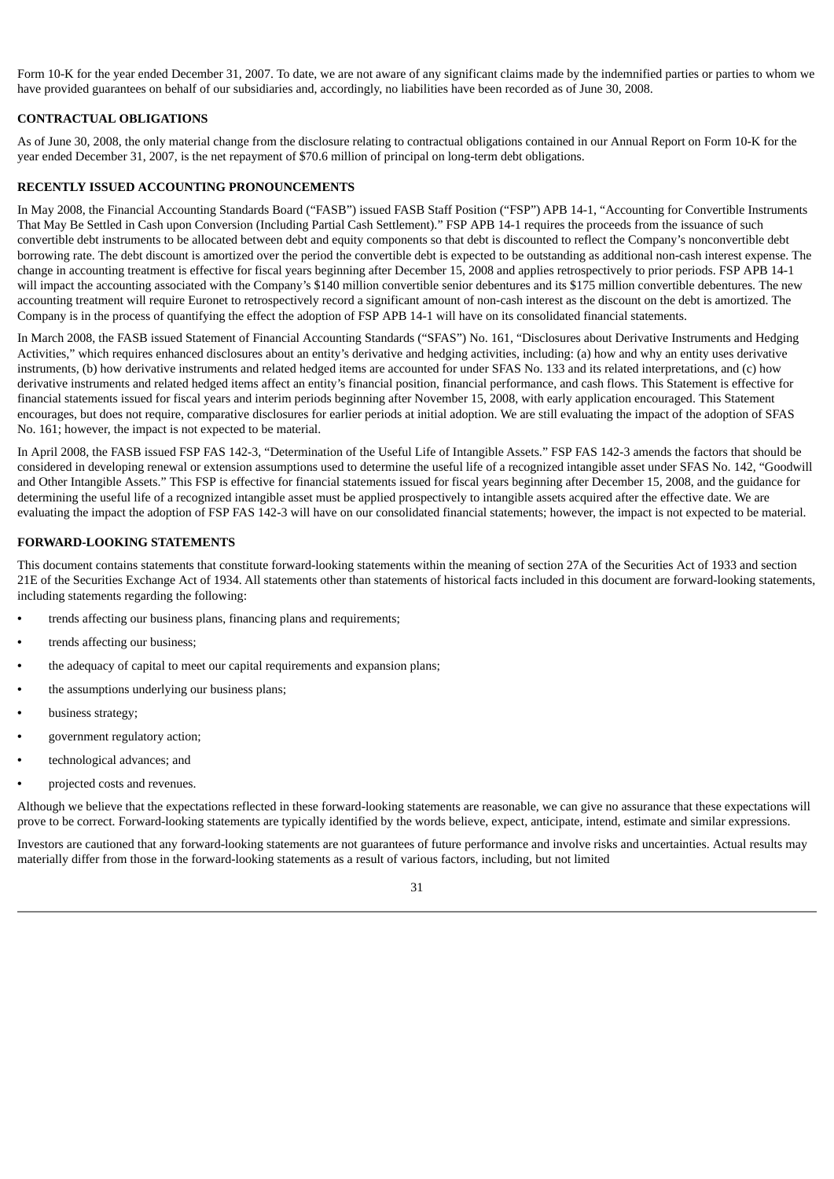Form 10-K for the year ended December 31, 2007. To date, we are not aware of any significant claims made by the indemnified parties or parties to whom we have provided guarantees on behalf of our subsidiaries and, accordingly, no liabilities have been recorded as of June 30, 2008.

#### **CONTRACTUAL OBLIGATIONS**

As of June 30, 2008, the only material change from the disclosure relating to contractual obligations contained in our Annual Report on Form 10-K for the year ended December 31, 2007, is the net repayment of \$70.6 million of principal on long-term debt obligations.

#### **RECENTLY ISSUED ACCOUNTING PRONOUNCEMENTS**

In May 2008, the Financial Accounting Standards Board ("FASB") issued FASB Staff Position ("FSP") APB 14-1, "Accounting for Convertible Instruments That May Be Settled in Cash upon Conversion (Including Partial Cash Settlement)." FSP APB 14-1 requires the proceeds from the issuance of such convertible debt instruments to be allocated between debt and equity components so that debt is discounted to reflect the Company's nonconvertible debt borrowing rate. The debt discount is amortized over the period the convertible debt is expected to be outstanding as additional non-cash interest expense. The change in accounting treatment is effective for fiscal years beginning after December 15, 2008 and applies retrospectively to prior periods. FSP APB 14-1 will impact the accounting associated with the Company's \$140 million convertible senior debentures and its \$175 million convertible debentures. The new accounting treatment will require Euronet to retrospectively record a significant amount of non-cash interest as the discount on the debt is amortized. The Company is in the process of quantifying the effect the adoption of FSP APB 14-1 will have on its consolidated financial statements.

In March 2008, the FASB issued Statement of Financial Accounting Standards ("SFAS") No. 161, "Disclosures about Derivative Instruments and Hedging Activities," which requires enhanced disclosures about an entity's derivative and hedging activities, including: (a) how and why an entity uses derivative instruments, (b) how derivative instruments and related hedged items are accounted for under SFAS No. 133 and its related interpretations, and (c) how derivative instruments and related hedged items affect an entity's financial position, financial performance, and cash flows. This Statement is effective for financial statements issued for fiscal years and interim periods beginning after November 15, 2008, with early application encouraged. This Statement encourages, but does not require, comparative disclosures for earlier periods at initial adoption. We are still evaluating the impact of the adoption of SFAS No. 161; however, the impact is not expected to be material.

In April 2008, the FASB issued FSP FAS 142-3, "Determination of the Useful Life of Intangible Assets." FSP FAS 142-3 amends the factors that should be considered in developing renewal or extension assumptions used to determine the useful life of a recognized intangible asset under SFAS No. 142, "Goodwill and Other Intangible Assets." This FSP is effective for financial statements issued for fiscal years beginning after December 15, 2008, and the guidance for determining the useful life of a recognized intangible asset must be applied prospectively to intangible assets acquired after the effective date. We are evaluating the impact the adoption of FSP FAS 142-3 will have on our consolidated financial statements; however, the impact is not expected to be material.

## **FORWARD-LOOKING STATEMENTS**

This document contains statements that constitute forward-looking statements within the meaning of section 27A of the Securities Act of 1933 and section 21E of the Securities Exchange Act of 1934. All statements other than statements of historical facts included in this document are forward-looking statements, including statements regarding the following:

- **•** trends affecting our business plans, financing plans and requirements;
- **•** trends affecting our business;
- **•** the adequacy of capital to meet our capital requirements and expansion plans;
- **•** the assumptions underlying our business plans;
- **•** business strategy;
- **•** government regulatory action;
- **•** technological advances; and
- **•** projected costs and revenues.

Although we believe that the expectations reflected in these forward-looking statements are reasonable, we can give no assurance that these expectations will prove to be correct. Forward-looking statements are typically identified by the words believe, expect, anticipate, intend, estimate and similar expressions.

Investors are cautioned that any forward-looking statements are not guarantees of future performance and involve risks and uncertainties. Actual results may materially differ from those in the forward-looking statements as a result of various factors, including, but not limited

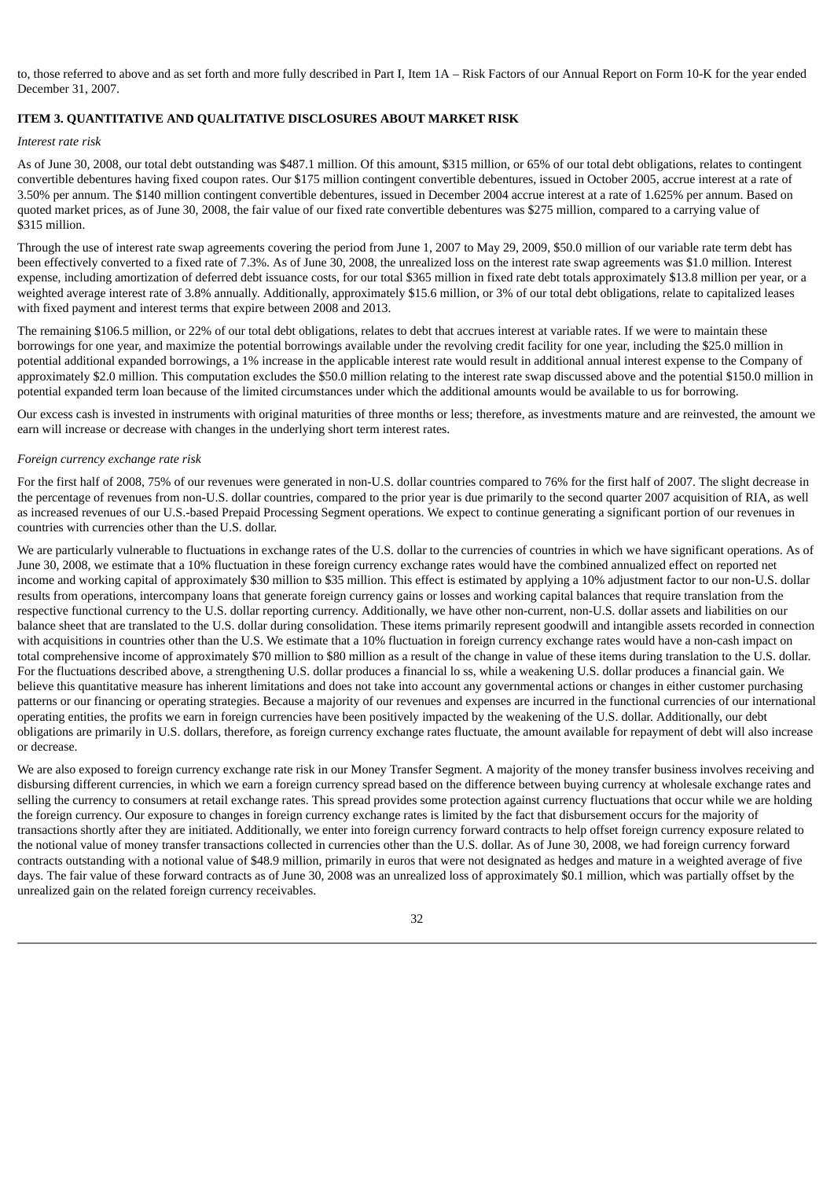to, those referred to above and as set forth and more fully described in Part I, Item 1A – Risk Factors of our Annual Report on Form 10-K for the year ended December 31, 2007.

## <span id="page-31-0"></span>**ITEM 3. QUANTITATIVE AND QUALITATIVE DISCLOSURES ABOUT MARKET RISK**

#### *Interest rate risk*

As of June 30, 2008, our total debt outstanding was \$487.1 million. Of this amount, \$315 million, or 65% of our total debt obligations, relates to contingent convertible debentures having fixed coupon rates. Our \$175 million contingent convertible debentures, issued in October 2005, accrue interest at a rate of 3.50% per annum. The \$140 million contingent convertible debentures, issued in December 2004 accrue interest at a rate of 1.625% per annum. Based on quoted market prices, as of June 30, 2008, the fair value of our fixed rate convertible debentures was \$275 million, compared to a carrying value of \$315 million.

Through the use of interest rate swap agreements covering the period from June 1, 2007 to May 29, 2009, \$50.0 million of our variable rate term debt has been effectively converted to a fixed rate of 7.3%. As of June 30, 2008, the unrealized loss on the interest rate swap agreements was \$1.0 million. Interest expense, including amortization of deferred debt issuance costs, for our total \$365 million in fixed rate debt totals approximately \$13.8 million per year, or a weighted average interest rate of 3.8% annually. Additionally, approximately \$15.6 million, or 3% of our total debt obligations, relate to capitalized leases with fixed payment and interest terms that expire between 2008 and 2013.

The remaining \$106.5 million, or 22% of our total debt obligations, relates to debt that accrues interest at variable rates. If we were to maintain these borrowings for one year, and maximize the potential borrowings available under the revolving credit facility for one year, including the \$25.0 million in potential additional expanded borrowings, a 1% increase in the applicable interest rate would result in additional annual interest expense to the Company of approximately \$2.0 million. This computation excludes the \$50.0 million relating to the interest rate swap discussed above and the potential \$150.0 million in potential expanded term loan because of the limited circumstances under which the additional amounts would be available to us for borrowing.

Our excess cash is invested in instruments with original maturities of three months or less; therefore, as investments mature and are reinvested, the amount we earn will increase or decrease with changes in the underlying short term interest rates.

#### *Foreign currency exchange rate risk*

For the first half of 2008, 75% of our revenues were generated in non-U.S. dollar countries compared to 76% for the first half of 2007. The slight decrease in the percentage of revenues from non-U.S. dollar countries, compared to the prior year is due primarily to the second quarter 2007 acquisition of RIA, as well as increased revenues of our U.S.-based Prepaid Processing Segment operations. We expect to continue generating a significant portion of our revenues in countries with currencies other than the U.S. dollar.

We are particularly vulnerable to fluctuations in exchange rates of the U.S. dollar to the currencies of countries in which we have significant operations. As of June 30, 2008, we estimate that a 10% fluctuation in these foreign currency exchange rates would have the combined annualized effect on reported net income and working capital of approximately \$30 million to \$35 million. This effect is estimated by applying a 10% adjustment factor to our non-U.S. dollar results from operations, intercompany loans that generate foreign currency gains or losses and working capital balances that require translation from the respective functional currency to the U.S. dollar reporting currency. Additionally, we have other non-current, non-U.S. dollar assets and liabilities on our balance sheet that are translated to the U.S. dollar during consolidation. These items primarily represent goodwill and intangible assets recorded in connection with acquisitions in countries other than the U.S. We estimate that a 10% fluctuation in foreign currency exchange rates would have a non-cash impact on total comprehensive income of approximately \$70 million to \$80 million as a result of the change in value of these items during translation to the U.S. dollar. For the fluctuations described above, a strengthening U.S. dollar produces a financial lo ss, while a weakening U.S. dollar produces a financial gain. We believe this quantitative measure has inherent limitations and does not take into account any governmental actions or changes in either customer purchasing patterns or our financing or operating strategies. Because a majority of our revenues and expenses are incurred in the functional currencies of our international operating entities, the profits we earn in foreign currencies have been positively impacted by the weakening of the U.S. dollar. Additionally, our debt obligations are primarily in U.S. dollars, therefore, as foreign currency exchange rates fluctuate, the amount available for repayment of debt will also increase or decrease.

We are also exposed to foreign currency exchange rate risk in our Money Transfer Segment. A majority of the money transfer business involves receiving and disbursing different currencies, in which we earn a foreign currency spread based on the difference between buying currency at wholesale exchange rates and selling the currency to consumers at retail exchange rates. This spread provides some protection against currency fluctuations that occur while we are holding the foreign currency. Our exposure to changes in foreign currency exchange rates is limited by the fact that disbursement occurs for the majority of transactions shortly after they are initiated. Additionally, we enter into foreign currency forward contracts to help offset foreign currency exposure related to the notional value of money transfer transactions collected in currencies other than the U.S. dollar. As of June 30, 2008, we had foreign currency forward contracts outstanding with a notional value of \$48.9 million, primarily in euros that were not designated as hedges and mature in a weighted average of five days. The fair value of these forward contracts as of June 30, 2008 was an unrealized loss of approximately \$0.1 million, which was partially offset by the unrealized gain on the related foreign currency receivables.

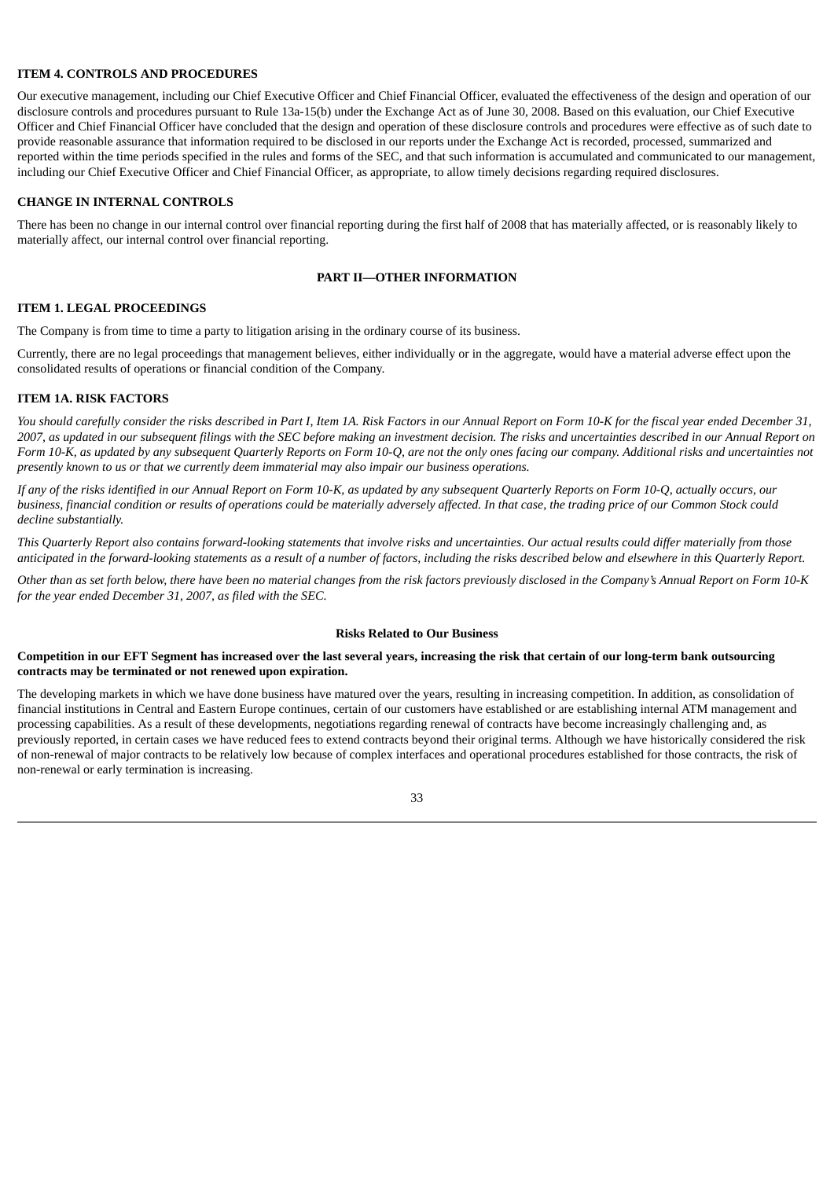## <span id="page-32-0"></span>**ITEM 4. CONTROLS AND PROCEDURES**

Our executive management, including our Chief Executive Officer and Chief Financial Officer, evaluated the effectiveness of the design and operation of our disclosure controls and procedures pursuant to Rule 13a-15(b) under the Exchange Act as of June 30, 2008. Based on this evaluation, our Chief Executive Officer and Chief Financial Officer have concluded that the design and operation of these disclosure controls and procedures were effective as of such date to provide reasonable assurance that information required to be disclosed in our reports under the Exchange Act is recorded, processed, summarized and reported within the time periods specified in the rules and forms of the SEC, and that such information is accumulated and communicated to our management, including our Chief Executive Officer and Chief Financial Officer, as appropriate, to allow timely decisions regarding required disclosures.

## **CHANGE IN INTERNAL CONTROLS**

<span id="page-32-1"></span>There has been no change in our internal control over financial reporting during the first half of 2008 that has materially affected, or is reasonably likely to materially affect, our internal control over financial reporting.

#### **PART II—OTHER INFORMATION**

#### <span id="page-32-2"></span>**ITEM 1. LEGAL PROCEEDINGS**

The Company is from time to time a party to litigation arising in the ordinary course of its business.

Currently, there are no legal proceedings that management believes, either individually or in the aggregate, would have a material adverse effect upon the consolidated results of operations or financial condition of the Company.

## <span id="page-32-3"></span>**ITEM 1A. RISK FACTORS**

You should carefully consider the risks described in Part I, Item 1A. Risk Factors in our Annual Report on Form 10-K for the fiscal year ended December 31, 2007, as updated in our subsequent filings with the SEC before making an investment decision. The risks and uncertainties described in our Annual Report on Form 10-K, as updated by any subsequent Quarterly Reports on Form 10-Q, are not the only ones facing our company. Additional risks and uncertainties not *presently known to us or that we currently deem immaterial may also impair our business operations.*

If any of the risks identified in our Annual Report on Form 10-K, as updated by any subsequent Quarterly Reports on Form 10-Q, actually occurs, our business, financial condition or results of operations could be materially adversely affected. In that case, the trading price of our Common Stock could *decline substantially.*

This Quarterly Report also contains forward-looking statements that involve risks and uncertainties. Our actual results could differ materially from those anticipated in the forward-looking statements as a result of a number of factors, including the risks described below and elsewhere in this Quarterly Report.

Other than as set forth below, there have been no material changes from the risk factors previously disclosed in the Company's Annual Report on Form 10-K *for the year ended December 31, 2007, as filed with the SEC.*

#### **Risks Related to Our Business**

#### Competition in our EFT Segment has increased over the last several vears, increasing the risk that certain of our long-term bank outsourcing **contracts may be terminated or not renewed upon expiration.**

The developing markets in which we have done business have matured over the years, resulting in increasing competition. In addition, as consolidation of financial institutions in Central and Eastern Europe continues, certain of our customers have established or are establishing internal ATM management and processing capabilities. As a result of these developments, negotiations regarding renewal of contracts have become increasingly challenging and, as previously reported, in certain cases we have reduced fees to extend contracts beyond their original terms. Although we have historically considered the risk of non-renewal of major contracts to be relatively low because of complex interfaces and operational procedures established for those contracts, the risk of non-renewal or early termination is increasing.

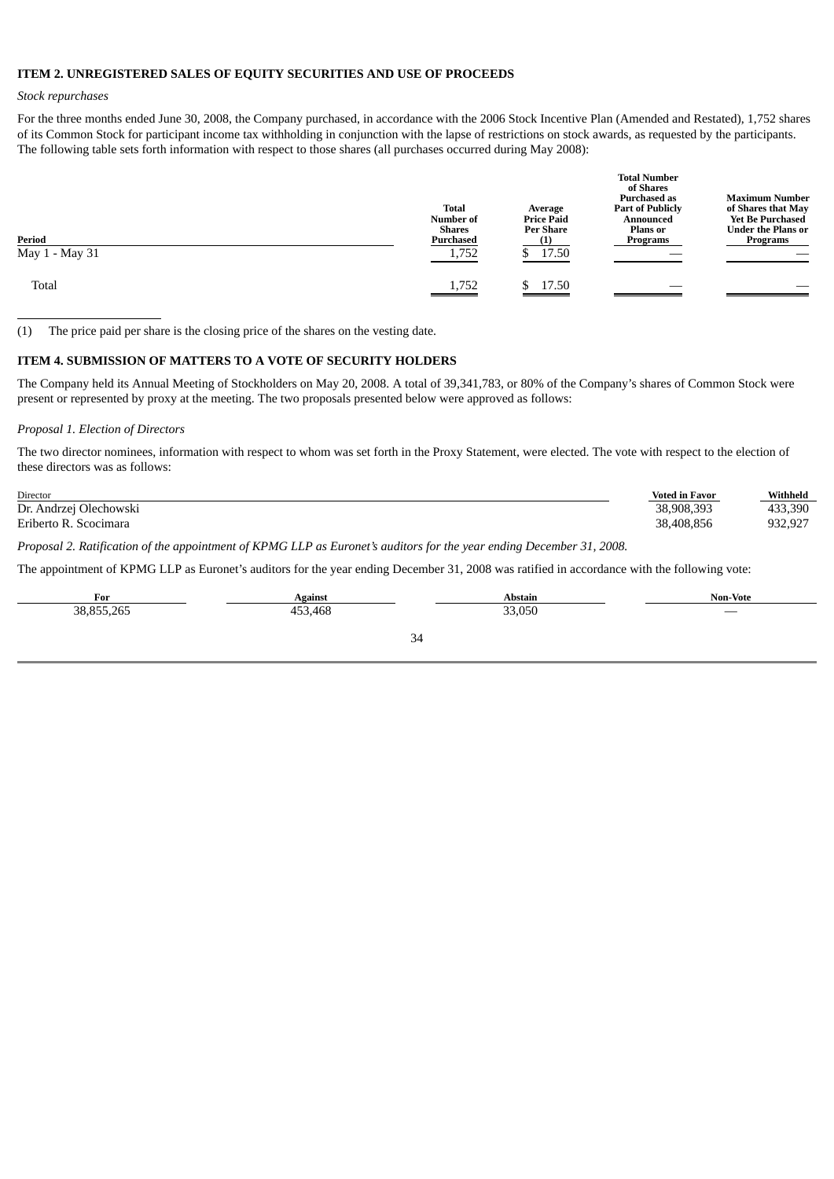## <span id="page-33-0"></span>**ITEM 2. UNREGISTERED SALES OF EQUITY SECURITIES AND USE OF PROCEEDS**

#### *Stock repurchases*

For the three months ended June 30, 2008, the Company purchased, in accordance with the 2006 Stock Incentive Plan (Amended and Restated), 1,752 shares of its Common Stock for participant income tax withholding in conjunction with the lapse of restrictions on stock awards, as requested by the participants. The following table sets forth information with respect to those shares (all purchases occurred during May 2008):

| Period<br>May 1 - May 31 | <b>Total</b><br>Number of<br><b>Shares</b><br>Purchased<br>1,752 | Average<br><b>Price Paid</b><br><b>Per Share</b><br>(1)<br>17.50 | <b>Total Number</b><br>of Shares<br>Purchased as<br><b>Part of Publicly</b><br>Announced<br>Plans or<br>Programs | <b>Maximum Number</b><br>of Shares that May<br><b>Yet Be Purchased</b><br>Under the Plans or<br>Programs |
|--------------------------|------------------------------------------------------------------|------------------------------------------------------------------|------------------------------------------------------------------------------------------------------------------|----------------------------------------------------------------------------------------------------------|
| Total                    | 1,752                                                            | 17.50                                                            | $\hspace{0.05cm}$                                                                                                | __                                                                                                       |

<span id="page-33-1"></span>(1) The price paid per share is the closing price of the shares on the vesting date.

## **ITEM 4. SUBMISSION OF MATTERS TO A VOTE OF SECURITY HOLDERS**

The Company held its Annual Meeting of Stockholders on May 20, 2008. A total of 39,341,783, or 80% of the Company's shares of Common Stock were present or represented by proxy at the meeting. The two proposals presented below were approved as follows:

#### *Proposal 1. Election of Directors*

The two director nominees, information with respect to whom was set forth in the Proxy Statement, were elected. The vote with respect to the election of these directors was as follows:

| Director               | Voted in Favor | Withheld |
|------------------------|----------------|----------|
| Dr. Andrzej Olechowski | 38,908,393     | 433.390  |
| Eriberto R. Scocimara  | 38,408,856     | 932,927  |

Proposal 2. Ratification of the appointment of KPMG LLP as Euronet's auditors for the year ending December 31, 2008.

The appointment of KPMG LLP as Euronet's auditors for the year ending December 31, 2008 was ratified in accordance with the following vote:

| $\sim$<br>For | Against | Abstain | <b>Non-Vote</b>          |
|---------------|---------|---------|--------------------------|
| 38.855.265    | 453,468 | 33,050  | $\overline{\phantom{a}}$ |
|               | n.,     | 34      |                          |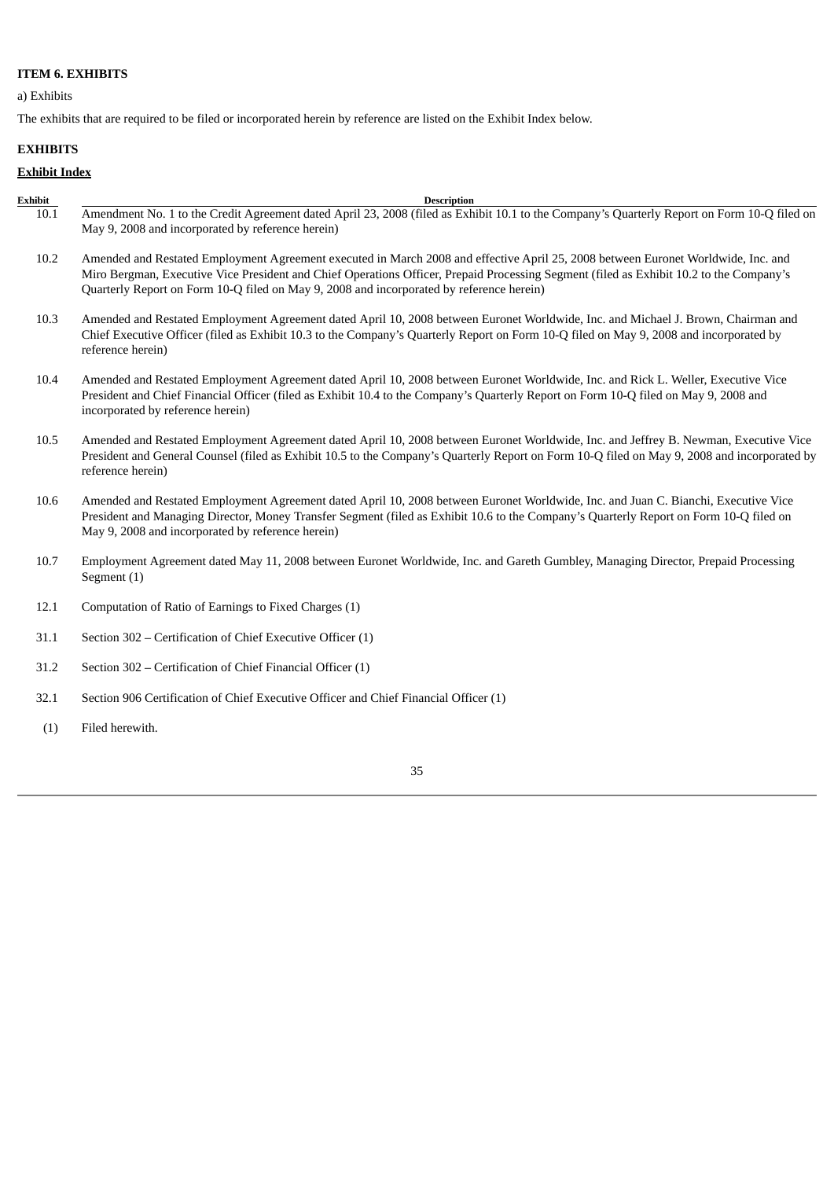## <span id="page-34-0"></span>**ITEM 6. EXHIBITS**

## a) Exhibits

The exhibits that are required to be filed or incorporated herein by reference are listed on the Exhibit Index below.

## **EXHIBITS**

## **Exhibit Index**

| Exhibit | <b>Description</b>                                                                                                                                                                                                                                                                                                                                                       |
|---------|--------------------------------------------------------------------------------------------------------------------------------------------------------------------------------------------------------------------------------------------------------------------------------------------------------------------------------------------------------------------------|
| 10.1    | Amendment No. 1 to the Credit Agreement dated April 23, 2008 (filed as Exhibit 10.1 to the Company's Quarterly Report on Form 10-Q filed on<br>May 9, 2008 and incorporated by reference herein)                                                                                                                                                                         |
| 10.2    | Amended and Restated Employment Agreement executed in March 2008 and effective April 25, 2008 between Euronet Worldwide, Inc. and<br>Miro Bergman, Executive Vice President and Chief Operations Officer, Prepaid Processing Segment (filed as Exhibit 10.2 to the Company's<br>Quarterly Report on Form 10-Q filed on May 9, 2008 and incorporated by reference herein) |
| 10.3    | Amended and Restated Employment Agreement dated April 10, 2008 between Euronet Worldwide, Inc. and Michael J. Brown, Chairman and<br>Chief Executive Officer (filed as Exhibit 10.3 to the Company's Quarterly Report on Form 10-Q filed on May 9, 2008 and incorporated by<br>reference herein)                                                                         |
| 10.4    | Amended and Restated Employment Agreement dated April 10, 2008 between Euronet Worldwide, Inc. and Rick L. Weller, Executive Vice<br>President and Chief Financial Officer (filed as Exhibit 10.4 to the Company's Quarterly Report on Form 10-Q filed on May 9, 2008 and<br>incorporated by reference herein)                                                           |
| 10.5    | Amended and Restated Employment Agreement dated April 10, 2008 between Euronet Worldwide, Inc. and Jeffrey B. Newman, Executive Vice<br>President and General Counsel (filed as Exhibit 10.5 to the Company's Quarterly Report on Form 10-Q filed on May 9, 2008 and incorporated by<br>reference herein)                                                                |
| 10.6    | Amended and Restated Employment Agreement dated April 10, 2008 between Euronet Worldwide, Inc. and Juan C. Bianchi, Executive Vice<br>President and Managing Director, Money Transfer Segment (filed as Exhibit 10.6 to the Company's Quarterly Report on Form 10-Q filed on<br>May 9, 2008 and incorporated by reference herein)                                        |
| 10.7    | Employment Agreement dated May 11, 2008 between Euronet Worldwide, Inc. and Gareth Gumbley, Managing Director, Prepaid Processing<br>Segment (1)                                                                                                                                                                                                                         |
| 12.1    | Computation of Ratio of Earnings to Fixed Charges (1)                                                                                                                                                                                                                                                                                                                    |
| 31.1    | Section 302 – Certification of Chief Executive Officer (1)                                                                                                                                                                                                                                                                                                               |
| 31.2    | Section 302 – Certification of Chief Financial Officer (1)                                                                                                                                                                                                                                                                                                               |
| 32.1    | Section 906 Certification of Chief Executive Officer and Chief Financial Officer (1)                                                                                                                                                                                                                                                                                     |
| (1)     | Filed herewith.                                                                                                                                                                                                                                                                                                                                                          |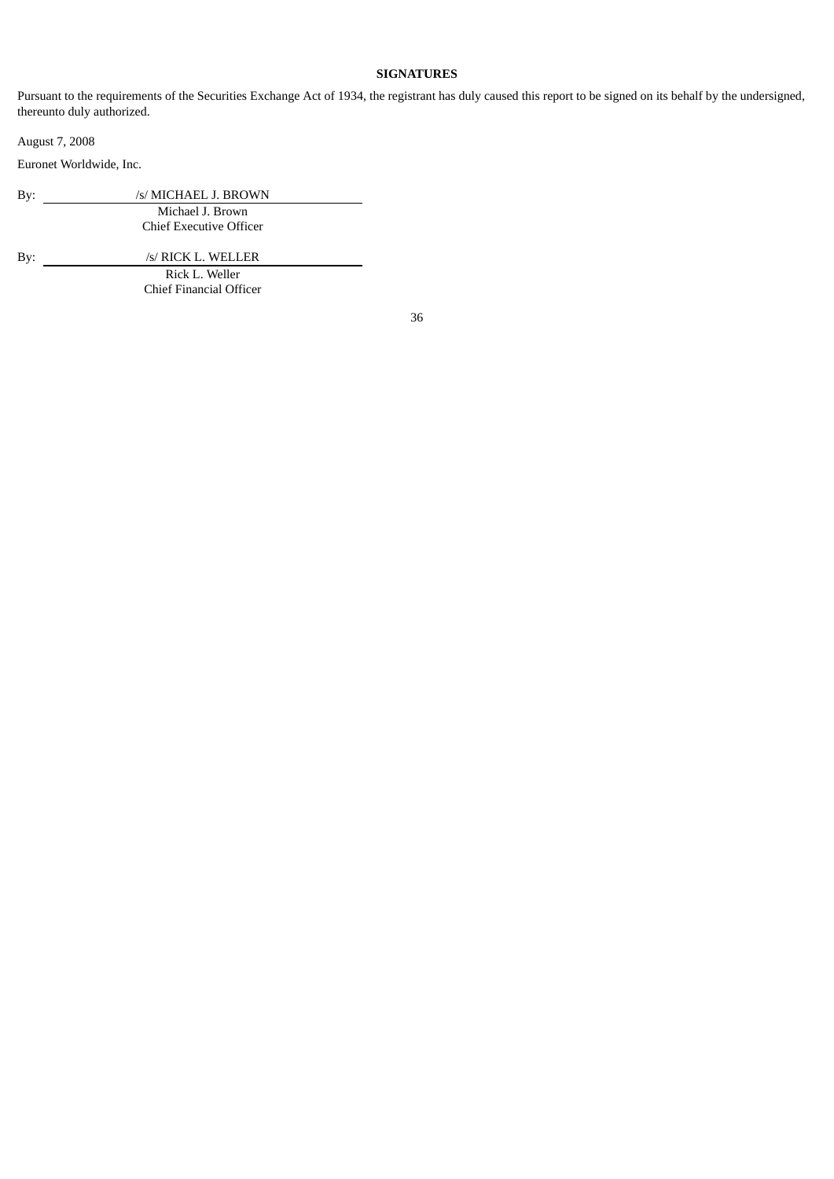## **SIGNATURES**

Pursuant to the requirements of the Securities Exchange Act of 1934, the registrant has duly caused this report to be signed on its behalf by the undersigned, thereunto duly authorized.

August 7, 2008

Euronet Worldwide, Inc.

By: /s/ MICHAEL J. BROWN Michael J. Brown Chief Executive Officer

By: /s/ RICK L. WELLER

Rick L. Weller Chief Financial Officer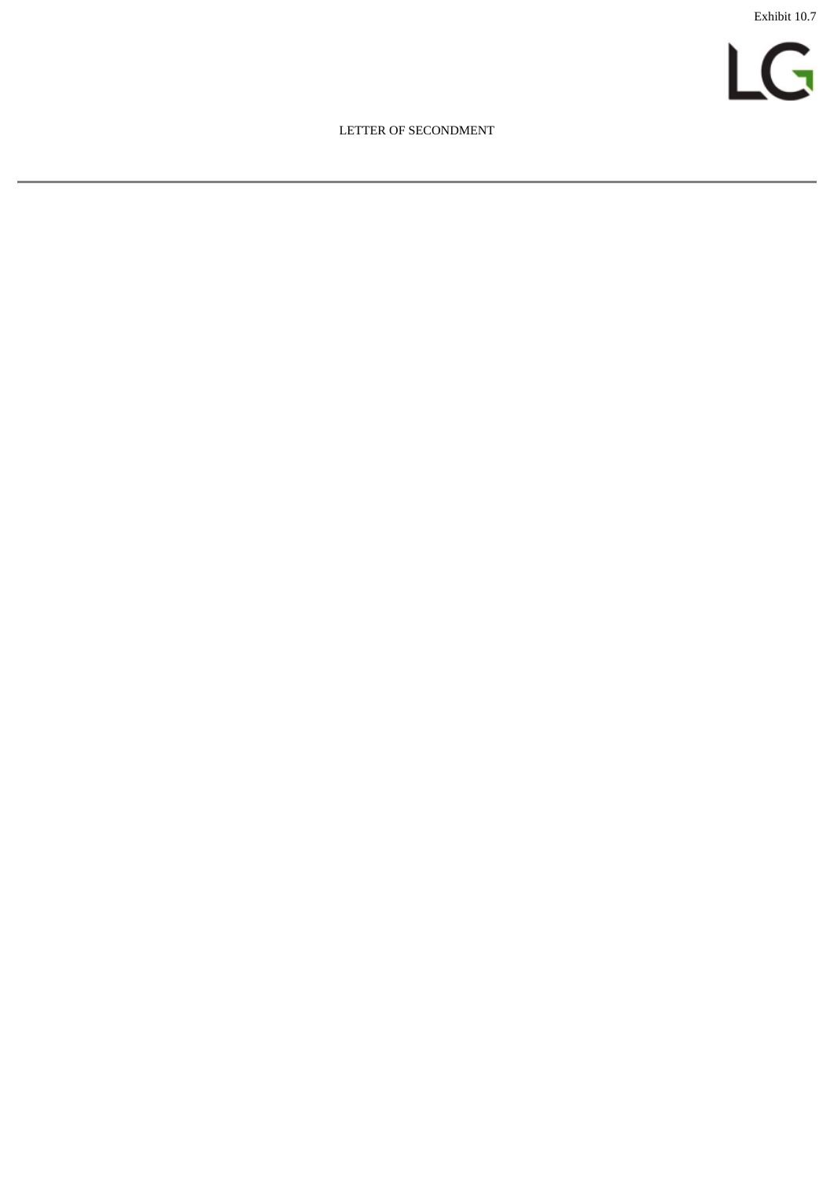

LETTER OF SECONDMENT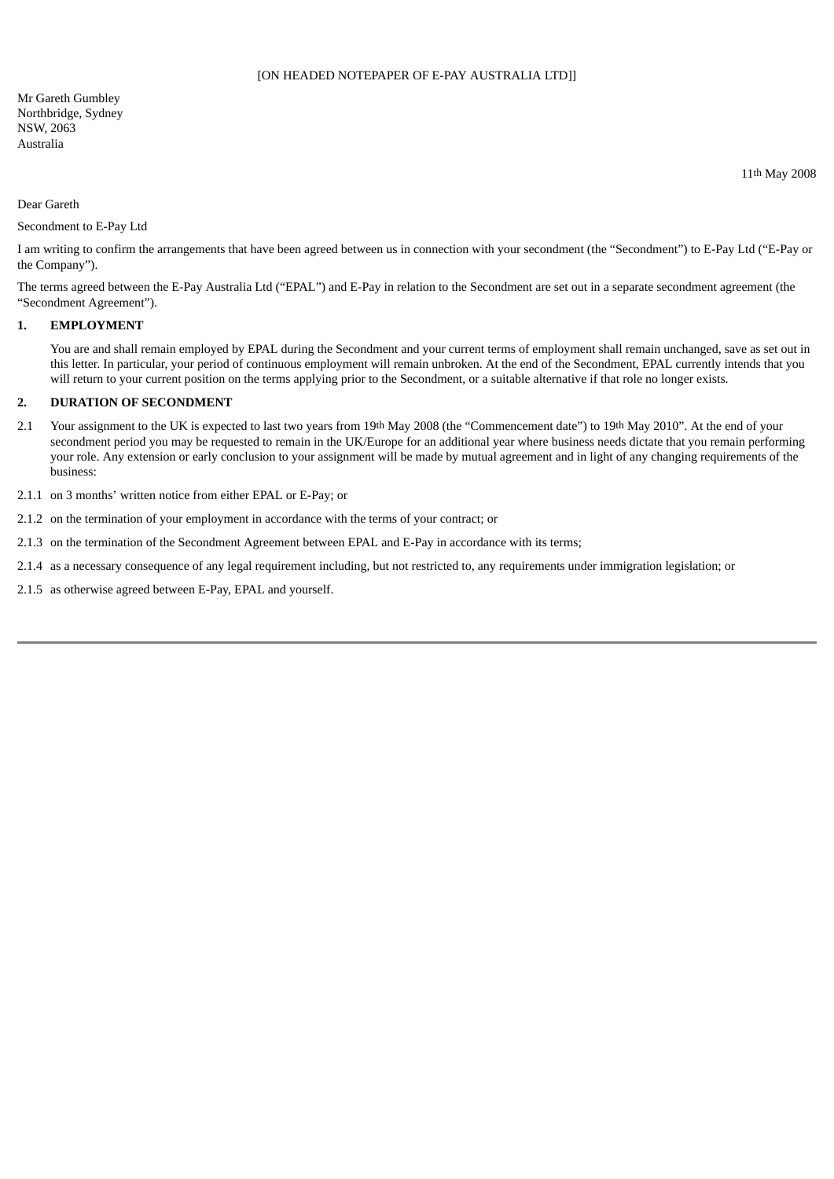Mr Gareth Gumbley Northbridge, Sydney NSW, 2063 Australia

11th May 2008

Dear Gareth

## Secondment to E-Pay Ltd

I am writing to confirm the arrangements that have been agreed between us in connection with your secondment (the "Secondment") to E-Pay Ltd ("E-Pay or the Company").

The terms agreed between the E-Pay Australia Ltd ("EPAL") and E-Pay in relation to the Secondment are set out in a separate secondment agreement (the "Secondment Agreement").

#### **1. EMPLOYMENT**

You are and shall remain employed by EPAL during the Secondment and your current terms of employment shall remain unchanged, save as set out in this letter. In particular, your period of continuous employment will remain unbroken. At the end of the Secondment, EPAL currently intends that you will return to your current position on the terms applying prior to the Secondment, or a suitable alternative if that role no longer exists.

#### **2. DURATION OF SECONDMENT**

- 2.1 Your assignment to the UK is expected to last two years from 19th May 2008 (the "Commencement date") to 19th May 2010". At the end of your secondment period you may be requested to remain in the UK/Europe for an additional year where business needs dictate that you remain performing your role. Any extension or early conclusion to your assignment will be made by mutual agreement and in light of any changing requirements of the business:
- 2.1.1 on 3 months' written notice from either EPAL or E-Pay; or
- 2.1.2 on the termination of your employment in accordance with the terms of your contract; or
- 2.1.3 on the termination of the Secondment Agreement between EPAL and E-Pay in accordance with its terms;
- 2.1.4 as a necessary consequence of any legal requirement including, but not restricted to, any requirements under immigration legislation; or

2.1.5 as otherwise agreed between E-Pay, EPAL and yourself.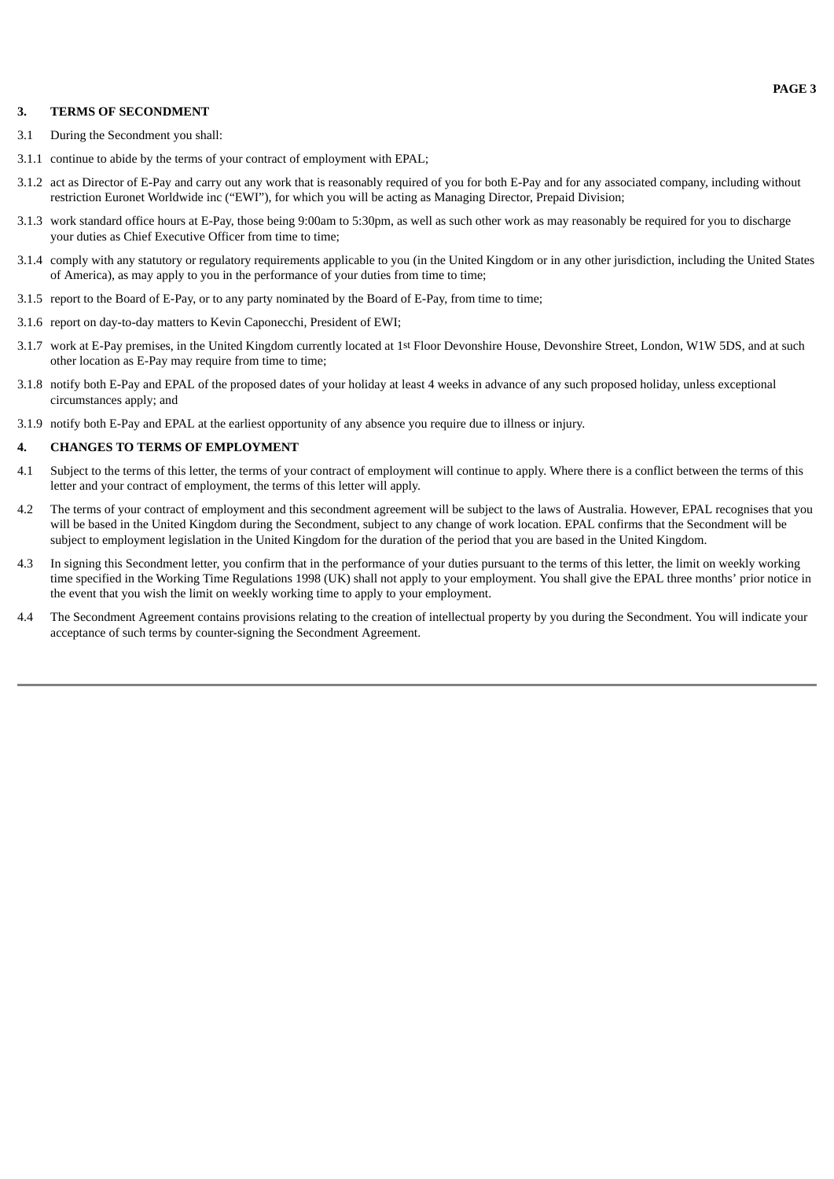#### **3. TERMS OF SECONDMENT**

- 3.1 During the Secondment you shall:
- 3.1.1 continue to abide by the terms of your contract of employment with EPAL;
- 3.1.2 act as Director of E-Pay and carry out any work that is reasonably required of you for both E-Pay and for any associated company, including without restriction Euronet Worldwide inc ("EWI"), for which you will be acting as Managing Director, Prepaid Division;
- 3.1.3 work standard office hours at E-Pay, those being 9:00am to 5:30pm, as well as such other work as may reasonably be required for you to discharge your duties as Chief Executive Officer from time to time;
- 3.1.4 comply with any statutory or regulatory requirements applicable to you (in the United Kingdom or in any other jurisdiction, including the United States of America), as may apply to you in the performance of your duties from time to time;
- 3.1.5 report to the Board of E-Pay, or to any party nominated by the Board of E-Pay, from time to time;
- 3.1.6 report on day-to-day matters to Kevin Caponecchi, President of EWI;
- 3.1.7 work at E-Pay premises, in the United Kingdom currently located at 1st Floor Devonshire House, Devonshire Street, London, W1W 5DS, and at such other location as E-Pay may require from time to time;
- 3.1.8 notify both E-Pay and EPAL of the proposed dates of your holiday at least 4 weeks in advance of any such proposed holiday, unless exceptional circumstances apply; and
- 3.1.9 notify both E-Pay and EPAL at the earliest opportunity of any absence you require due to illness or injury.

#### **4. CHANGES TO TERMS OF EMPLOYMENT**

- 4.1 Subject to the terms of this letter, the terms of your contract of employment will continue to apply. Where there is a conflict between the terms of this letter and your contract of employment, the terms of this letter will apply.
- 4.2 The terms of your contract of employment and this secondment agreement will be subject to the laws of Australia. However, EPAL recognises that you will be based in the United Kingdom during the Secondment, subject to any change of work location. EPAL confirms that the Secondment will be subject to employment legislation in the United Kingdom for the duration of the period that you are based in the United Kingdom.
- 4.3 In signing this Secondment letter, you confirm that in the performance of your duties pursuant to the terms of this letter, the limit on weekly working time specified in the Working Time Regulations 1998 (UK) shall not apply to your employment. You shall give the EPAL three months' prior notice in the event that you wish the limit on weekly working time to apply to your employment.
- 4.4 The Secondment Agreement contains provisions relating to the creation of intellectual property by you during the Secondment. You will indicate your acceptance of such terms by counter-signing the Secondment Agreement.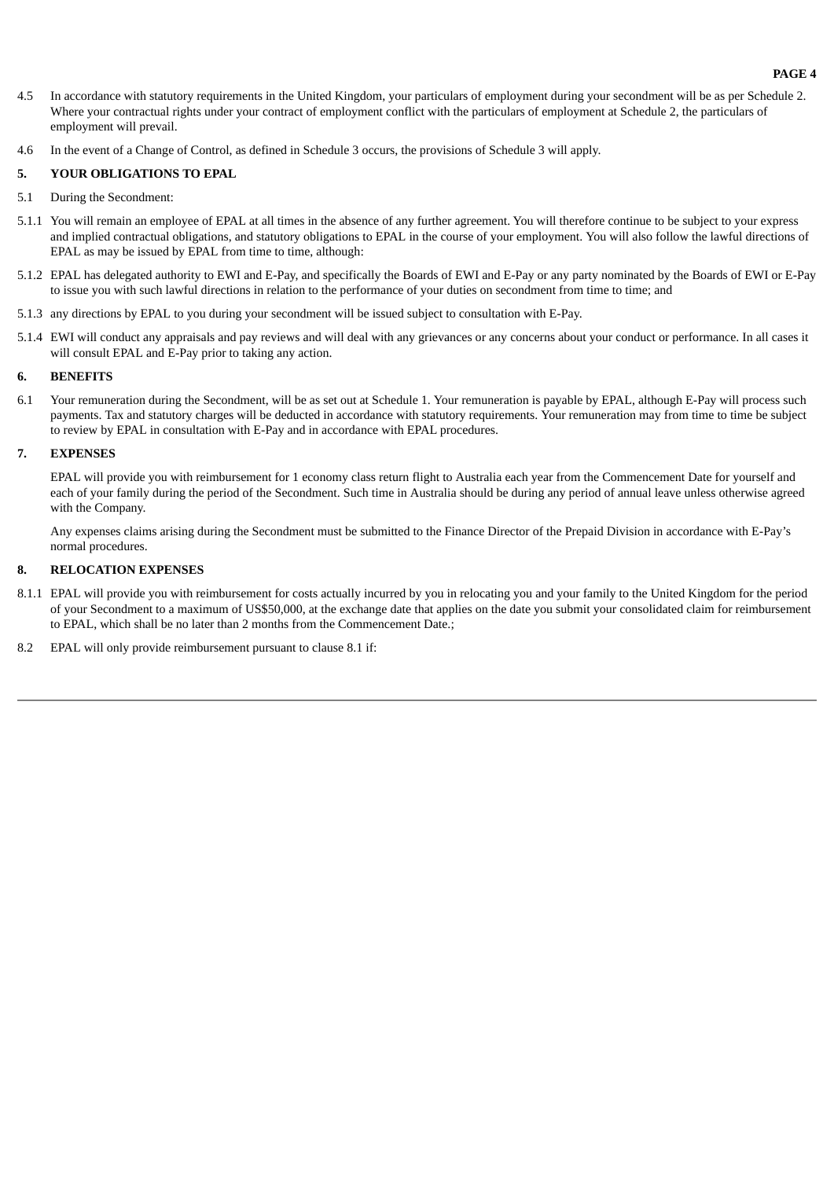- 4.5 In accordance with statutory requirements in the United Kingdom, your particulars of employment during your secondment will be as per Schedule 2. Where your contractual rights under your contract of employment conflict with the particulars of employment at Schedule 2, the particulars of employment will prevail.
- 4.6 In the event of a Change of Control, as defined in Schedule 3 occurs, the provisions of Schedule 3 will apply.

## **5. YOUR OBLIGATIONS TO EPAL**

- 5.1 During the Secondment:
- 5.1.1 You will remain an employee of EPAL at all times in the absence of any further agreement. You will therefore continue to be subject to your express and implied contractual obligations, and statutory obligations to EPAL in the course of your employment. You will also follow the lawful directions of EPAL as may be issued by EPAL from time to time, although:
- 5.1.2 EPAL has delegated authority to EWI and E-Pay, and specifically the Boards of EWI and E-Pay or any party nominated by the Boards of EWI or E-Pay to issue you with such lawful directions in relation to the performance of your duties on secondment from time to time; and
- 5.1.3 any directions by EPAL to you during your secondment will be issued subject to consultation with E-Pay.
- 5.1.4 EWI will conduct any appraisals and pay reviews and will deal with any grievances or any concerns about your conduct or performance. In all cases it will consult EPAL and E-Pay prior to taking any action.

#### **6. BENEFITS**

6.1 Your remuneration during the Secondment, will be as set out at Schedule 1. Your remuneration is payable by EPAL, although E-Pay will process such payments. Tax and statutory charges will be deducted in accordance with statutory requirements. Your remuneration may from time to time be subject to review by EPAL in consultation with E-Pay and in accordance with EPAL procedures.

## **7. EXPENSES**

EPAL will provide you with reimbursement for 1 economy class return flight to Australia each year from the Commencement Date for yourself and each of your family during the period of the Secondment. Such time in Australia should be during any period of annual leave unless otherwise agreed with the Company.

Any expenses claims arising during the Secondment must be submitted to the Finance Director of the Prepaid Division in accordance with E-Pay's normal procedures.

#### **8. RELOCATION EXPENSES**

- 8.1.1 EPAL will provide you with reimbursement for costs actually incurred by you in relocating you and your family to the United Kingdom for the period of your Secondment to a maximum of US\$50,000, at the exchange date that applies on the date you submit your consolidated claim for reimbursement to EPAL, which shall be no later than 2 months from the Commencement Date.;
- 8.2 EPAL will only provide reimbursement pursuant to clause 8.1 if: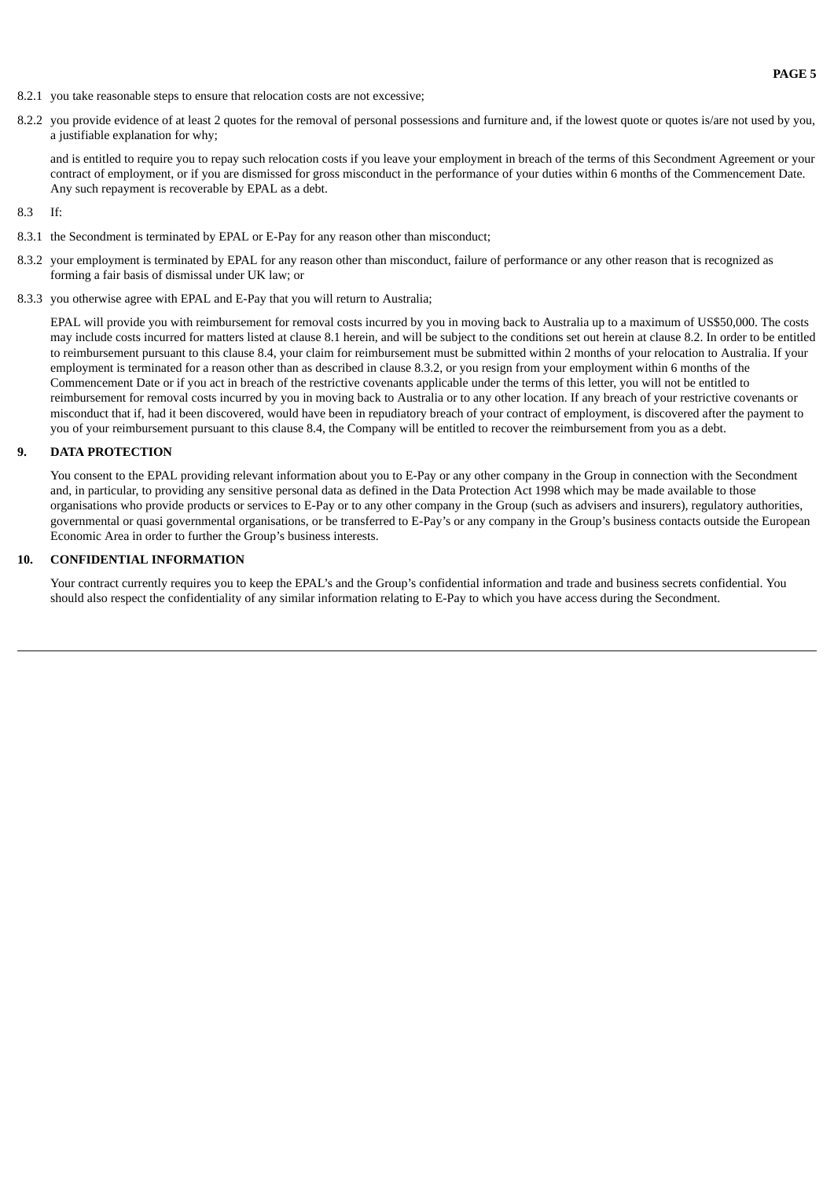**PAGE 5**

- 8.2.1 you take reasonable steps to ensure that relocation costs are not excessive;
- 8.2.2 you provide evidence of at least 2 quotes for the removal of personal possessions and furniture and, if the lowest quote or quotes is/are not used by you, a justifiable explanation for why;

and is entitled to require you to repay such relocation costs if you leave your employment in breach of the terms of this Secondment Agreement or your contract of employment, or if you are dismissed for gross misconduct in the performance of your duties within 6 months of the Commencement Date. Any such repayment is recoverable by EPAL as a debt.

- 8.3 If:
- 8.3.1 the Secondment is terminated by EPAL or E-Pay for any reason other than misconduct;
- 8.3.2 your employment is terminated by EPAL for any reason other than misconduct, failure of performance or any other reason that is recognized as forming a fair basis of dismissal under UK law; or
- 8.3.3 you otherwise agree with EPAL and E-Pay that you will return to Australia;

EPAL will provide you with reimbursement for removal costs incurred by you in moving back to Australia up to a maximum of US\$50,000. The costs may include costs incurred for matters listed at clause 8.1 herein, and will be subject to the conditions set out herein at clause 8.2. In order to be entitled to reimbursement pursuant to this clause 8.4, your claim for reimbursement must be submitted within 2 months of your relocation to Australia. If your employment is terminated for a reason other than as described in clause 8.3.2, or you resign from your employment within 6 months of the Commencement Date or if you act in breach of the restrictive covenants applicable under the terms of this letter, you will not be entitled to reimbursement for removal costs incurred by you in moving back to Australia or to any other location. If any breach of your restrictive covenants or misconduct that if, had it been discovered, would have been in repudiatory breach of your contract of employment, is discovered after the payment to you of your reimbursement pursuant to this clause 8.4, the Company will be entitled to recover the reimbursement from you as a debt.

#### **9. DATA PROTECTION**

You consent to the EPAL providing relevant information about you to E-Pay or any other company in the Group in connection with the Secondment and, in particular, to providing any sensitive personal data as defined in the Data Protection Act 1998 which may be made available to those organisations who provide products or services to E-Pay or to any other company in the Group (such as advisers and insurers), regulatory authorities, governmental or quasi governmental organisations, or be transferred to E-Pay's or any company in the Group's business contacts outside the European Economic Area in order to further the Group's business interests.

## **10. CONFIDENTIAL INFORMATION**

Your contract currently requires you to keep the EPAL's and the Group's confidential information and trade and business secrets confidential. You should also respect the confidentiality of any similar information relating to E-Pay to which you have access during the Secondment.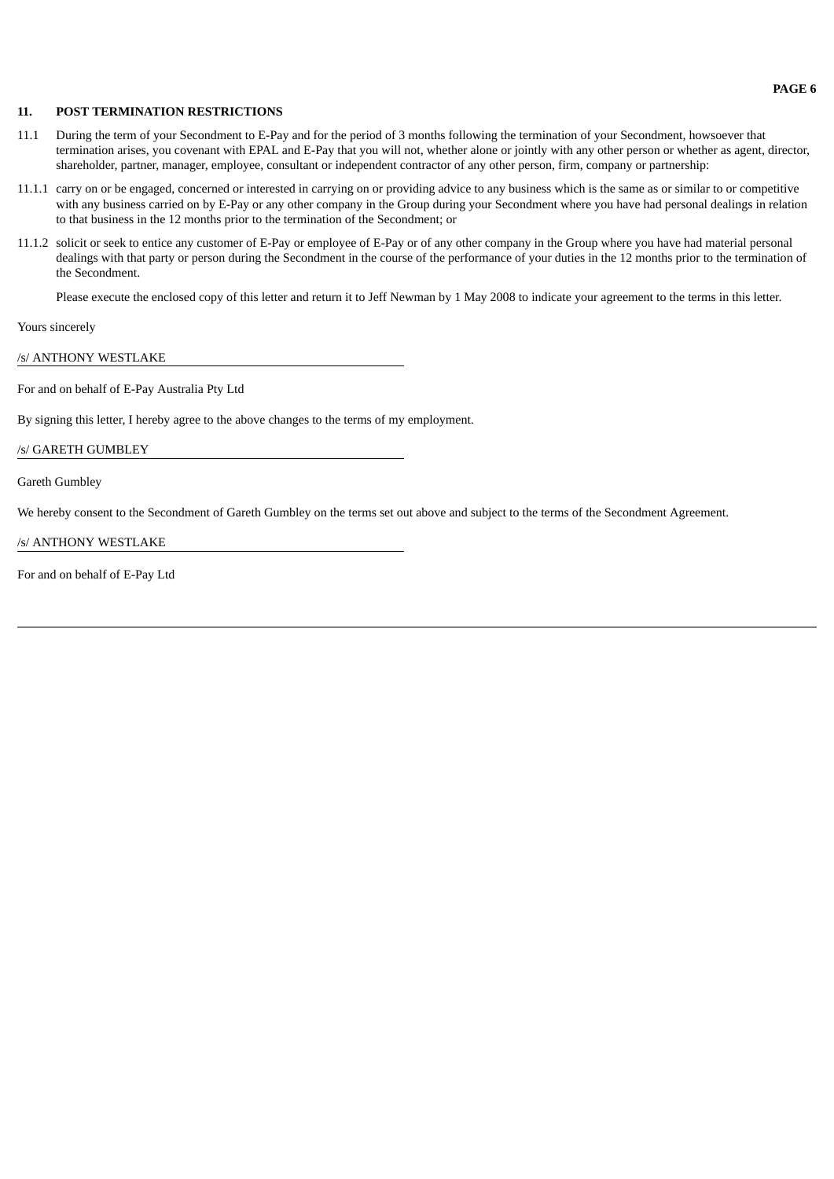#### **11. POST TERMINATION RESTRICTIONS**

- 11.1 During the term of your Secondment to E-Pay and for the period of 3 months following the termination of your Secondment, howsoever that termination arises, you covenant with EPAL and E-Pay that you will not, whether alone or jointly with any other person or whether as agent, director, shareholder, partner, manager, employee, consultant or independent contractor of any other person, firm, company or partnership:
- 11.1.1 carry on or be engaged, concerned or interested in carrying on or providing advice to any business which is the same as or similar to or competitive with any business carried on by E-Pay or any other company in the Group during your Secondment where you have had personal dealings in relation to that business in the 12 months prior to the termination of the Secondment; or
- 11.1.2 solicit or seek to entice any customer of E-Pay or employee of E-Pay or of any other company in the Group where you have had material personal dealings with that party or person during the Secondment in the course of the performance of your duties in the 12 months prior to the termination of the Secondment.

Please execute the enclosed copy of this letter and return it to Jeff Newman by 1 May 2008 to indicate your agreement to the terms in this letter.

Yours sincerely

#### /s/ ANTHONY WESTLAKE

For and on behalf of E-Pay Australia Pty Ltd

By signing this letter, I hereby agree to the above changes to the terms of my employment.

#### /s/ GARETH GUMBLEY

Gareth Gumbley

We hereby consent to the Secondment of Gareth Gumbley on the terms set out above and subject to the terms of the Secondment Agreement.

## /s/ ANTHONY WESTLAKE

For and on behalf of E-Pay Ltd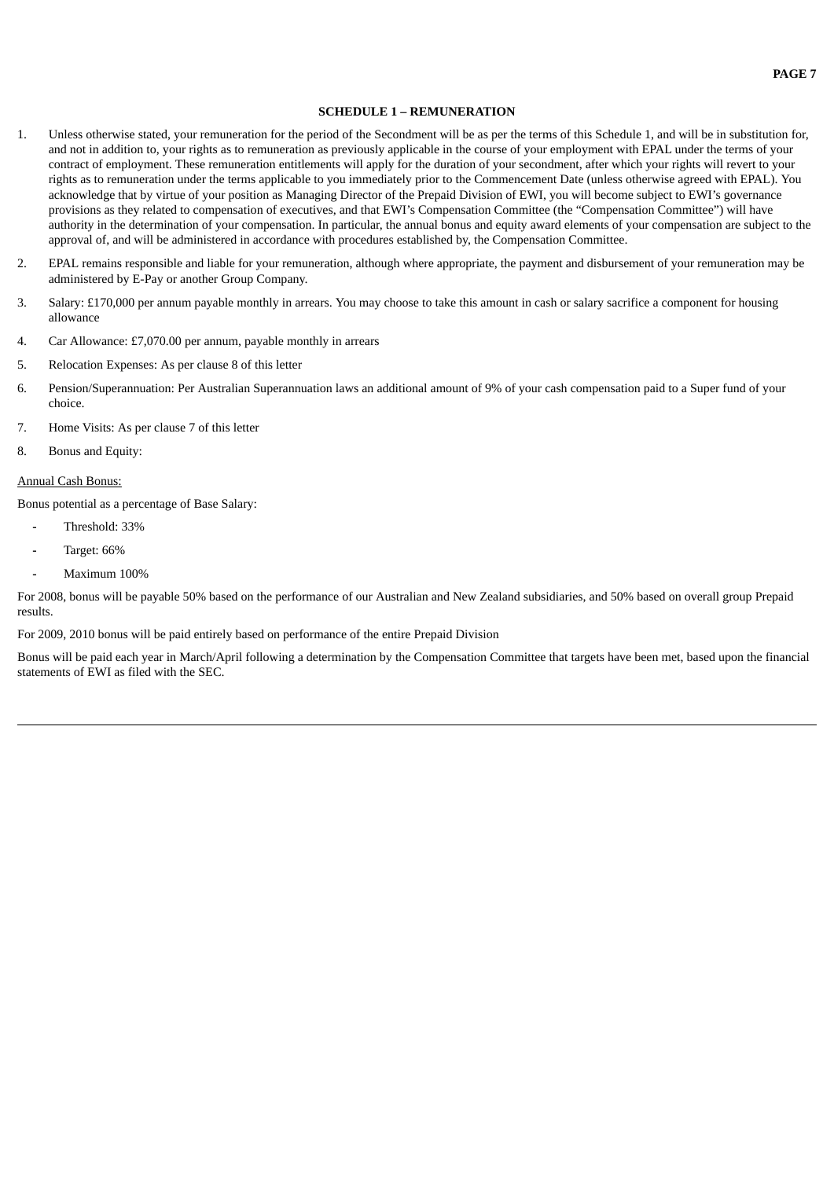#### **SCHEDULE 1 – REMUNERATION**

- 1. Unless otherwise stated, your remuneration for the period of the Secondment will be as per the terms of this Schedule 1, and will be in substitution for, and not in addition to, your rights as to remuneration as previously applicable in the course of your employment with EPAL under the terms of your contract of employment. These remuneration entitlements will apply for the duration of your secondment, after which your rights will revert to your rights as to remuneration under the terms applicable to you immediately prior to the Commencement Date (unless otherwise agreed with EPAL). You acknowledge that by virtue of your position as Managing Director of the Prepaid Division of EWI, you will become subject to EWI's governance provisions as they related to compensation of executives, and that EWI's Compensation Committee (the "Compensation Committee") will have authority in the determination of your compensation. In particular, the annual bonus and equity award elements of your compensation are subject to the approval of, and will be administered in accordance with procedures established by, the Compensation Committee.
- 2. EPAL remains responsible and liable for your remuneration, although where appropriate, the payment and disbursement of your remuneration may be administered by E-Pay or another Group Company.
- 3. Salary: £170,000 per annum payable monthly in arrears. You may choose to take this amount in cash or salary sacrifice a component for housing allowance
- 4. Car Allowance: £7,070.00 per annum, payable monthly in arrears
- 5. Relocation Expenses: As per clause 8 of this letter
- 6. Pension/Superannuation: Per Australian Superannuation laws an additional amount of 9% of your cash compensation paid to a Super fund of your choice.
- 7. Home Visits: As per clause 7 of this letter
- 8. Bonus and Equity:

#### Annual Cash Bonus:

Bonus potential as a percentage of Base Salary:

- **-** Threshold: 33%
- **-** Target: 66%
- **-** Maximum 100%

For 2008, bonus will be payable 50% based on the performance of our Australian and New Zealand subsidiaries, and 50% based on overall group Prepaid results.

For 2009, 2010 bonus will be paid entirely based on performance of the entire Prepaid Division

Bonus will be paid each year in March/April following a determination by the Compensation Committee that targets have been met, based upon the financial statements of EWI as filed with the SEC.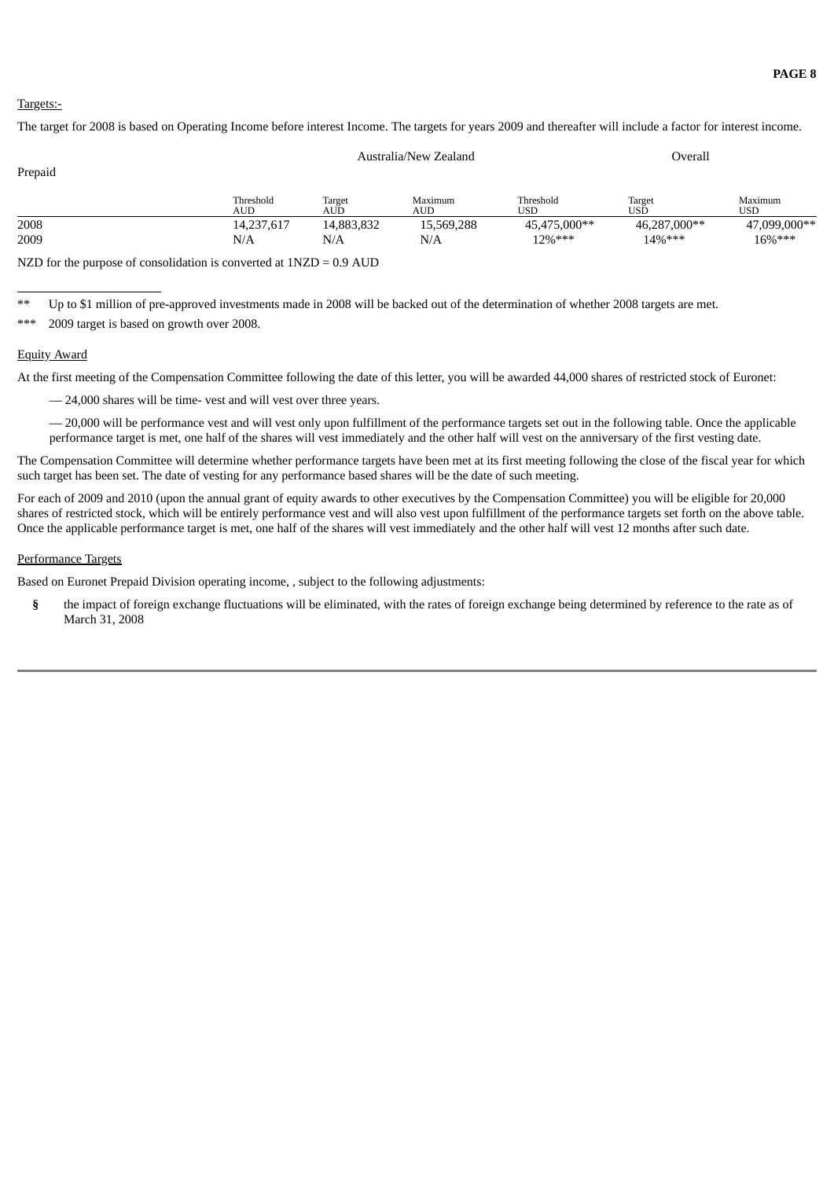#### Targets:-

The target for 2008 is based on Operating Income before interest Income. The targets for years 2009 and thereafter will include a factor for interest income.

| Prepaid | Australia/New Zealand |            |            |              | Overall      |              |  |
|---------|-----------------------|------------|------------|--------------|--------------|--------------|--|
|         | Threshold             | Target     | Maximum    | Threshold    | Target       | Maximum      |  |
|         | AUD                   | <b>AUD</b> | AUD        | USD          | USD          | <b>USD</b>   |  |
| 2008    | 14,237,617            | 14,883,832 | 15,569,288 | 45,475,000** | 46,287,000** | 47,099,000** |  |
| 2009    | N/A                   | N/A        | N/A        | $12\%***$    | 14%***       | $16\%***$    |  |

NZD for the purpose of consolidation is converted at  $1NZD = 0.9$  AUD

\*\* Up to \$1 million of pre-approved investments made in 2008 will be backed out of the determination of whether 2008 targets are met.

\*\*\* 2009 target is based on growth over 2008.

## Equity Award

At the first meeting of the Compensation Committee following the date of this letter, you will be awarded 44,000 shares of restricted stock of Euronet:

— 24,000 shares will be time- vest and will vest over three years.

— 20,000 will be performance vest and will vest only upon fulfillment of the performance targets set out in the following table. Once the applicable performance target is met, one half of the shares will vest immediately and the other half will vest on the anniversary of the first vesting date.

The Compensation Committee will determine whether performance targets have been met at its first meeting following the close of the fiscal year for which such target has been set. The date of vesting for any performance based shares will be the date of such meeting.

For each of 2009 and 2010 (upon the annual grant of equity awards to other executives by the Compensation Committee) you will be eligible for 20,000 shares of restricted stock, which will be entirely performance vest and will also vest upon fulfillment of the performance targets set forth on the above table. Once the applicable performance target is met, one half of the shares will vest immediately and the other half will vest 12 months after such date.

## Performance Targets

Based on Euronet Prepaid Division operating income, , subject to the following adjustments:

**§** the impact of foreign exchange fluctuations will be eliminated, with the rates of foreign exchange being determined by reference to the rate as of March 31, 2008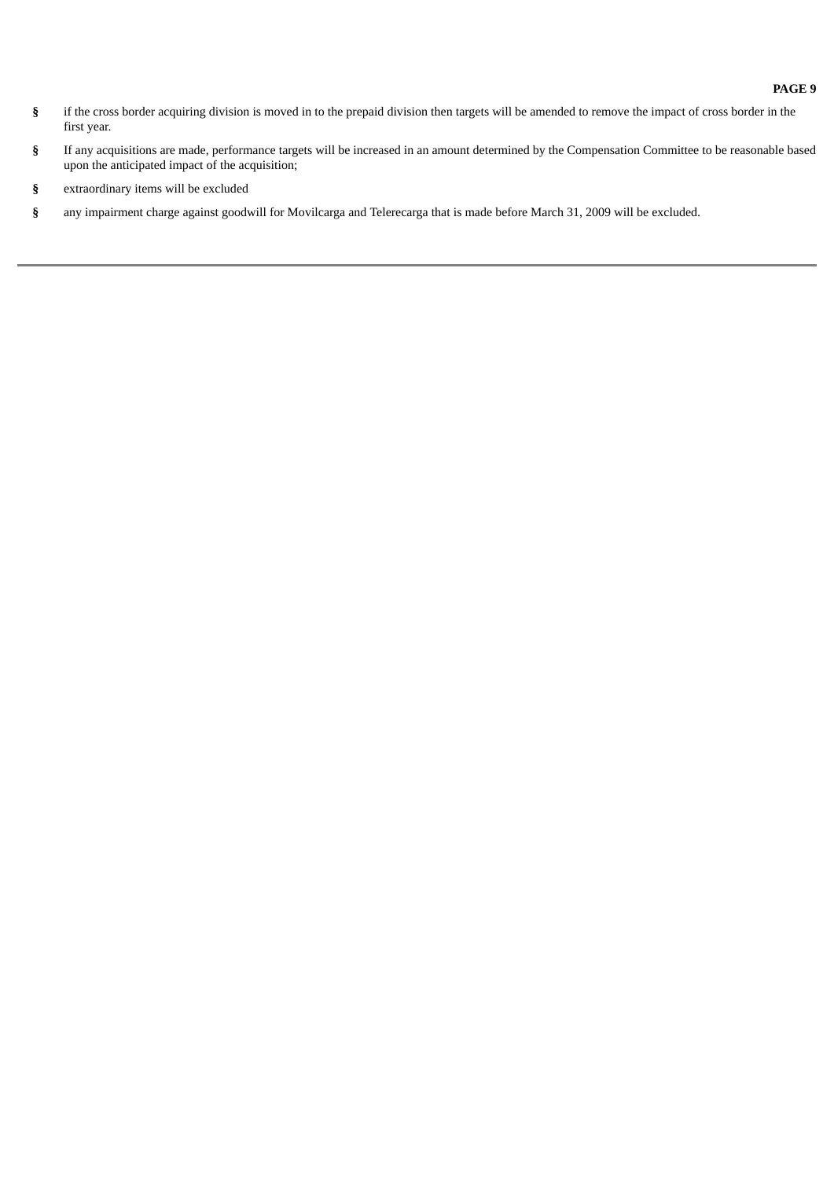- **§** if the cross border acquiring division is moved in to the prepaid division then targets will be amended to remove the impact of cross border in the first year.
- **§** If any acquisitions are made, performance targets will be increased in an amount determined by the Compensation Committee to be reasonable based upon the anticipated impact of the acquisition;
- **§** extraordinary items will be excluded
- **§** any impairment charge against goodwill for Movilcarga and Telerecarga that is made before March 31, 2009 will be excluded.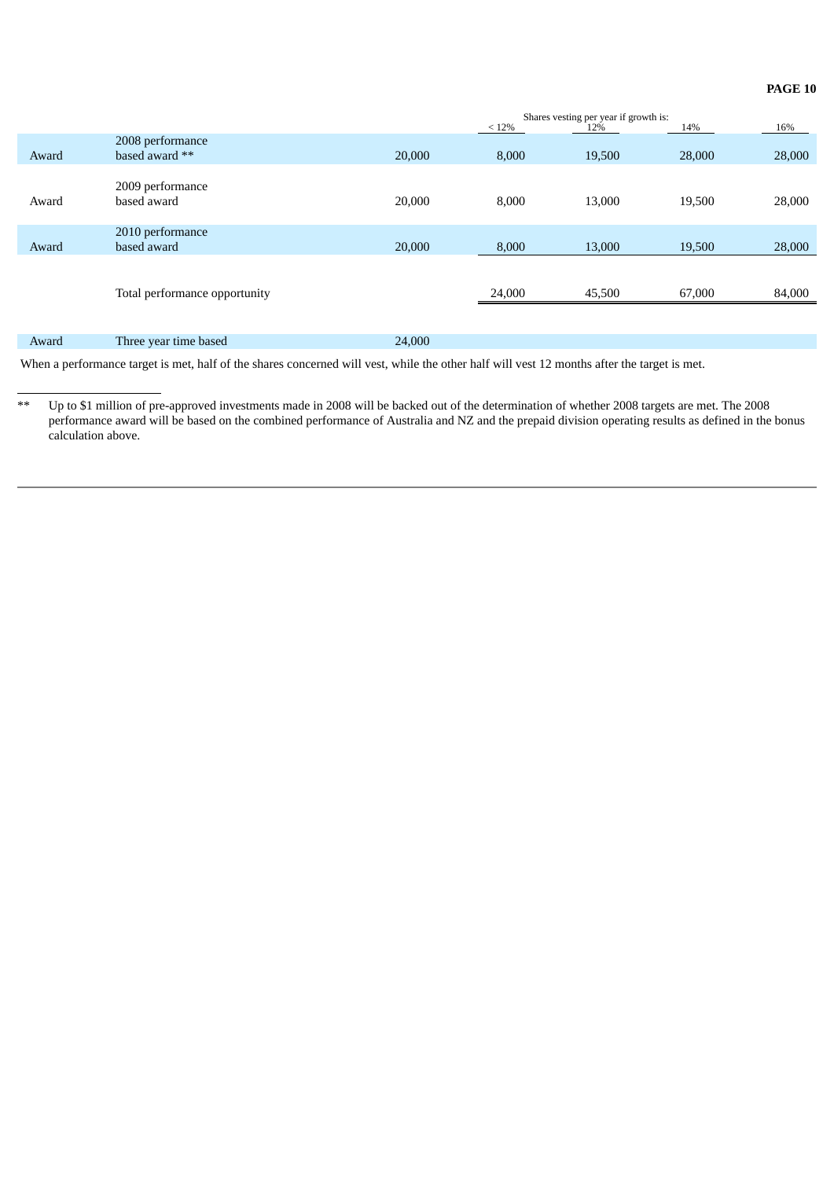## **PAGE 10**

|       |                               |        | Shares vesting per year if growth is: |        |        |        |
|-------|-------------------------------|--------|---------------------------------------|--------|--------|--------|
|       |                               |        | $< 12\%$                              | 12%    | 14%    | 16%    |
|       | 2008 performance              |        |                                       |        |        |        |
| Award | based award **                | 20,000 | 8,000                                 | 19,500 | 28,000 | 28,000 |
|       |                               |        |                                       |        |        |        |
|       | 2009 performance              |        |                                       |        |        |        |
| Award | based award                   | 20,000 | 8,000                                 | 13,000 | 19,500 | 28,000 |
|       |                               |        |                                       |        |        |        |
|       | 2010 performance              |        |                                       |        |        |        |
| Award | based award                   | 20,000 | 8,000                                 | 13,000 | 19,500 | 28,000 |
|       |                               |        |                                       |        |        |        |
|       |                               |        |                                       |        |        |        |
|       | Total performance opportunity |        | 24,000                                | 45,500 | 67,000 | 84,000 |
|       |                               |        |                                       |        |        |        |
|       |                               |        |                                       |        |        |        |
| Award | Three year time based         | 24,000 |                                       |        |        |        |

When a performance target is met, half of the shares concerned will vest, while the other half will vest 12 months after the target is met.

<sup>\*\*</sup> Up to \$1 million of pre-approved investments made in 2008 will be backed out of the determination of whether 2008 targets are met. The 2008 performance award will be based on the combined performance of Australia and NZ and the prepaid division operating results as defined in the bonus calculation above.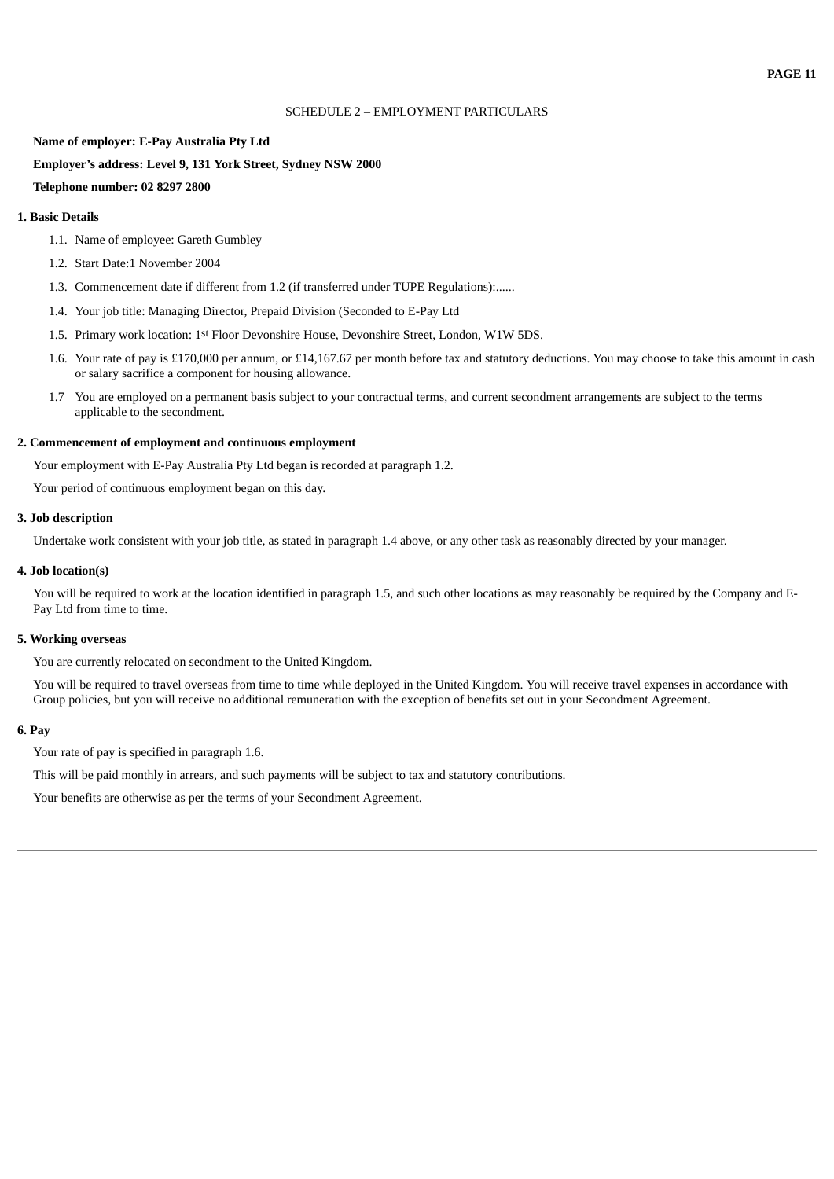#### SCHEDULE 2 – EMPLOYMENT PARTICULARS

## **Name of employer: E-Pay Australia Pty Ltd**

**Employer's address: Level 9, 131 York Street, Sydney NSW 2000**

#### **Telephone number: 02 8297 2800**

## **1. Basic Details**

- 1.1. Name of employee: Gareth Gumbley
- 1.2. Start Date:1 November 2004
- 1.3. Commencement date if different from 1.2 (if transferred under TUPE Regulations):......
- 1.4. Your job title: Managing Director, Prepaid Division (Seconded to E-Pay Ltd
- 1.5. Primary work location: 1st Floor Devonshire House, Devonshire Street, London, W1W 5DS.
- 1.6. Your rate of pay is £170,000 per annum, or £14,167.67 per month before tax and statutory deductions. You may choose to take this amount in cash or salary sacrifice a component for housing allowance.
- 1.7 You are employed on a permanent basis subject to your contractual terms, and current secondment arrangements are subject to the terms applicable to the secondment.

#### **2. Commencement of employment and continuous employment**

Your employment with E-Pay Australia Pty Ltd began is recorded at paragraph 1.2.

Your period of continuous employment began on this day.

## **3. Job description**

Undertake work consistent with your job title, as stated in paragraph 1.4 above, or any other task as reasonably directed by your manager.

#### **4. Job location(s)**

You will be required to work at the location identified in paragraph 1.5, and such other locations as may reasonably be required by the Company and E-Pay Ltd from time to time.

#### **5. Working overseas**

You are currently relocated on secondment to the United Kingdom.

You will be required to travel overseas from time to time while deployed in the United Kingdom. You will receive travel expenses in accordance with Group policies, but you will receive no additional remuneration with the exception of benefits set out in your Secondment Agreement.

#### **6. Pay**

Your rate of pay is specified in paragraph 1.6.

This will be paid monthly in arrears, and such payments will be subject to tax and statutory contributions.

Your benefits are otherwise as per the terms of your Secondment Agreement.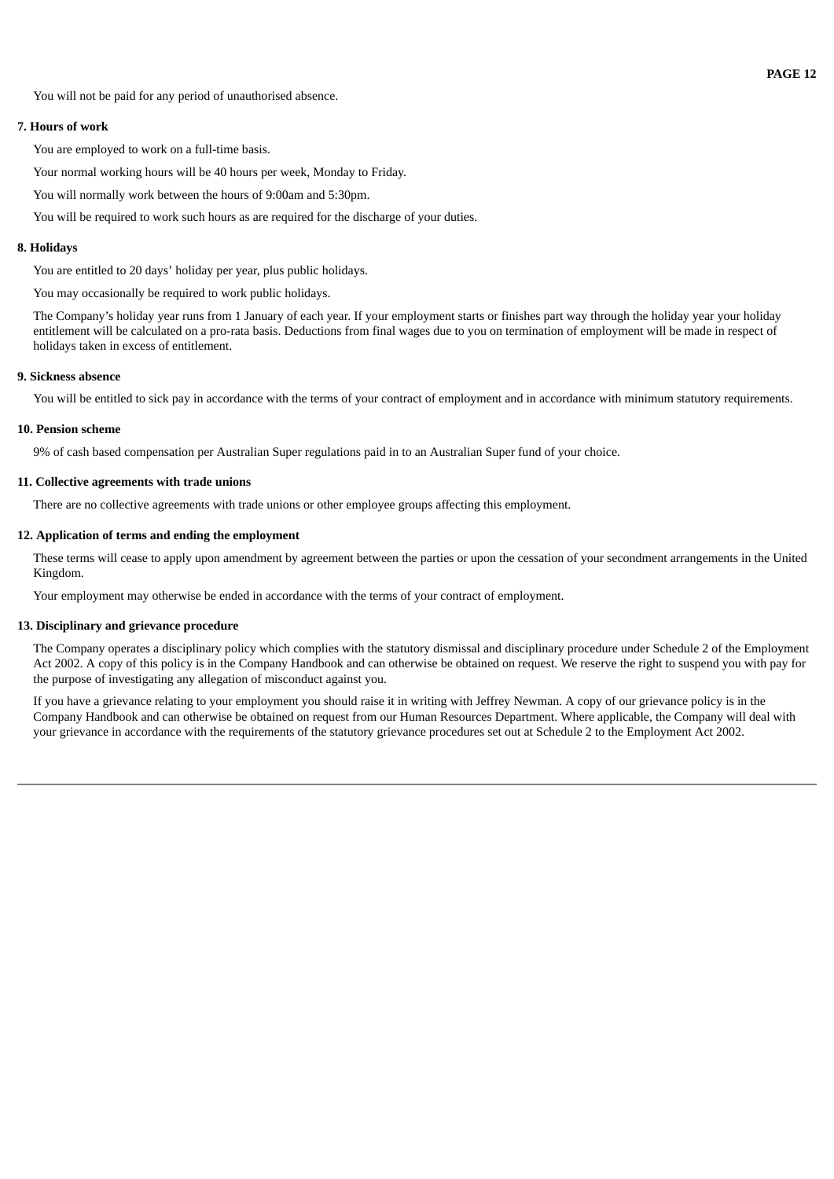You will not be paid for any period of unauthorised absence.

## **7. Hours of work**

You are employed to work on a full-time basis.

Your normal working hours will be 40 hours per week, Monday to Friday.

You will normally work between the hours of 9:00am and 5:30pm.

You will be required to work such hours as are required for the discharge of your duties.

#### **8. Holidays**

You are entitled to 20 days' holiday per year, plus public holidays.

You may occasionally be required to work public holidays.

The Company's holiday year runs from 1 January of each year. If your employment starts or finishes part way through the holiday year your holiday entitlement will be calculated on a pro-rata basis. Deductions from final wages due to you on termination of employment will be made in respect of holidays taken in excess of entitlement.

#### **9. Sickness absence**

You will be entitled to sick pay in accordance with the terms of your contract of employment and in accordance with minimum statutory requirements.

#### **10. Pension scheme**

9% of cash based compensation per Australian Super regulations paid in to an Australian Super fund of your choice.

#### **11. Collective agreements with trade unions**

There are no collective agreements with trade unions or other employee groups affecting this employment.

#### **12. Application of terms and ending the employment**

These terms will cease to apply upon amendment by agreement between the parties or upon the cessation of your secondment arrangements in the United Kingdom.

Your employment may otherwise be ended in accordance with the terms of your contract of employment.

## **13. Disciplinary and grievance procedure**

The Company operates a disciplinary policy which complies with the statutory dismissal and disciplinary procedure under Schedule 2 of the Employment Act 2002. A copy of this policy is in the Company Handbook and can otherwise be obtained on request. We reserve the right to suspend you with pay for the purpose of investigating any allegation of misconduct against you.

If you have a grievance relating to your employment you should raise it in writing with Jeffrey Newman. A copy of our grievance policy is in the Company Handbook and can otherwise be obtained on request from our Human Resources Department. Where applicable, the Company will deal with your grievance in accordance with the requirements of the statutory grievance procedures set out at Schedule 2 to the Employment Act 2002.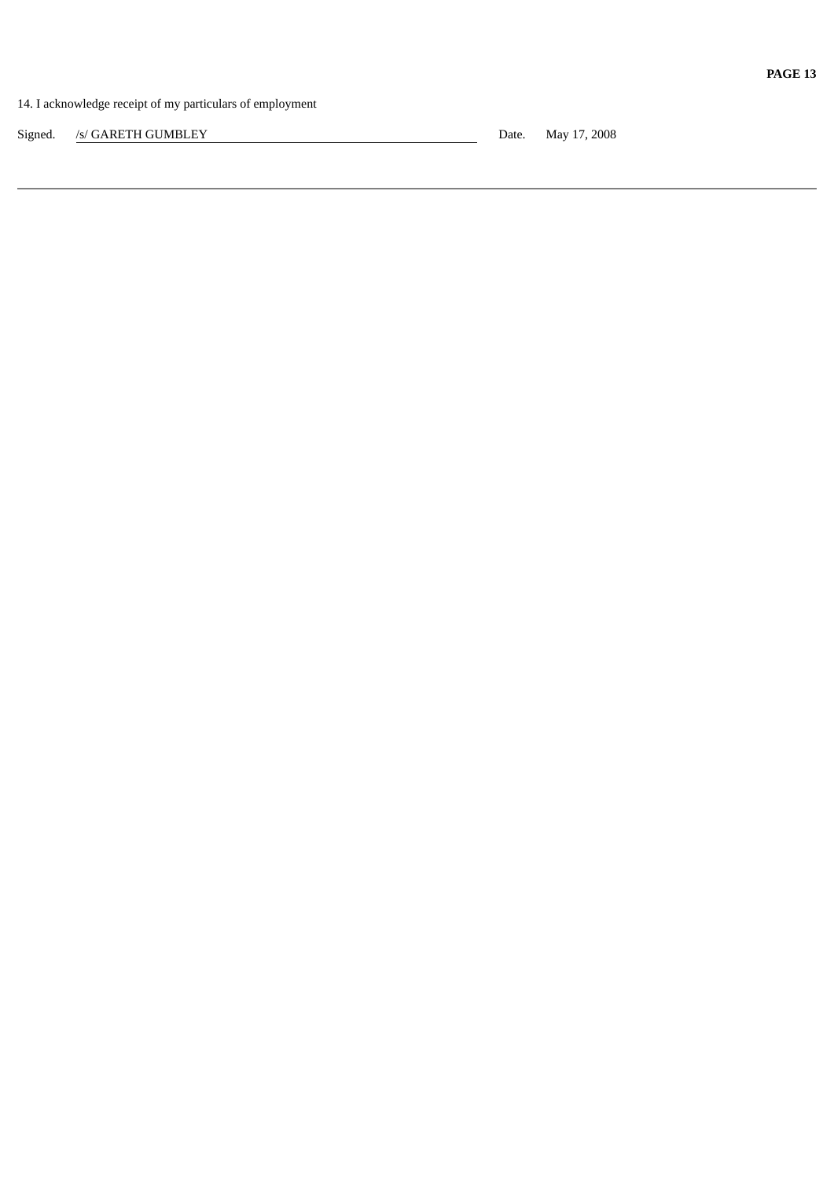14. I acknowledge receipt of my particulars of employment

Signed. /s/ GARETH GUMBLEY Date. May 17, 2008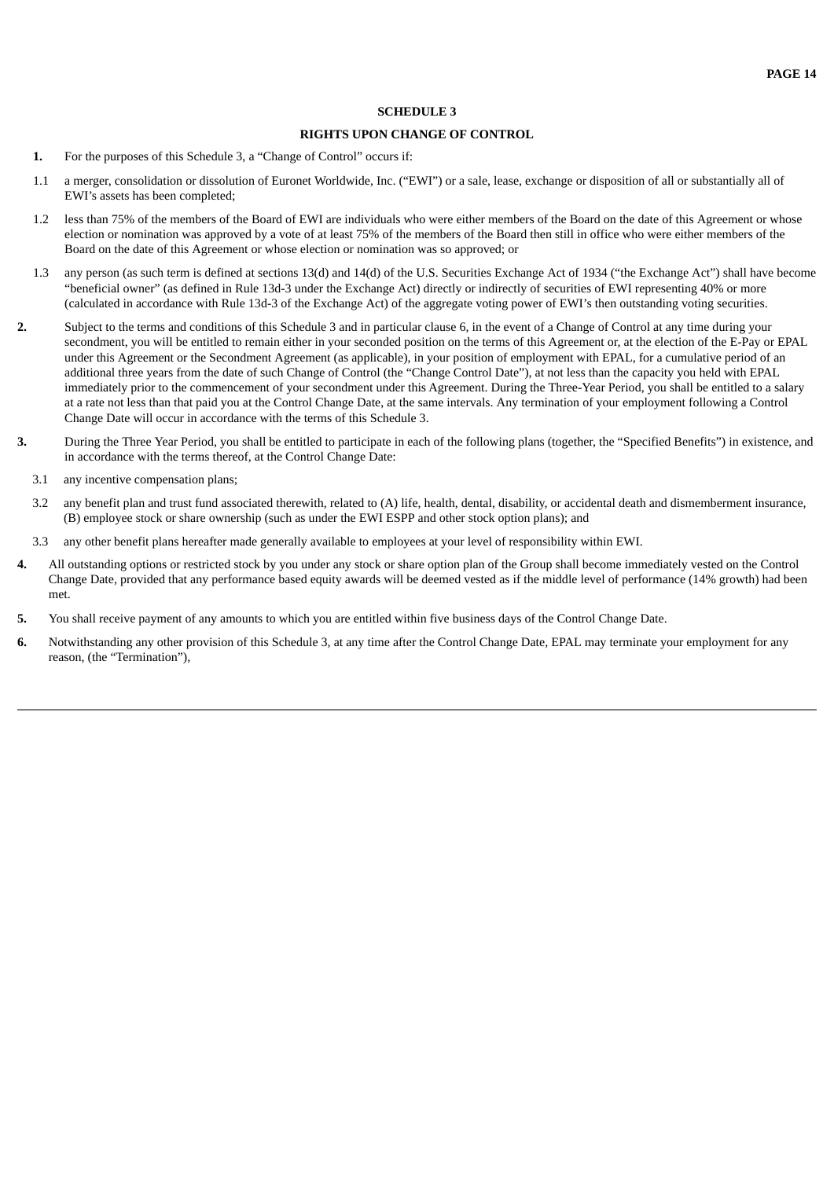#### **SCHEDULE 3**

## **RIGHTS UPON CHANGE OF CONTROL**

- **1.** For the purposes of this Schedule 3, a "Change of Control" occurs if:
- 1.1 a merger, consolidation or dissolution of Euronet Worldwide, Inc. ("EWI") or a sale, lease, exchange or disposition of all or substantially all of EWI's assets has been completed;
- 1.2 less than 75% of the members of the Board of EWI are individuals who were either members of the Board on the date of this Agreement or whose election or nomination was approved by a vote of at least 75% of the members of the Board then still in office who were either members of the Board on the date of this Agreement or whose election or nomination was so approved; or
- 1.3 any person (as such term is defined at sections 13(d) and 14(d) of the U.S. Securities Exchange Act of 1934 ("the Exchange Act") shall have become "beneficial owner" (as defined in Rule 13d-3 under the Exchange Act) directly or indirectly of securities of EWI representing 40% or more (calculated in accordance with Rule 13d-3 of the Exchange Act) of the aggregate voting power of EWI's then outstanding voting securities.
- **2.** Subject to the terms and conditions of this Schedule 3 and in particular clause 6, in the event of a Change of Control at any time during your secondment, you will be entitled to remain either in your seconded position on the terms of this Agreement or, at the election of the E-Pay or EPAL under this Agreement or the Secondment Agreement (as applicable), in your position of employment with EPAL, for a cumulative period of an additional three years from the date of such Change of Control (the "Change Control Date"), at not less than the capacity you held with EPAL immediately prior to the commencement of your secondment under this Agreement. During the Three-Year Period, you shall be entitled to a salary at a rate not less than that paid you at the Control Change Date, at the same intervals. Any termination of your employment following a Control Change Date will occur in accordance with the terms of this Schedule 3.
- **3.** During the Three Year Period, you shall be entitled to participate in each of the following plans (together, the "Specified Benefits") in existence, and in accordance with the terms thereof, at the Control Change Date:
	- 3.1 any incentive compensation plans;
	- 3.2 any benefit plan and trust fund associated therewith, related to (A) life, health, dental, disability, or accidental death and dismemberment insurance, (B) employee stock or share ownership (such as under the EWI ESPP and other stock option plans); and
	- 3.3 any other benefit plans hereafter made generally available to employees at your level of responsibility within EWI.
- **4.** All outstanding options or restricted stock by you under any stock or share option plan of the Group shall become immediately vested on the Control Change Date, provided that any performance based equity awards will be deemed vested as if the middle level of performance (14% growth) had been met.
- **5.** You shall receive payment of any amounts to which you are entitled within five business days of the Control Change Date.
- **6.** Notwithstanding any other provision of this Schedule 3, at any time after the Control Change Date, EPAL may terminate your employment for any reason, (the "Termination"),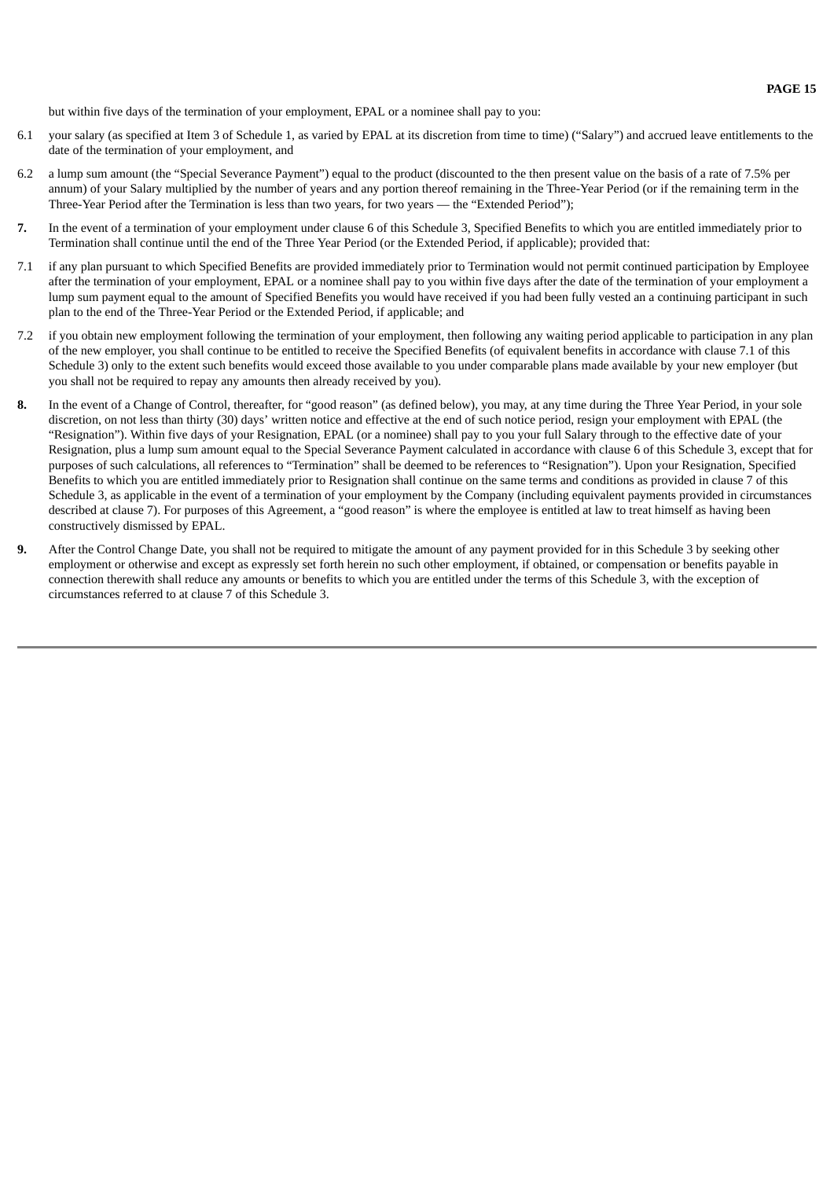but within five days of the termination of your employment, EPAL or a nominee shall pay to you:

- 6.1 your salary (as specified at Item 3 of Schedule 1, as varied by EPAL at its discretion from time to time) ("Salary") and accrued leave entitlements to the date of the termination of your employment, and
- 6.2 a lump sum amount (the "Special Severance Payment") equal to the product (discounted to the then present value on the basis of a rate of 7.5% per annum) of your Salary multiplied by the number of years and any portion thereof remaining in the Three-Year Period (or if the remaining term in the Three-Year Period after the Termination is less than two years, for two years — the "Extended Period");
- **7.** In the event of a termination of your employment under clause 6 of this Schedule 3, Specified Benefits to which you are entitled immediately prior to Termination shall continue until the end of the Three Year Period (or the Extended Period, if applicable); provided that:
- 7.1 if any plan pursuant to which Specified Benefits are provided immediately prior to Termination would not permit continued participation by Employee after the termination of your employment, EPAL or a nominee shall pay to you within five days after the date of the termination of your employment a lump sum payment equal to the amount of Specified Benefits you would have received if you had been fully vested an a continuing participant in such plan to the end of the Three-Year Period or the Extended Period, if applicable; and
- 7.2 if you obtain new employment following the termination of your employment, then following any waiting period applicable to participation in any plan of the new employer, you shall continue to be entitled to receive the Specified Benefits (of equivalent benefits in accordance with clause 7.1 of this Schedule 3) only to the extent such benefits would exceed those available to you under comparable plans made available by your new employer (but you shall not be required to repay any amounts then already received by you).
- **8.** In the event of a Change of Control, thereafter, for "good reason" (as defined below), you may, at any time during the Three Year Period, in your sole discretion, on not less than thirty (30) days' written notice and effective at the end of such notice period, resign your employment with EPAL (the "Resignation"). Within five days of your Resignation, EPAL (or a nominee) shall pay to you your full Salary through to the effective date of your Resignation, plus a lump sum amount equal to the Special Severance Payment calculated in accordance with clause 6 of this Schedule 3, except that for purposes of such calculations, all references to "Termination" shall be deemed to be references to "Resignation"). Upon your Resignation, Specified Benefits to which you are entitled immediately prior to Resignation shall continue on the same terms and conditions as provided in clause 7 of this Schedule 3, as applicable in the event of a termination of your employment by the Company (including equivalent payments provided in circumstances described at clause 7). For purposes of this Agreement, a "good reason" is where the employee is entitled at law to treat himself as having been constructively dismissed by EPAL.
- **9.** After the Control Change Date, you shall not be required to mitigate the amount of any payment provided for in this Schedule 3 by seeking other employment or otherwise and except as expressly set forth herein no such other employment, if obtained, or compensation or benefits payable in connection therewith shall reduce any amounts or benefits to which you are entitled under the terms of this Schedule 3, with the exception of circumstances referred to at clause 7 of this Schedule 3.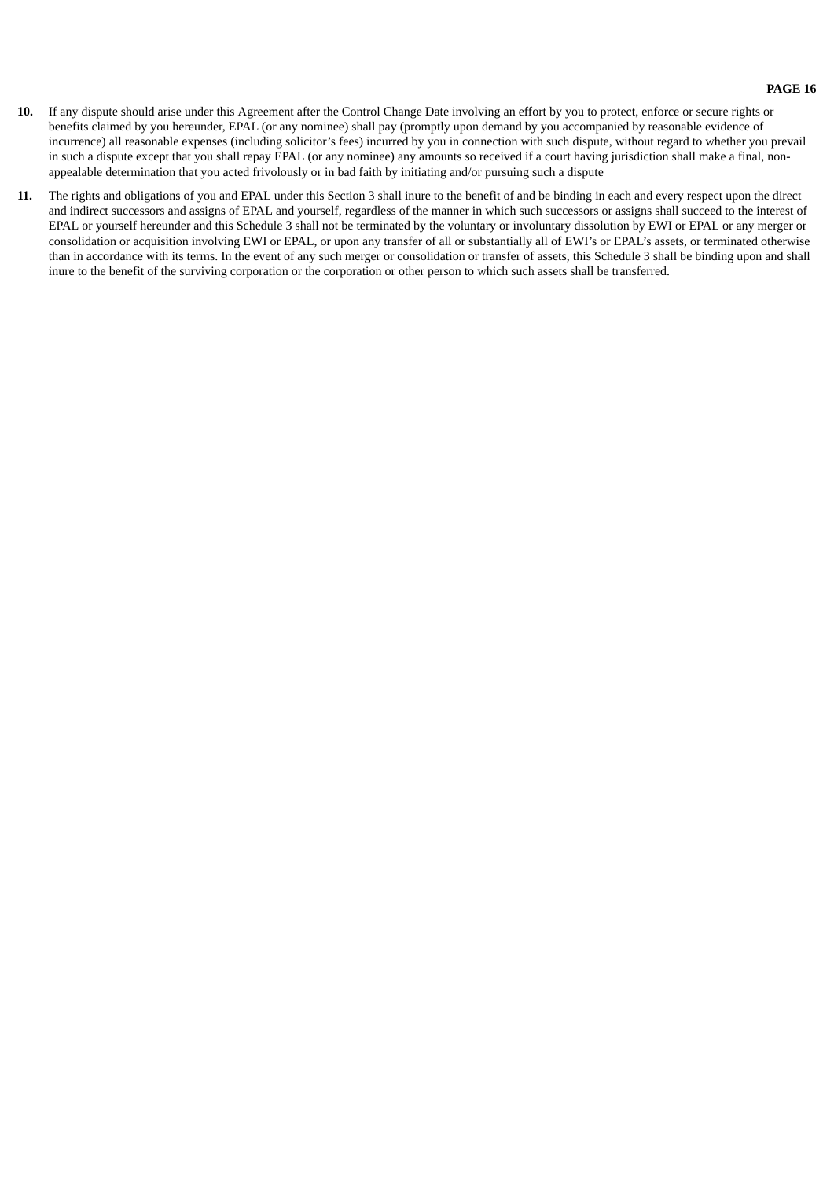- **10.** If any dispute should arise under this Agreement after the Control Change Date involving an effort by you to protect, enforce or secure rights or benefits claimed by you hereunder, EPAL (or any nominee) shall pay (promptly upon demand by you accompanied by reasonable evidence of incurrence) all reasonable expenses (including solicitor's fees) incurred by you in connection with such dispute, without regard to whether you prevail in such a dispute except that you shall repay EPAL (or any nominee) any amounts so received if a court having jurisdiction shall make a final, nonappealable determination that you acted frivolously or in bad faith by initiating and/or pursuing such a dispute
- **11.** The rights and obligations of you and EPAL under this Section 3 shall inure to the benefit of and be binding in each and every respect upon the direct and indirect successors and assigns of EPAL and yourself, regardless of the manner in which such successors or assigns shall succeed to the interest of EPAL or yourself hereunder and this Schedule 3 shall not be terminated by the voluntary or involuntary dissolution by EWI or EPAL or any merger or consolidation or acquisition involving EWI or EPAL, or upon any transfer of all or substantially all of EWI's or EPAL's assets, or terminated otherwise than in accordance with its terms. In the event of any such merger or consolidation or transfer of assets, this Schedule 3 shall be binding upon and shall inure to the benefit of the surviving corporation or the corporation or other person to which such assets shall be transferred.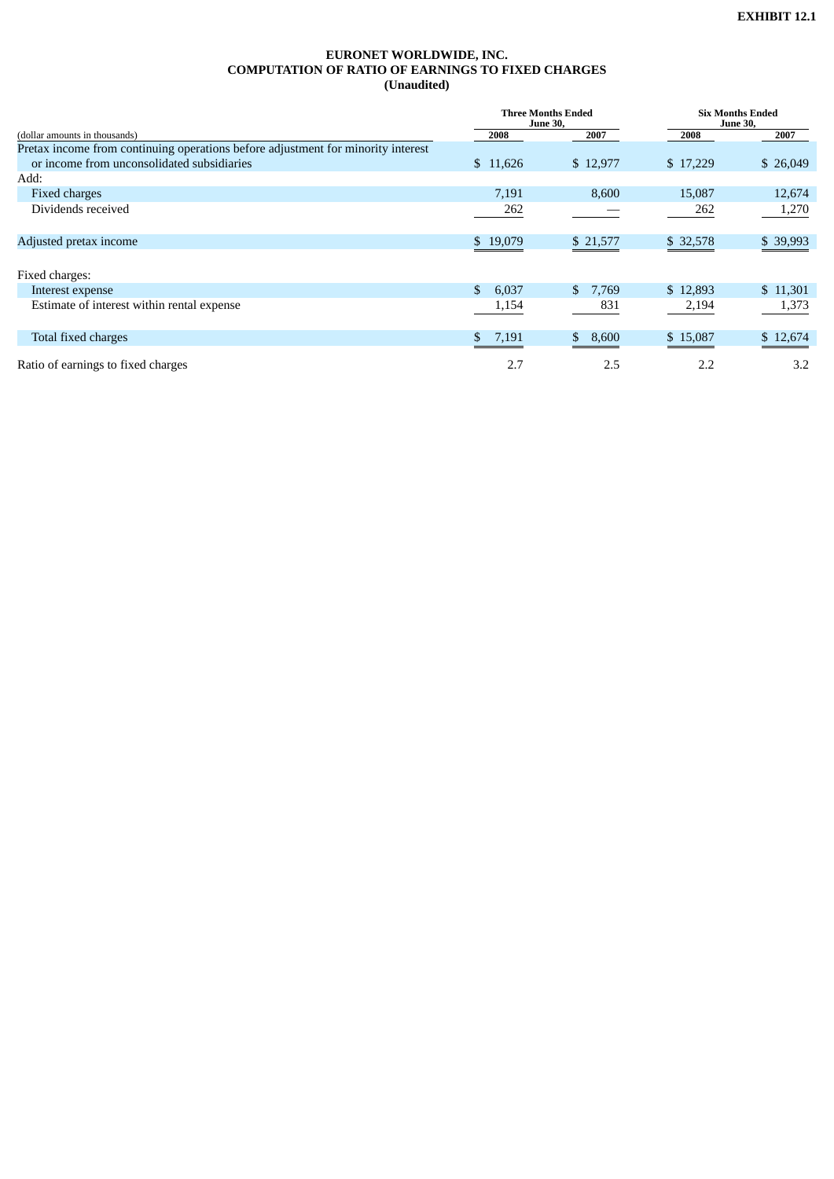## **EURONET WORLDWIDE, INC. COMPUTATION OF RATIO OF EARNINGS TO FIXED CHARGES (Unaudited)**

|                                                                                  | <b>Three Months Ended</b><br><b>June 30,</b> |                       | <b>Six Months Ended</b><br><b>June 30,</b> |          |
|----------------------------------------------------------------------------------|----------------------------------------------|-----------------------|--------------------------------------------|----------|
| (dollar amounts in thousands)                                                    | 2008                                         | 2007                  | 2008                                       | 2007     |
| Pretax income from continuing operations before adjustment for minority interest |                                              |                       |                                            |          |
| or income from unconsolidated subsidiaries                                       | 11,626<br>\$                                 | \$12,977              | \$17,229                                   | \$26,049 |
| Add:                                                                             |                                              |                       |                                            |          |
| <b>Fixed charges</b>                                                             | 7,191                                        | 8,600                 | 15.087                                     | 12,674   |
| Dividends received                                                               | 262                                          |                       | 262                                        | 1,270    |
| Adjusted pretax income                                                           | \$19,079                                     | \$21,577              | \$32,578                                   | \$39,993 |
| Fixed charges:                                                                   |                                              |                       |                                            |          |
| Interest expense                                                                 | \$<br>6,037                                  | 7,769<br>$\mathbb{S}$ | \$12,893                                   | \$11,301 |
| Estimate of interest within rental expense                                       | 1,154                                        | 831                   | 2,194                                      | 1,373    |
| Total fixed charges                                                              | 7,191<br>\$.                                 | 8,600<br>\$           | \$15,087                                   | \$12,674 |
| Ratio of earnings to fixed charges                                               | 2.7                                          | 2.5                   | 2.2                                        | 3.2      |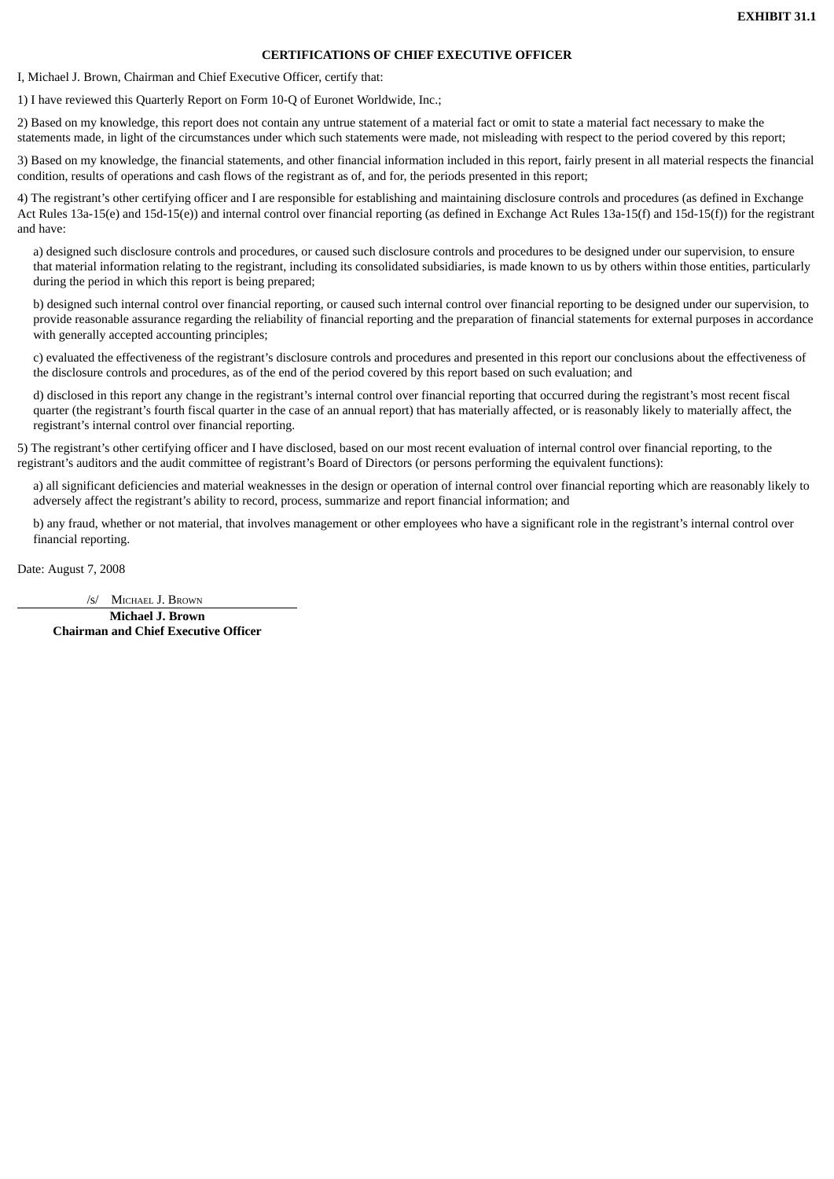#### **CERTIFICATIONS OF CHIEF EXECUTIVE OFFICER**

I, Michael J. Brown, Chairman and Chief Executive Officer, certify that:

1) I have reviewed this Quarterly Report on Form 10-Q of Euronet Worldwide, Inc.;

2) Based on my knowledge, this report does not contain any untrue statement of a material fact or omit to state a material fact necessary to make the statements made, in light of the circumstances under which such statements were made, not misleading with respect to the period covered by this report;

3) Based on my knowledge, the financial statements, and other financial information included in this report, fairly present in all material respects the financial condition, results of operations and cash flows of the registrant as of, and for, the periods presented in this report;

4) The registrant's other certifying officer and I are responsible for establishing and maintaining disclosure controls and procedures (as defined in Exchange Act Rules 13a-15(e) and 15d-15(e)) and internal control over financial reporting (as defined in Exchange Act Rules 13a-15(f) and 15d-15(f)) for the registrant and have:

a) designed such disclosure controls and procedures, or caused such disclosure controls and procedures to be designed under our supervision, to ensure that material information relating to the registrant, including its consolidated subsidiaries, is made known to us by others within those entities, particularly during the period in which this report is being prepared;

b) designed such internal control over financial reporting, or caused such internal control over financial reporting to be designed under our supervision, to provide reasonable assurance regarding the reliability of financial reporting and the preparation of financial statements for external purposes in accordance with generally accepted accounting principles;

c) evaluated the effectiveness of the registrant's disclosure controls and procedures and presented in this report our conclusions about the effectiveness of the disclosure controls and procedures, as of the end of the period covered by this report based on such evaluation; and

d) disclosed in this report any change in the registrant's internal control over financial reporting that occurred during the registrant's most recent fiscal quarter (the registrant's fourth fiscal quarter in the case of an annual report) that has materially affected, or is reasonably likely to materially affect, the registrant's internal control over financial reporting.

5) The registrant's other certifying officer and I have disclosed, based on our most recent evaluation of internal control over financial reporting, to the registrant's auditors and the audit committee of registrant's Board of Directors (or persons performing the equivalent functions):

a) all significant deficiencies and material weaknesses in the design or operation of internal control over financial reporting which are reasonably likely to adversely affect the registrant's ability to record, process, summarize and report financial information; and

b) any fraud, whether or not material, that involves management or other employees who have a significant role in the registrant's internal control over financial reporting.

Date: August 7, 2008

/s/ MICHAEL J. BROWN

**Michael J. Brown Chairman and Chief Executive Officer**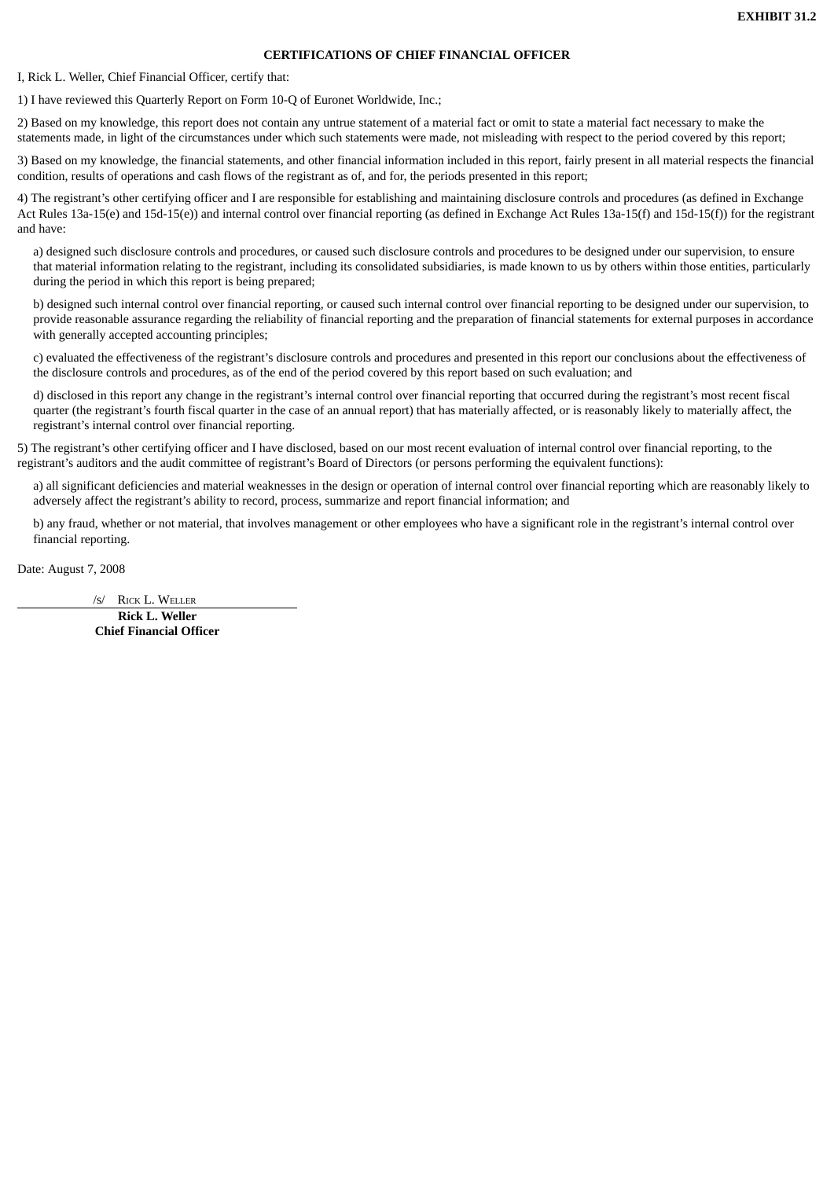#### **CERTIFICATIONS OF CHIEF FINANCIAL OFFICER**

I, Rick L. Weller, Chief Financial Officer, certify that:

1) I have reviewed this Quarterly Report on Form 10-Q of Euronet Worldwide, Inc.;

2) Based on my knowledge, this report does not contain any untrue statement of a material fact or omit to state a material fact necessary to make the statements made, in light of the circumstances under which such statements were made, not misleading with respect to the period covered by this report;

3) Based on my knowledge, the financial statements, and other financial information included in this report, fairly present in all material respects the financial condition, results of operations and cash flows of the registrant as of, and for, the periods presented in this report;

4) The registrant's other certifying officer and I are responsible for establishing and maintaining disclosure controls and procedures (as defined in Exchange Act Rules 13a-15(e) and 15d-15(e)) and internal control over financial reporting (as defined in Exchange Act Rules 13a-15(f) and 15d-15(f)) for the registrant and have:

a) designed such disclosure controls and procedures, or caused such disclosure controls and procedures to be designed under our supervision, to ensure that material information relating to the registrant, including its consolidated subsidiaries, is made known to us by others within those entities, particularly during the period in which this report is being prepared;

b) designed such internal control over financial reporting, or caused such internal control over financial reporting to be designed under our supervision, to provide reasonable assurance regarding the reliability of financial reporting and the preparation of financial statements for external purposes in accordance with generally accepted accounting principles;

c) evaluated the effectiveness of the registrant's disclosure controls and procedures and presented in this report our conclusions about the effectiveness of the disclosure controls and procedures, as of the end of the period covered by this report based on such evaluation; and

d) disclosed in this report any change in the registrant's internal control over financial reporting that occurred during the registrant's most recent fiscal quarter (the registrant's fourth fiscal quarter in the case of an annual report) that has materially affected, or is reasonably likely to materially affect, the registrant's internal control over financial reporting.

5) The registrant's other certifying officer and I have disclosed, based on our most recent evaluation of internal control over financial reporting, to the registrant's auditors and the audit committee of registrant's Board of Directors (or persons performing the equivalent functions):

a) all significant deficiencies and material weaknesses in the design or operation of internal control over financial reporting which are reasonably likely to adversely affect the registrant's ability to record, process, summarize and report financial information; and

b) any fraud, whether or not material, that involves management or other employees who have a significant role in the registrant's internal control over financial reporting.

Date: August 7, 2008

/s/ RICK L. WELLER

**Rick L. Weller Chief Financial Officer**